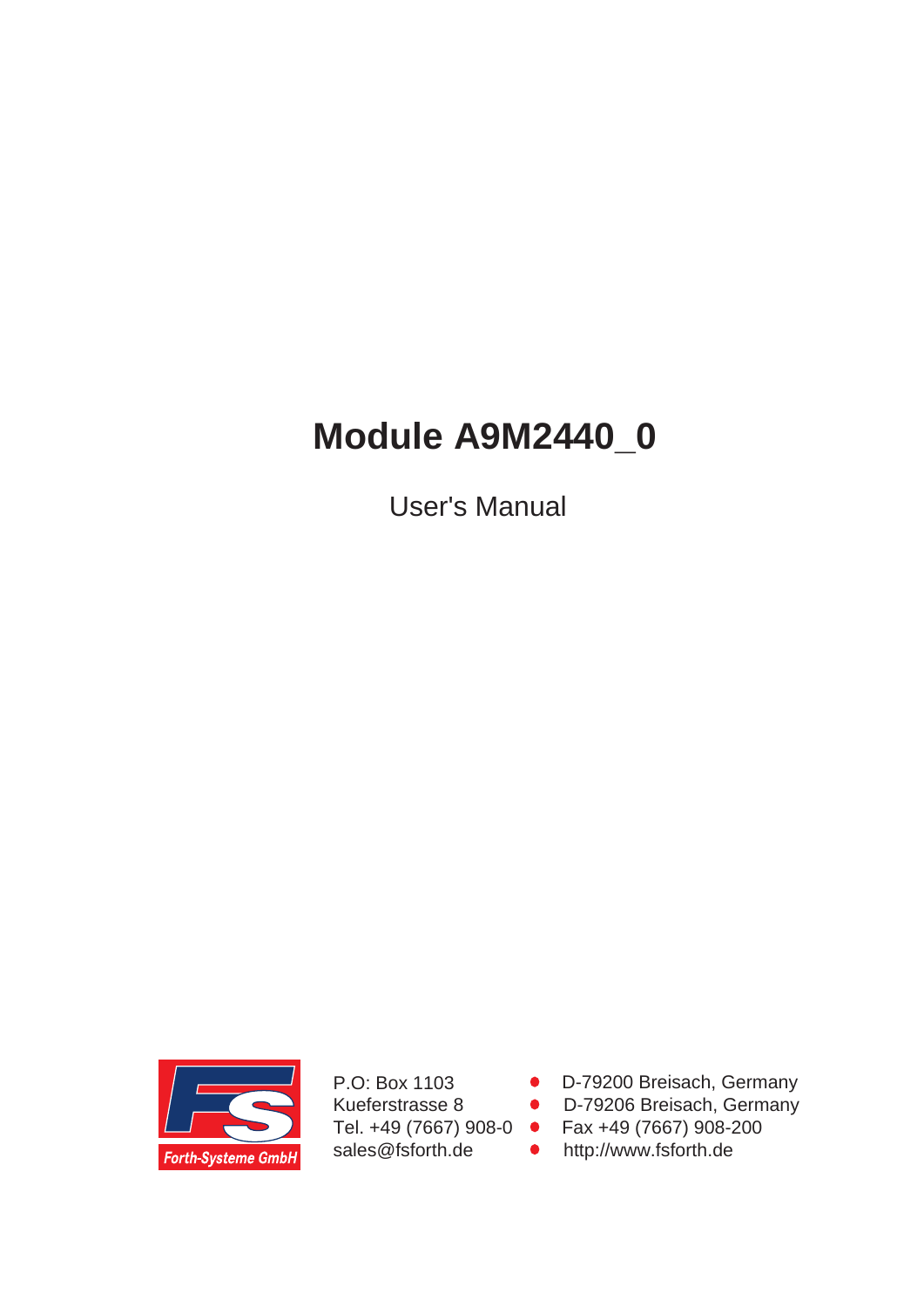# **Module A9M2440\_0**

User's Manual



P.O: Box 1103 Kueferstrasse 8 Tel. +49 (7667) 908-0 sales@fsforth.de

- D-79200 Breisach, Germany
- D-79206 Breisach, Germany
- Fax +49 (7667) 908-200
- http://www.fsforth.de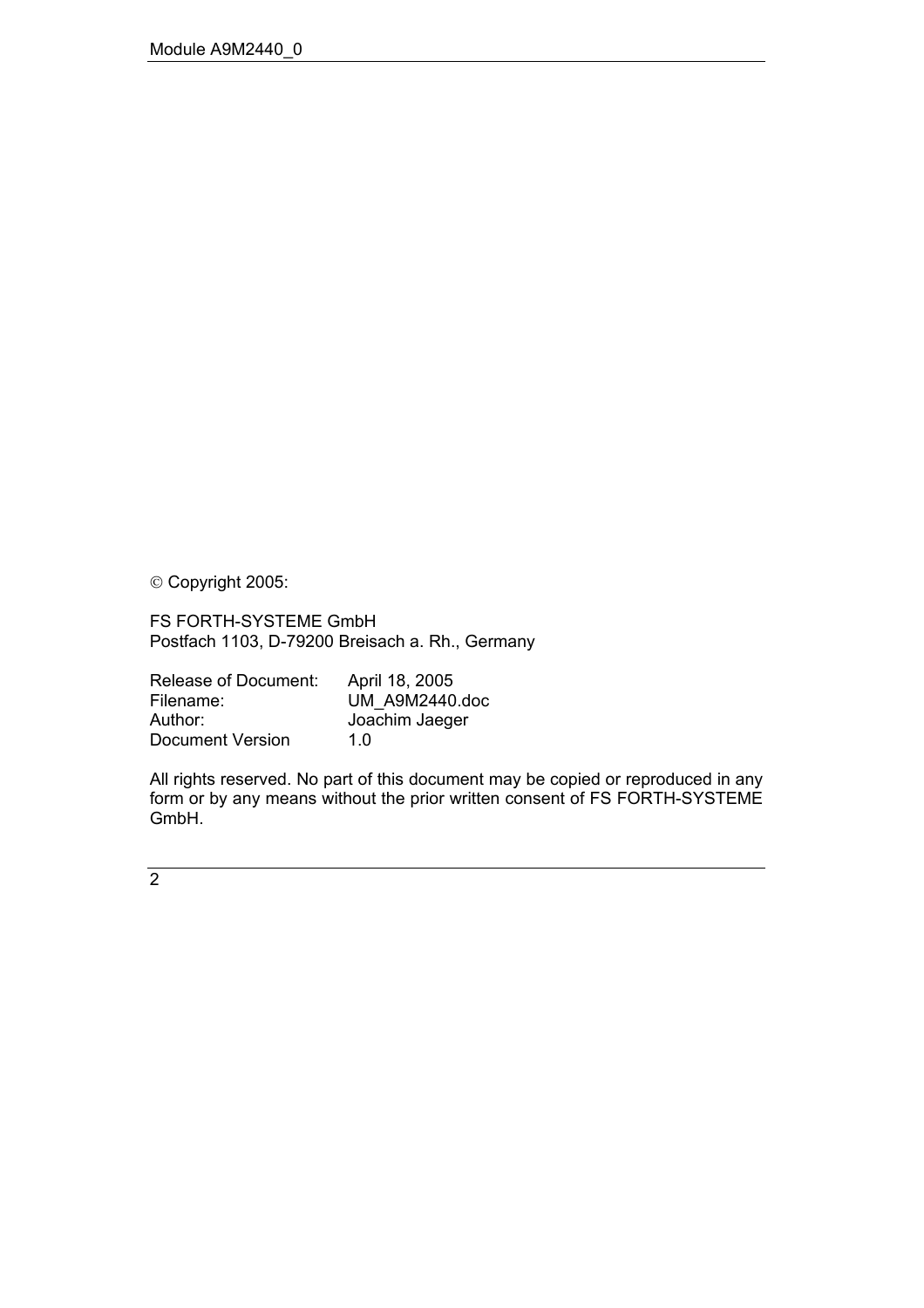Copyright 2005:

FS FORTH-SYSTEME GmbH Postfach 1103, D-79200 Breisach a. Rh., Germany

| Release of Document: | April 18, 2005 |
|----------------------|----------------|
| Filename:            | UM A9M2440.doc |
| Author:              | Joachim Jaeger |
| Document Version     | 1 በ            |

All rights reserved. No part of this document may be copied or reproduced in any form or by any means without the prior written consent of FS FORTH-SYSTEME GmbH.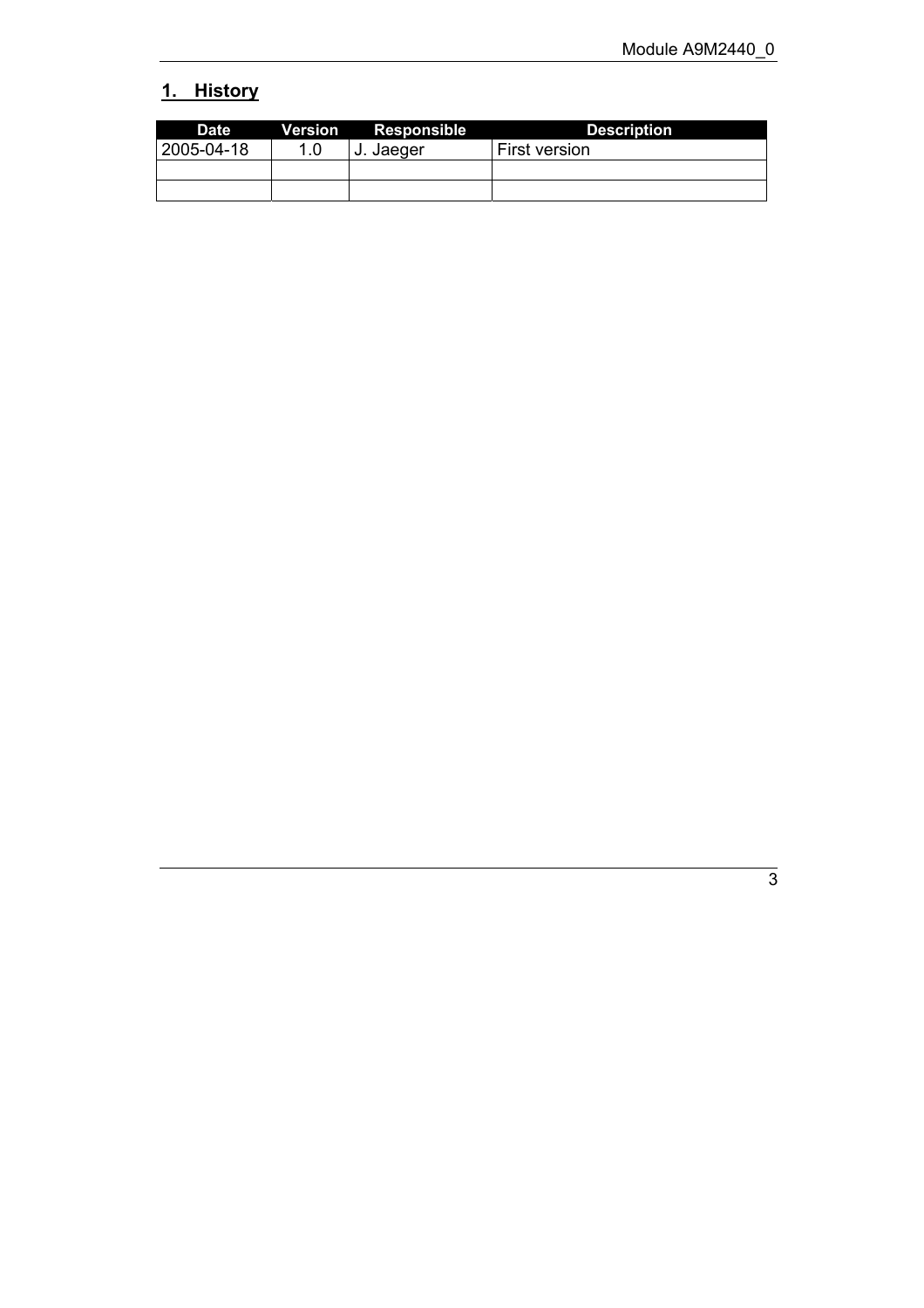# <span id="page-2-0"></span>**1. History**

| <b>Date</b> |     | <b>Version</b> Responsible | <b>Description</b>   |
|-------------|-----|----------------------------|----------------------|
| 2005-04-18  | 1.0 | J. Jaeger                  | <b>First version</b> |
|             |     |                            |                      |
|             |     |                            |                      |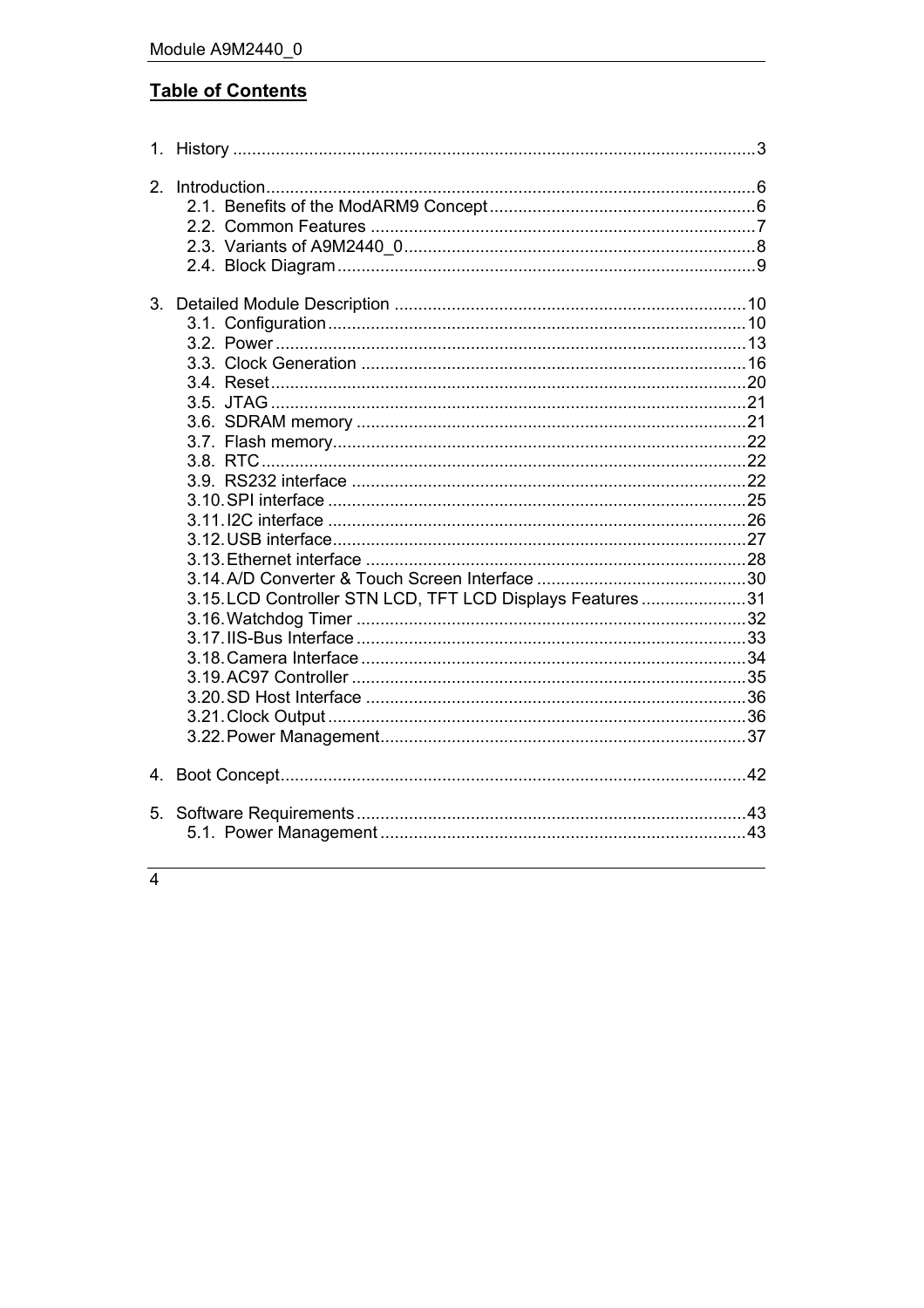## **Table of Contents**

| 2. |                                                           |  |
|----|-----------------------------------------------------------|--|
| 3. | 3.15. LCD Controller STN LCD, TFT LCD Displays Features31 |  |
|    |                                                           |  |
| 5. |                                                           |  |

 $\overline{4}$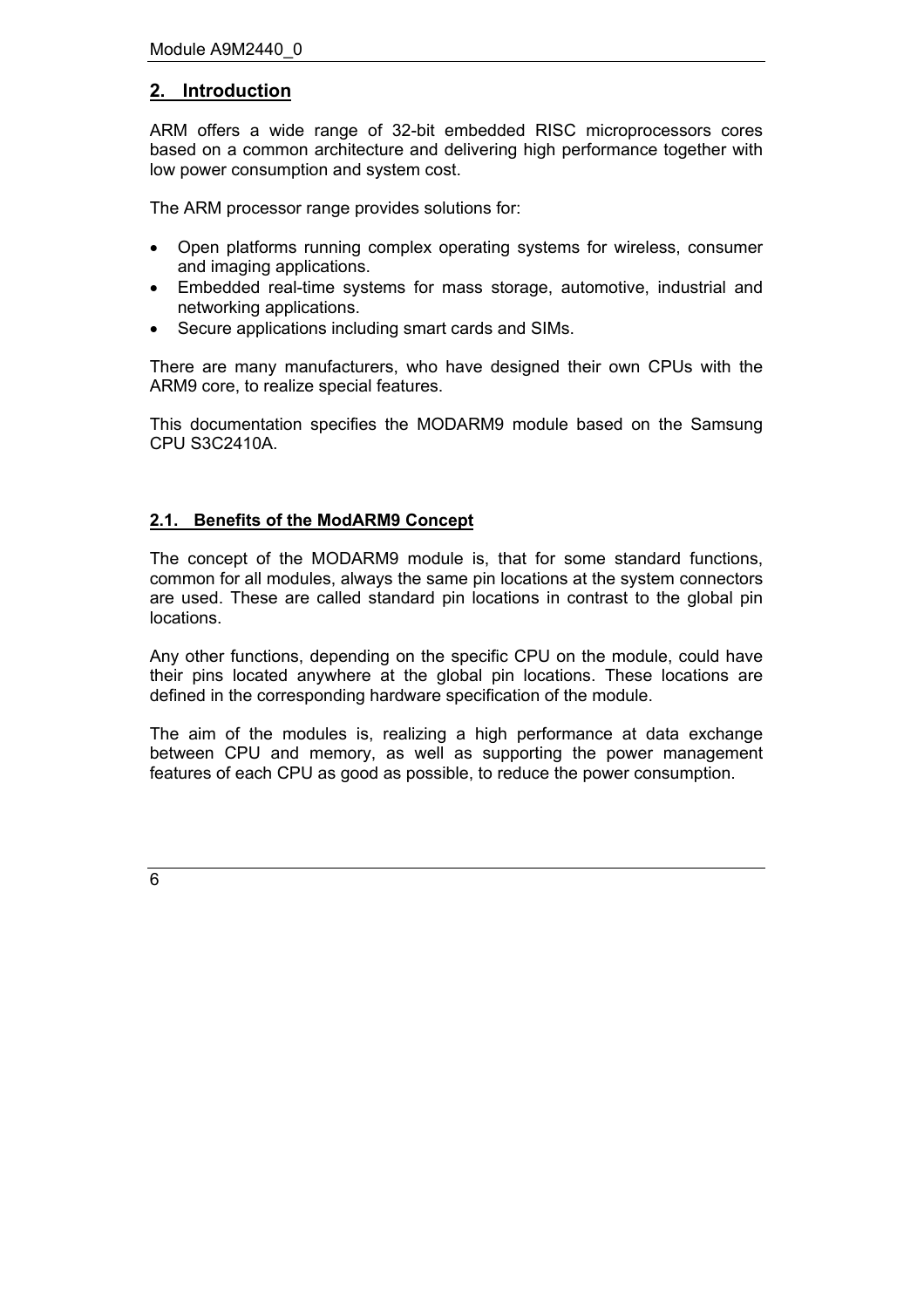## <span id="page-5-0"></span>**2. Introduction**

ARM offers a wide range of 32-bit embedded RISC microprocessors cores based on a common architecture and delivering high performance together with low power consumption and system cost.

The ARM processor range provides solutions for:

- Open platforms running complex operating systems for wireless, consumer and imaging applications.
- Embedded real-time systems for mass storage, automotive, industrial and networking applications.
- Secure applications including smart cards and SIMs.

There are many manufacturers, who have designed their own CPUs with the ARM9 core, to realize special features.

This documentation specifies the MODARM9 module based on the Samsung CPU S3C2410A.

#### <span id="page-5-1"></span>**2.1. Benefits of the ModARM9 Concept**

The concept of the MODARM9 module is, that for some standard functions, common for all modules, always the same pin locations at the system connectors are used. These are called standard pin locations in contrast to the global pin locations.

Any other functions, depending on the specific CPU on the module, could have their pins located anywhere at the global pin locations. These locations are defined in the corresponding hardware specification of the module.

The aim of the modules is, realizing a high performance at data exchange between CPU and memory, as well as supporting the power management features of each CPU as good as possible, to reduce the power consumption.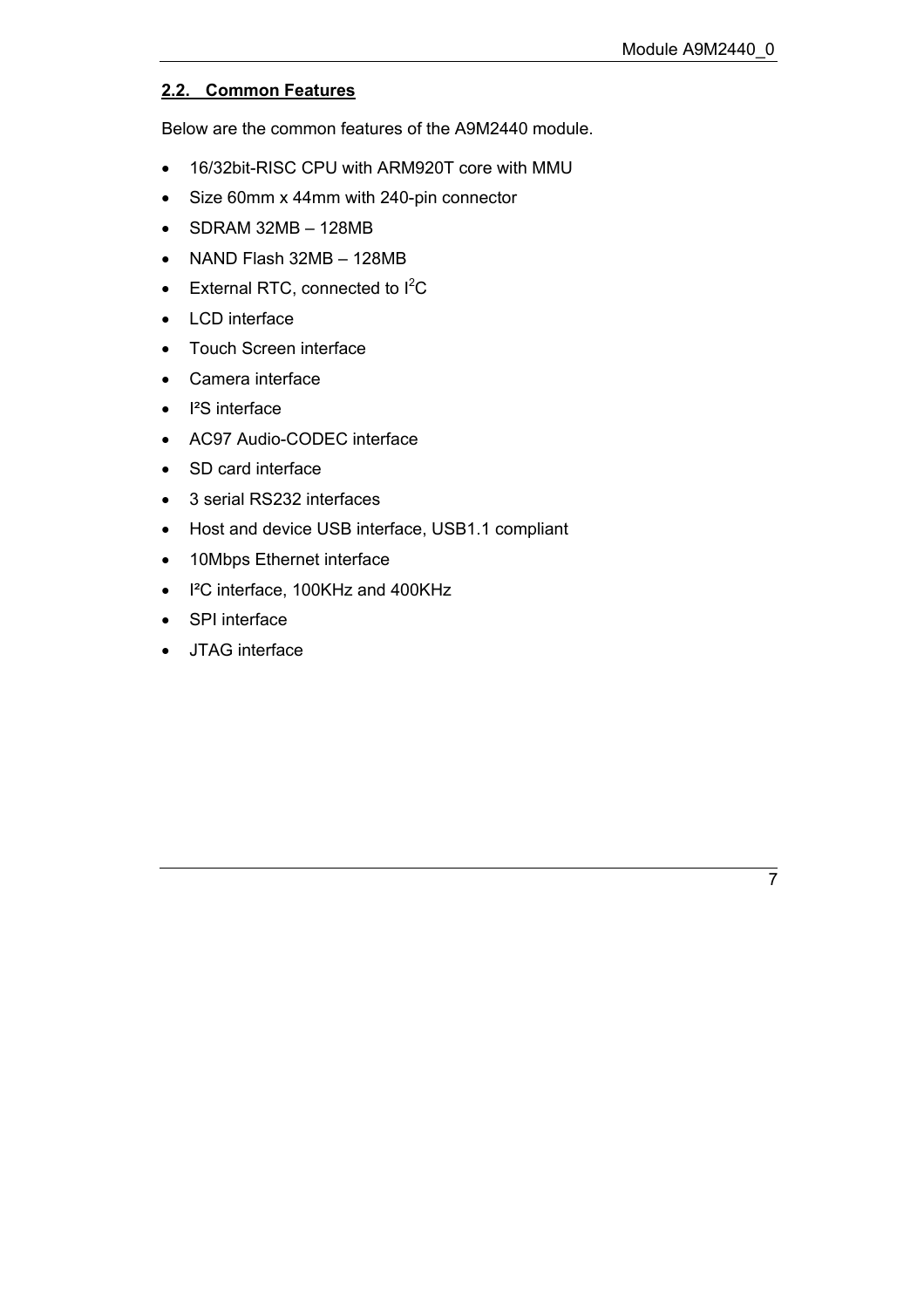## <span id="page-6-0"></span>**2.2. Common Features**

Below are the common features of the A9M2440 module.

- 16/32bit-RISC CPU with ARM920T core with MMU
- Size 60mm x 44mm with 240-pin connector
- $\bullet$  SDRAM 32MB 128MB
- NAND Flash  $32MB 128MB$
- $\bullet$  External RTC, connected to  $I^2C$
- LCD interface
- Touch Screen interface
- Camera interface
- I<sup>2</sup>S interface
- AC97 Audio-CODEC interface
- SD card interface
- 3 serial RS232 interfaces
- Host and device USB interface, USB1.1 compliant
- 10Mbps Ethernet interface
- I²C interface, 100KHz and 400KHz
- SPI interface
- JTAG interface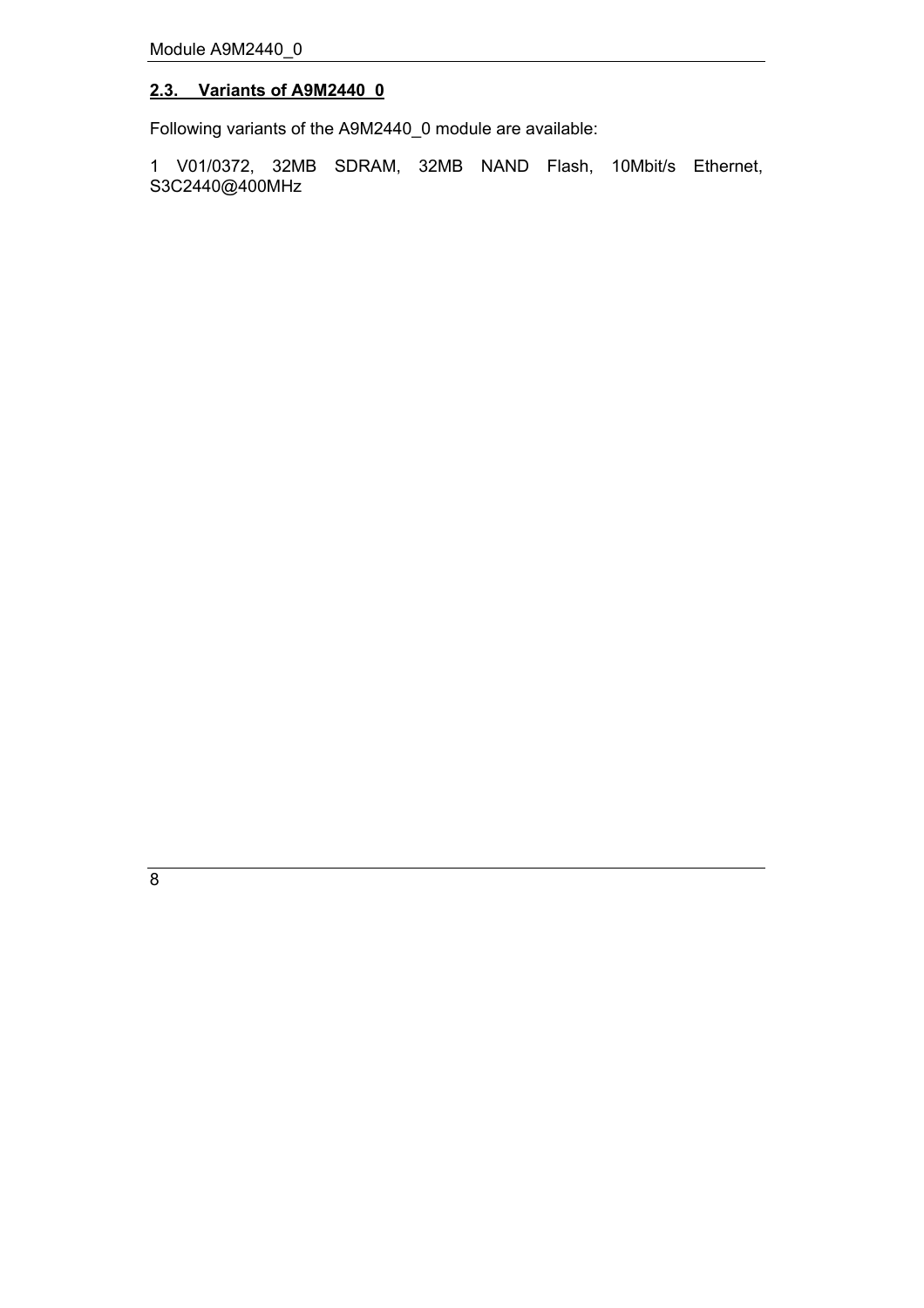## <span id="page-7-0"></span>**2.3. Variants of A9M2440\_0**

Following variants of the A9M2440\_0 module are available:

1 V01/0372, 32MB SDRAM, 32MB NAND Flash, 10Mbit/s Ethernet, S3C2440@400MHz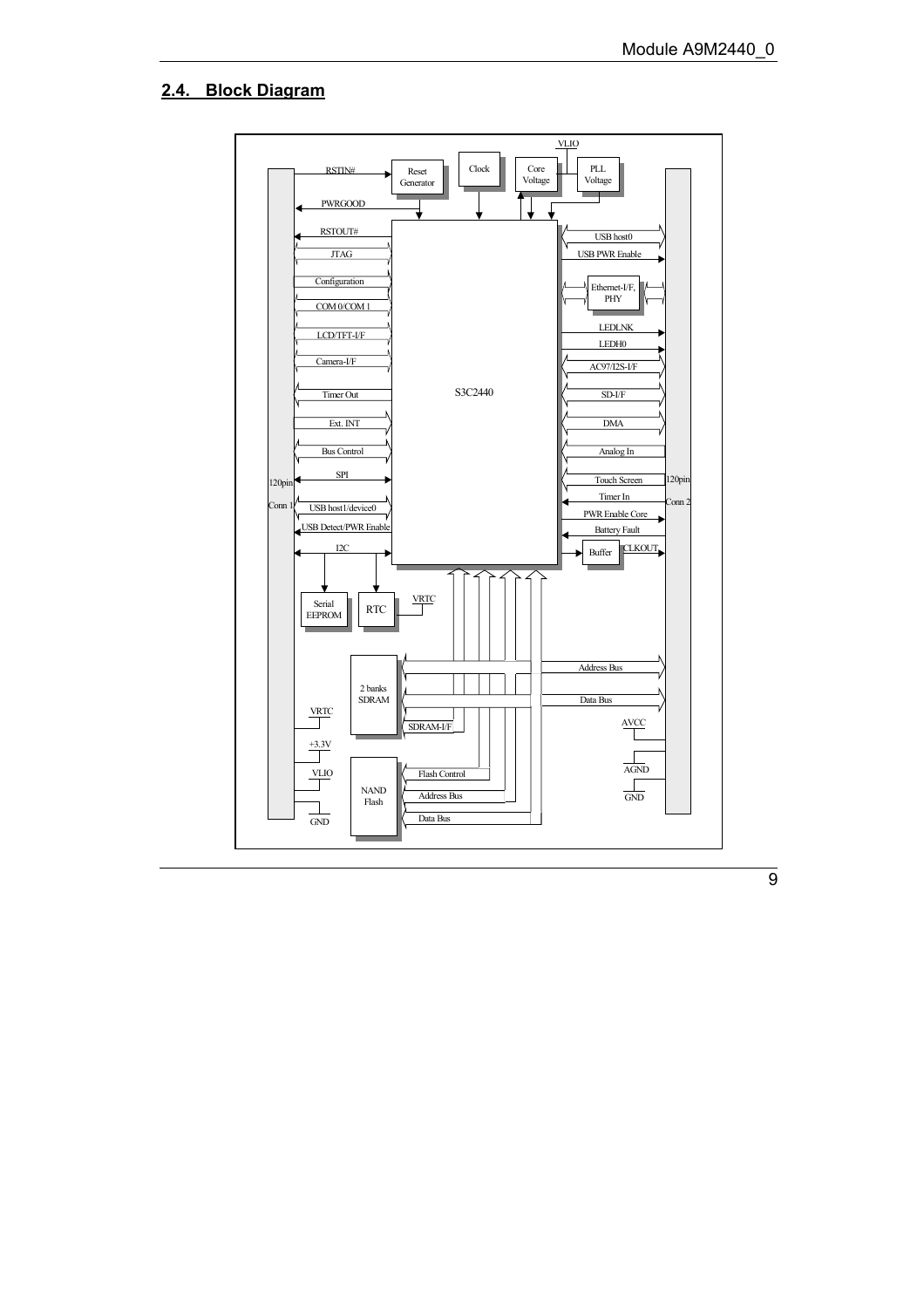#### **2.4. Block Diagram**

<span id="page-8-0"></span>

 $\overline{9}$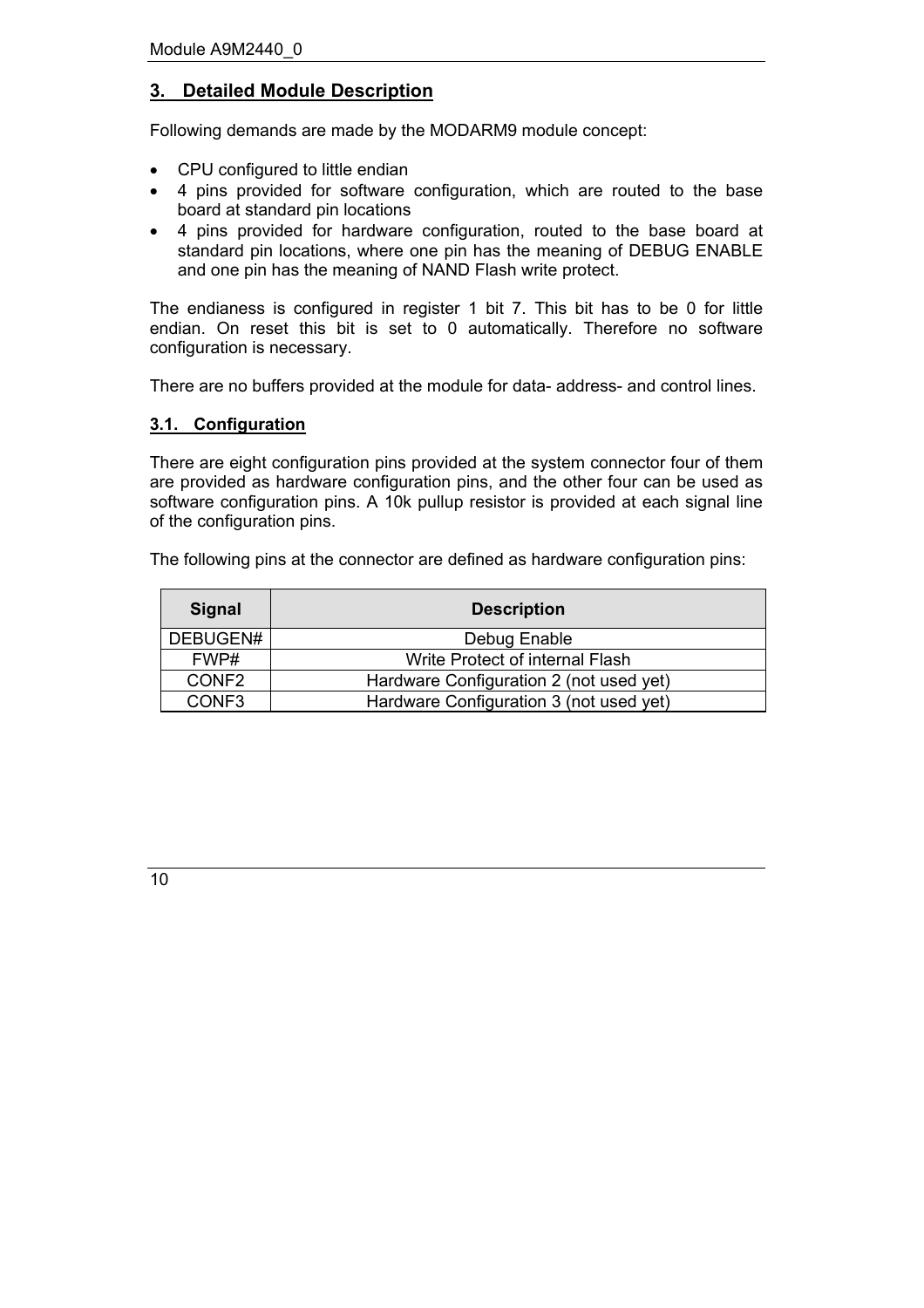## <span id="page-9-0"></span>**3. Detailed Module Description**

Following demands are made by the MODARM9 module concept:

- CPU configured to little endian
- 4 pins provided for software configuration, which are routed to the base board at standard pin locations
- 4 pins provided for hardware configuration, routed to the base board at standard pin locations, where one pin has the meaning of DEBUG ENABLE and one pin has the meaning of NAND Flash write protect.

The endianess is configured in register 1 bit 7. This bit has to be 0 for little endian. On reset this bit is set to 0 automatically. Therefore no software configuration is necessary.

There are no buffers provided at the module for data- address- and control lines.

#### <span id="page-9-1"></span>**3.1. Configuration**

There are eight configuration pins provided at the system connector four of them are provided as hardware configuration pins, and the other four can be used as software configuration pins. A 10k pullup resistor is provided at each signal line of the configuration pins.

The following pins at the connector are defined as hardware configuration pins:

| <b>Signal</b>     | <b>Description</b>                      |  |  |
|-------------------|-----------------------------------------|--|--|
| DEBUGEN#          | Debug Enable                            |  |  |
| FWP#              | Write Protect of internal Flash         |  |  |
| CONF <sub>2</sub> | Hardware Configuration 2 (not used yet) |  |  |
| CONF <sub>3</sub> | Hardware Configuration 3 (not used yet) |  |  |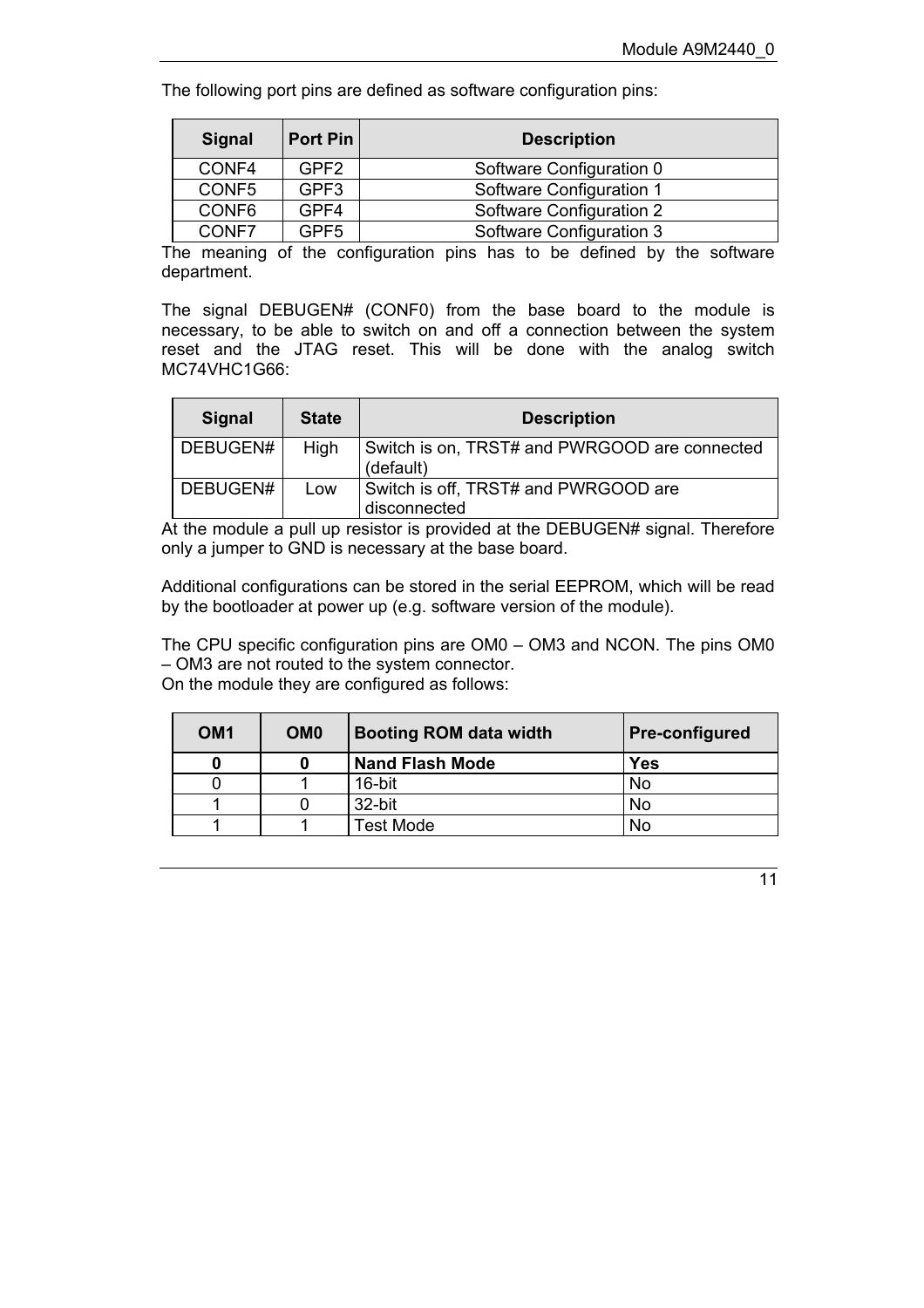The following port pins are defined as software configuration pins:

| <b>Signal</b> | Port Pin         | <b>Description</b>       |  |
|---------------|------------------|--------------------------|--|
| CONF4         | GPF <sub>2</sub> | Software Configuration 0 |  |
| CONF5         | GPF3             | Software Configuration 1 |  |
| CONF6         | GPF4             | Software Configuration 2 |  |
| CONF7         | GPF5             | Software Configuration 3 |  |

The meaning of the configuration pins has to be defined by the software department.

The signal DEBUGEN# (CONF0) from the base board to the module is necessary, to be able to switch on and off a connection between the system reset and the JTAG reset. This will be done with the analog switch MC74VHC1G66:

| <b>Signal</b> | <b>State</b> | <b>Description</b>                                         |
|---------------|--------------|------------------------------------------------------------|
| DEBUGEN#      | High         | Switch is on, TRST# and PWRGOOD are connected<br>(default) |
| DEBUGEN#      | Low          | Switch is off, TRST# and PWRGOOD are<br>disconnected       |

At the module a pull up resistor is provided at the DEBUGEN# signal. Therefore only a jumper to GND is necessary at the base board.

Additional configurations can be stored in the serial EEPROM, which will be read by the bootloader at power up (e.g. software version of the module).

The CPU specific configuration pins are  $OM0 - OM3$  and NCON. The pins  $OM0$ – OM3 are not routed to the system connector. On the module they are configured as follows:

| OM <sub>1</sub> | OM <sub>0</sub> | <b>Booting ROM data width</b> | <b>Pre-configured</b> |
|-----------------|-----------------|-------------------------------|-----------------------|
|                 |                 | <b>Nand Flash Mode</b>        | <b>Yes</b>            |
|                 |                 | 16-bit                        | <b>No</b>             |
|                 |                 | 32-bit                        | <b>No</b>             |
|                 |                 | <b>Test Mode</b>              | No                    |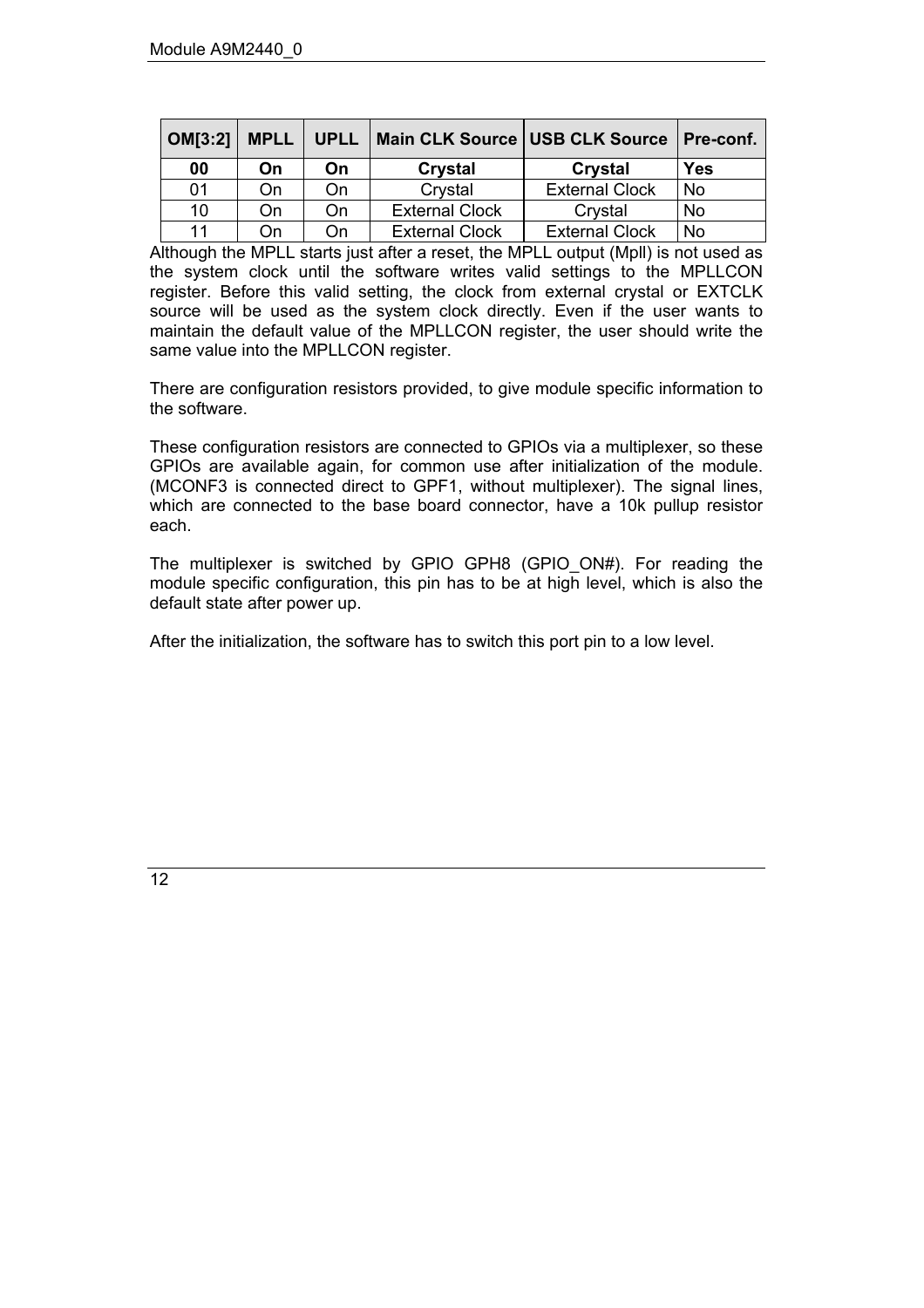| <b>OM[3:2]</b> | <b>MPLL</b> | <b>UPLL</b> | Main CLK Source USB CLK Source |                       | <b>Pre-conf.</b> |
|----------------|-------------|-------------|--------------------------------|-----------------------|------------------|
| 00             | On          | On          | Crystal                        | Crystal               | Yes              |
| 01             | On          | On          | Crystal                        | <b>External Clock</b> | No               |
| 10             | On          | On          | <b>External Clock</b>          | Crystal               | No               |
| 11             | On          | On          | <b>External Clock</b>          | <b>External Clock</b> | No               |

Although the MPLL starts just after a reset, the MPLL output (Mpll) is not used as the system clock until the software writes valid settings to the MPLLCON register. Before this valid setting, the clock from external crystal or EXTCLK source will be used as the system clock directly. Even if the user wants to maintain the default value of the MPLLCON register, the user should write the same value into the MPLLCON register.

There are configuration resistors provided, to give module specific information to the software.

These configuration resistors are connected to GPIOs via a multiplexer, so these GPIOs are available again, for common use after initialization of the module. (MCONF3 is connected direct to GPF1, without multiplexer). The signal lines, which are connected to the base board connector, have a 10k pullup resistor each.

The multiplexer is switched by GPIO GPH8 (GPIO\_ON#). For reading the module specific configuration, this pin has to be at high level, which is also the default state after power up.

After the initialization, the software has to switch this port pin to a low level.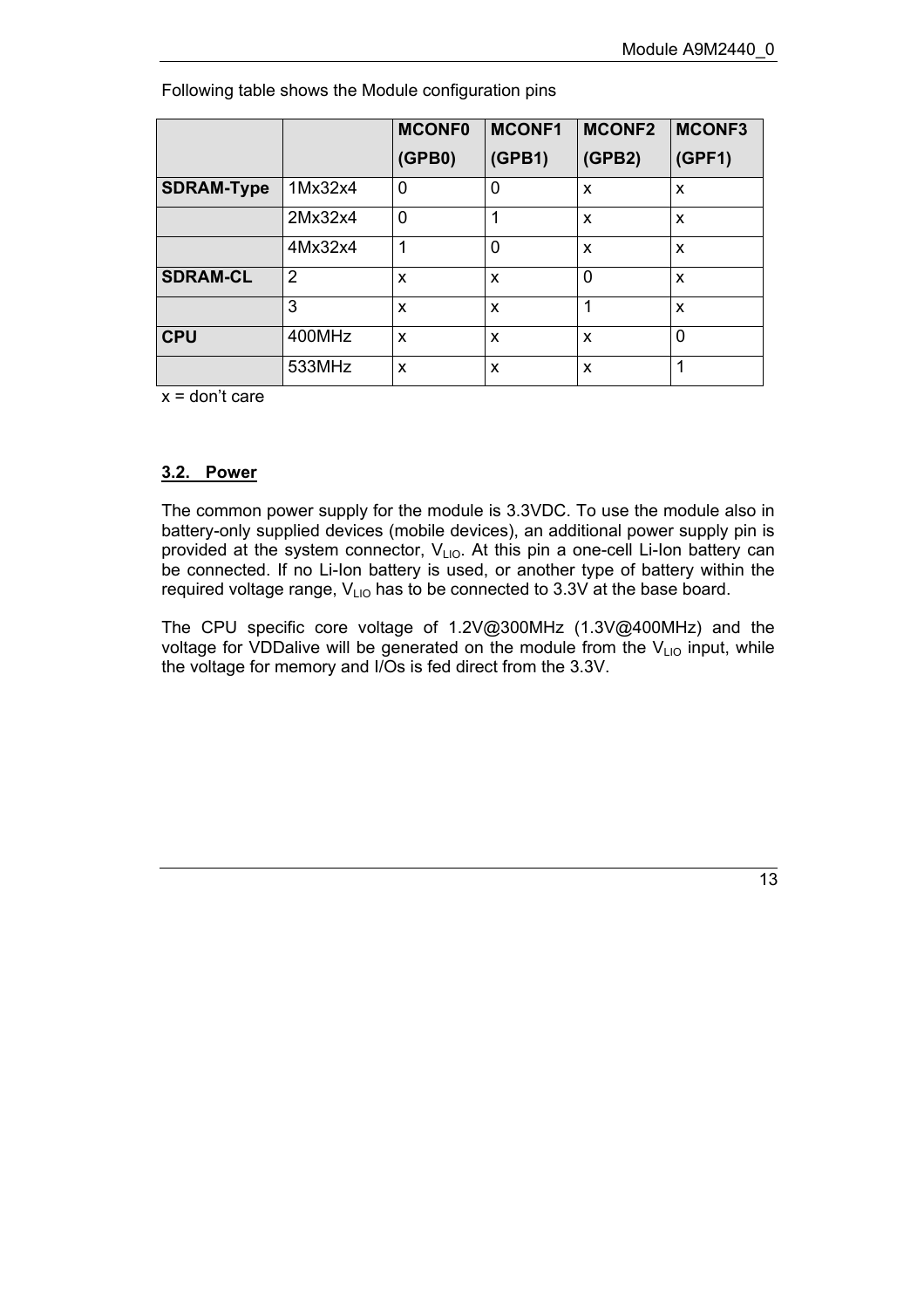|                   |         | <b>MCONF0</b>  | <b>MCONF1</b> | <b>MCONF2</b> | <b>MCONF3</b>             |
|-------------------|---------|----------------|---------------|---------------|---------------------------|
|                   |         | (GPBO)         | (GPB1)        | (GPB2)        | (GPF1)                    |
| <b>SDRAM-Type</b> | 1Mx32x4 | $\overline{0}$ | 0             | X             | X                         |
|                   | 2Mx32x4 | $\overline{0}$ | 1             | x             | x                         |
|                   | 4Mx32x4 | 1              | $\Omega$      | X             | X                         |
| <b>SDRAM-CL</b>   | 2       | X              | X             | 0             | $\boldsymbol{\mathsf{x}}$ |
|                   | 3       | x              | x             |               | x                         |
| <b>CPU</b>        | 400MHz  | X              | x             | x             | 0                         |
|                   | 533MHz  | X              | X             | X             | ◢                         |

Following table shows the Module configuration pins

 $x =$  don't care

#### <span id="page-12-0"></span>**3.2. Power**

The common power supply for the module is 3.3VDC. To use the module also in battery-only supplied devices (mobile devices), an additional power supply pin is provided at the system connector,  $V_{LIO}$ . At this pin a one-cell Li-Ion battery can be connected. If no Li-Ion battery is used, or another type of battery within the required voltage range,  $V_{LIO}$  has to be connected to 3.3V at the base board.

The CPU specific core voltage of 1.2V@300MHz (1.3V@400MHz) and the voltage for VDDalive will be generated on the module from the  $V_{LIO}$  input, while the voltage for memory and I/Os is fed direct from the 3.3V.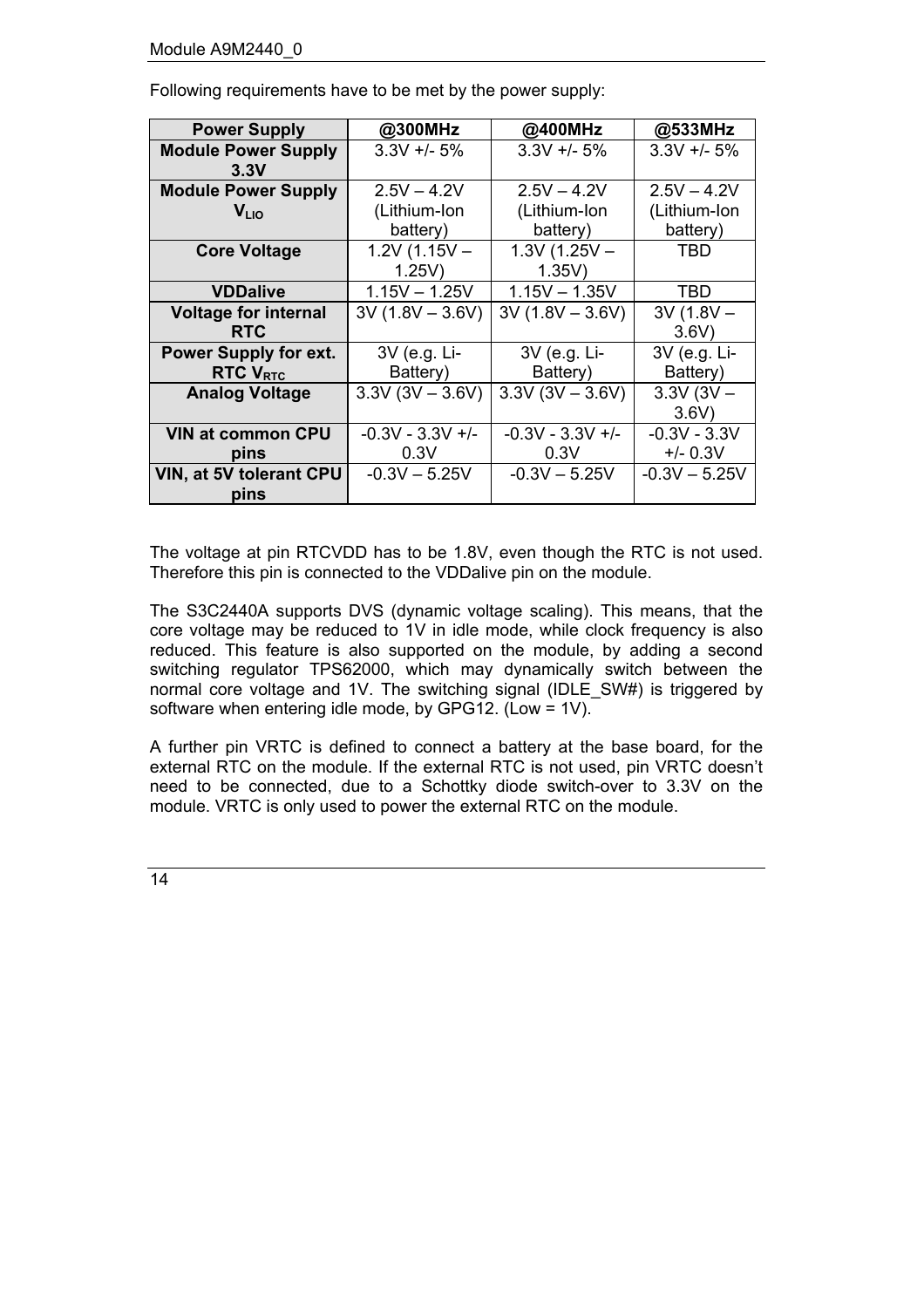| <b>Power Supply</b>          | @300MHz             | @400MHz            | @533MHz         |
|------------------------------|---------------------|--------------------|-----------------|
| <b>Module Power Supply</b>   | $3.3V + 5%$         | $3.3V + 5%$        | $3.3V + 5%$     |
| 3.3V                         |                     |                    |                 |
| <b>Module Power Supply</b>   | $2.5V - 4.2V$       | $2.5V - 4.2V$      | $2.5V - 4.2V$   |
| V <sub>LIO</sub>             | (Lithium-Ion        | (Lithium-Ion       | (Lithium-Ion    |
|                              | battery)            | battery)           | battery)        |
| <b>Core Voltage</b>          | $1.2V(1.15V -$      | $1.3V(1.25V -$     | TBD             |
|                              | 1.25V               | $1.35V$ )          |                 |
| <b>VDDalive</b>              | $1.15V - 1.25V$     | $1.15V - 1.35V$    | TBD             |
| <b>Voltage for internal</b>  | $3V (1.8V - 3.6V)$  | $3V (1.8V - 3.6V)$ | $3V(1.8V -$     |
| <b>RTC</b>                   |                     |                    | 3.6V            |
| <b>Power Supply for ext.</b> | 3V (e.g. Li-        | 3V (e.g. Li-       | 3V (e.g. Li-    |
| <b>RTC V<sub>RTC</sub></b>   | Battery)            | Battery)           | Battery)        |
| <b>Analog Voltage</b>        | $3.3V(3V - 3.6V)$   | $3.3V(3V - 3.6V)$  | $3.3V(3V -$     |
|                              |                     |                    | 3.6V            |
| <b>VIN at common CPU</b>     | $-0.3V - 3.3V +$ /- | $-0.3V - 3.3V +$   | $-0.3V - 3.3V$  |
| pins                         | 0.3V                | 0.3V               | $+/- 0.3V$      |
| VIN, at 5V tolerant CPU      | $-0.3V - 5.25V$     | $-0.3V - 5.25V$    | $-0.3V - 5.25V$ |
| pins                         |                     |                    |                 |

Following requirements have to be met by the power supply:

The voltage at pin RTCVDD has to be 1.8V, even though the RTC is not used. Therefore this pin is connected to the VDDalive pin on the module.

The S3C2440A supports DVS (dynamic voltage scaling). This means, that the core voltage may be reduced to 1V in idle mode, while clock frequency is also reduced. This feature is also supported on the module, by adding a second switching regulator TPS62000, which may dynamically switch between the normal core voltage and 1V. The switching signal (IDLE\_SW#) is triggered by software when entering idle mode, by GPG12. (Low = 1V).

A further pin VRTC is defined to connect a battery at the base board, for the external RTC on the module. If the external RTC is not used, pin VRTC doesnít need to be connected, due to a Schottky diode switch-over to 3.3V on the module. VRTC is only used to power the external RTC on the module.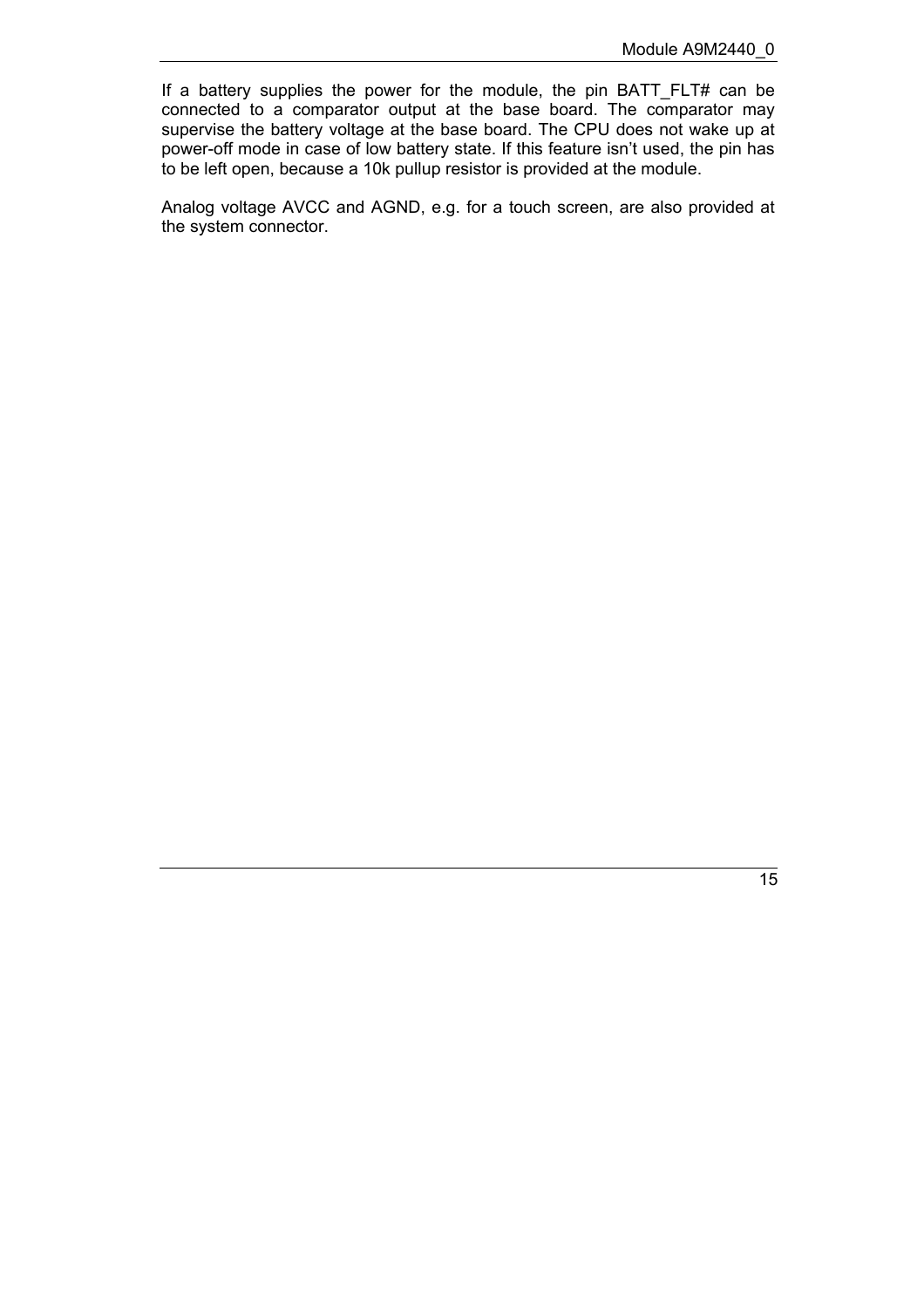If a battery supplies the power for the module, the pin BATT\_FLT# can be connected to a comparator output at the base board. The comparator may supervise the battery voltage at the base board. The CPU does not wake up at power-off mode in case of low battery state. If this feature isn't used, the pin has to be left open, because a 10k pullup resistor is provided at the module.

Analog voltage AVCC and AGND, e.g. for a touch screen, are also provided at the system connector.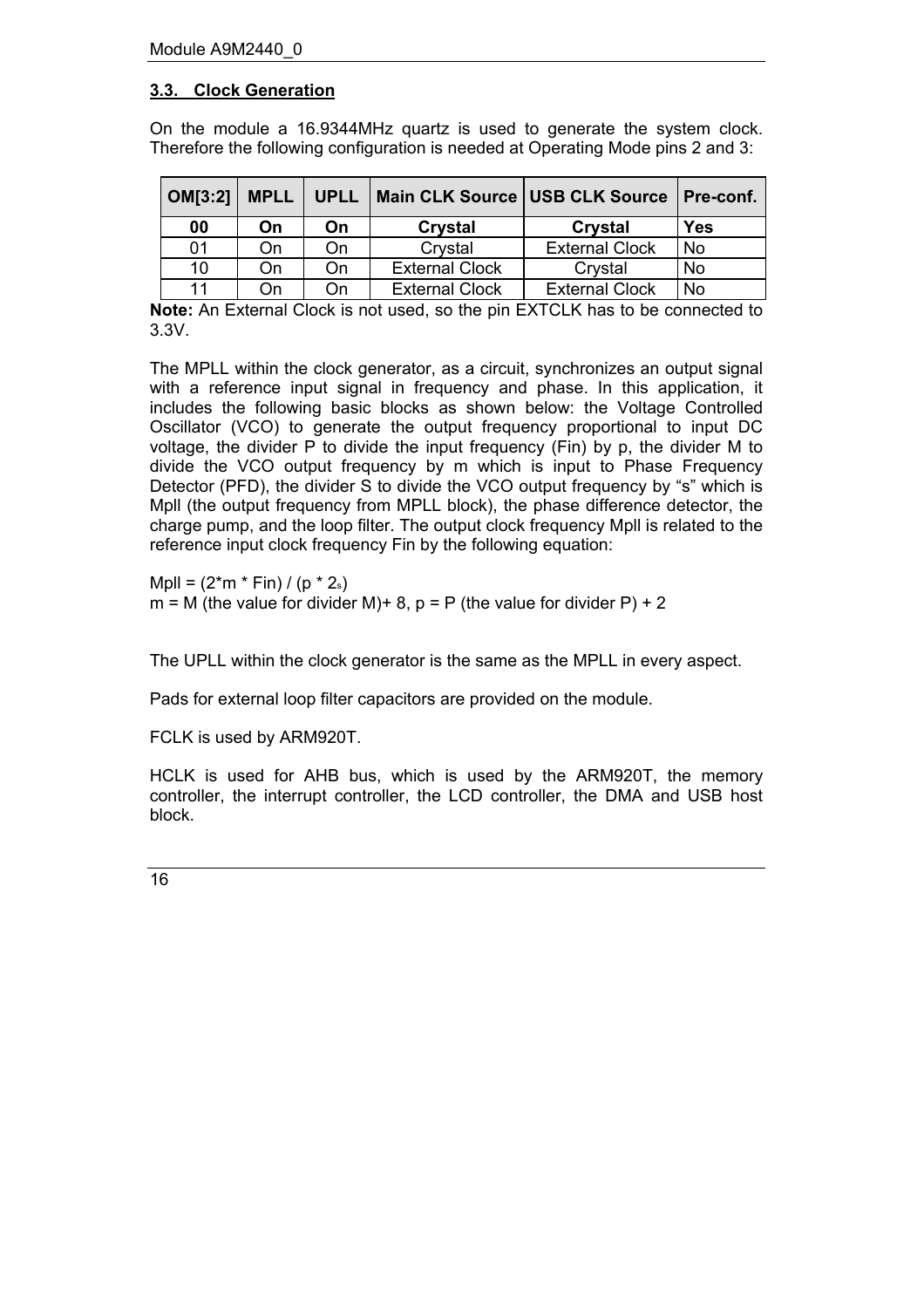## <span id="page-15-0"></span>**3.3. Clock Generation**

On the module a 16.9344MHz quartz is used to generate the system clock. Therefore the following configuration is needed at Operating Mode pins 2 and 3:

| OM[3:2] | <b>MPLL</b> | <b>UPLL</b> | Main CLK Source USB CLK Source |                       | <b>Pre-conf.</b> |
|---------|-------------|-------------|--------------------------------|-----------------------|------------------|
| 00      | On          | On          | Crystal                        | Crystal               | <b>Yes</b>       |
| 01      | On          | On          | Crystal                        | <b>External Clock</b> | No               |
| 10      | On          | On          | <b>External Clock</b>          | Crystal               | No               |
| 11      | Оn          | On          | <b>External Clock</b>          | <b>External Clock</b> | No               |

**Note:** An External Clock is not used, so the pin EXTCLK has to be connected to 3.3V.

The MPLL within the clock generator, as a circuit, synchronizes an output signal with a reference input signal in frequency and phase. In this application, it includes the following basic blocks as shown below: the Voltage Controlled Oscillator (VCO) to generate the output frequency proportional to input DC voltage, the divider P to divide the input frequency (Fin) by p, the divider M to divide the VCO output frequency by m which is input to Phase Frequency Detector (PFD), the divider S to divide the VCO output frequency by "s" which is Mpll (the output frequency from MPLL block), the phase difference detector, the charge pump, and the loop filter. The output clock frequency Mpll is related to the reference input clock frequency Fin by the following equation:

Mpll =  $(2<sup>*</sup>m * Fin) / (p * 2<sub>s</sub>)$  $m = M$  (the value for divider M)+ 8, p = P (the value for divider P) + 2

The UPLL within the clock generator is the same as the MPLL in every aspect.

Pads for external loop filter capacitors are provided on the module.

FCLK is used by ARM920T.

HCLK is used for AHB bus, which is used by the ARM920T, the memory controller, the interrupt controller, the LCD controller, the DMA and USB host block.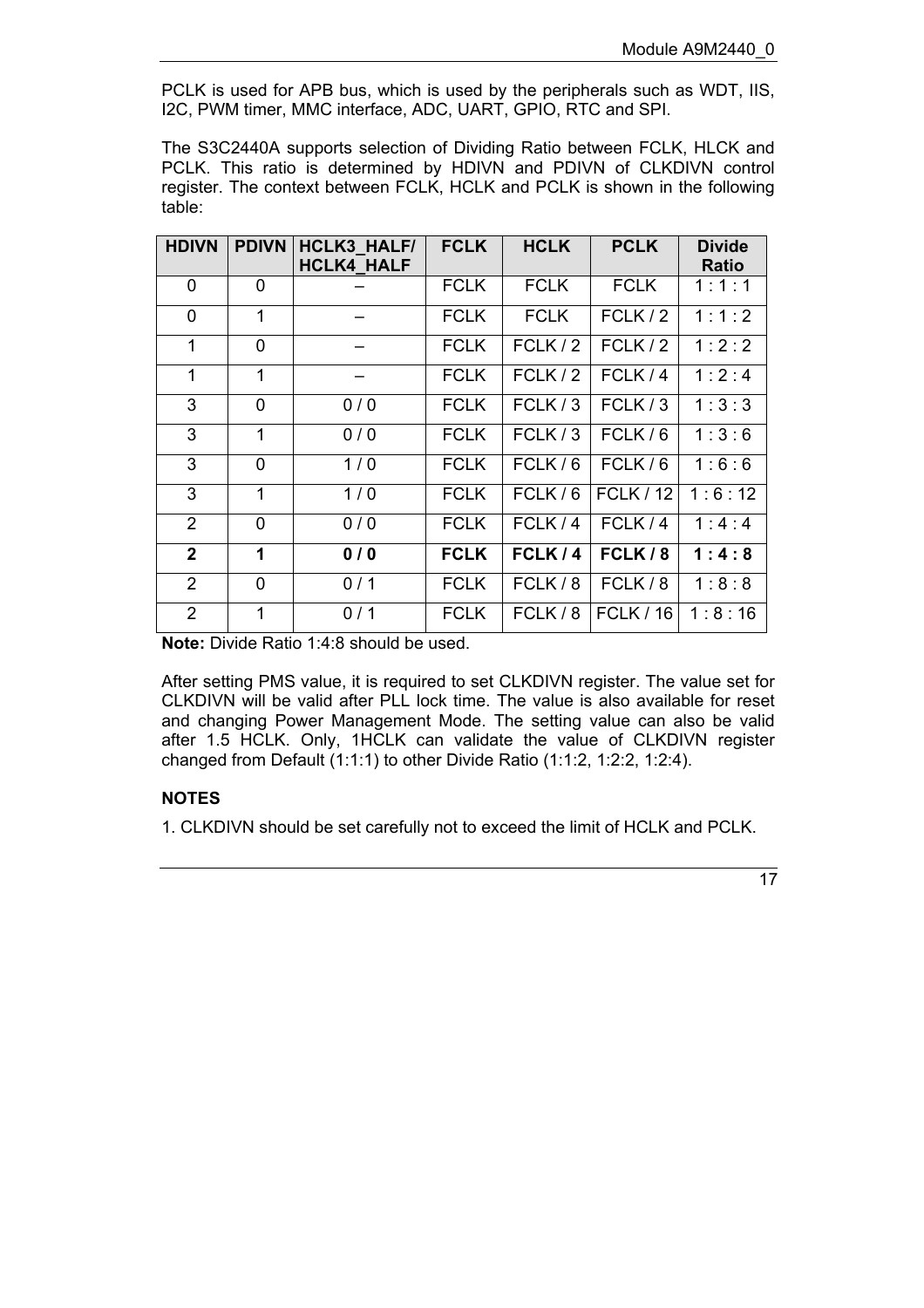PCLK is used for APB bus, which is used by the peripherals such as WDT, IIS, I2C, PWM timer, MMC interface, ADC, UART, GPIO, RTC and SPI.

The S3C2440A supports selection of Dividing Ratio between FCLK, HLCK and PCLK. This ratio is determined by HDIVN and PDIVN of CLKDIVN control register. The context between FCLK, HCLK and PCLK is shown in the following table:

| <b>HDIVN</b>   | <b>PDIVN</b> | <b>HCLK3 HALF/</b><br><b>HCLK4 HALF</b> | <b>FCLK</b> | <b>HCLK</b> | <b>PCLK</b>      | <b>Divide</b><br><b>Ratio</b> |
|----------------|--------------|-----------------------------------------|-------------|-------------|------------------|-------------------------------|
| $\mathbf 0$    | 0            |                                         | <b>FCLK</b> | <b>FCLK</b> | <b>FCLK</b>      | 1:1:1                         |
| $\mathbf 0$    | $\mathbf{1}$ |                                         | <b>FCLK</b> | <b>FCLK</b> | FCLK/2           | 1:1:2                         |
| 1              | 0            |                                         | <b>FCLK</b> | FCLK/2      | FCLK/2           | 1:2:2                         |
| $\mathbf{1}$   | 1            |                                         | <b>FCLK</b> | FCLK/2      | FCLK/4           | 1:2:4                         |
| 3              | 0            | 0/0                                     | <b>FCLK</b> | FCLK/3      | FCLK/3           | 1:3:3                         |
| 3              | 1            | 0/0                                     | <b>FCLK</b> | FCLK/3      | FCLK/6           | 1:3:6                         |
| 3              | 0            | 1/0                                     | <b>FCLK</b> | FCLK/6      | FCLK/6           | 1:6:6                         |
| 3              | 1            | 1/0                                     | <b>FCLK</b> | FCLK/6      | <b>FCLK / 12</b> | 1:6:12                        |
| 2              | 0            | 0/0                                     | <b>FCLK</b> | FCLK/4      | FCLK/4           | 1:4:4                         |
| $\overline{2}$ | 1            | 0/0                                     | <b>FCLK</b> | FCLK/4      | FCLK/8           | 1:4:8                         |
| $\overline{2}$ | 0            | 0/1                                     | <b>FCLK</b> | FCLK/8      | FCLK/8           | 1:8:8                         |
| $\overline{2}$ | 1            | 0/1                                     | <b>FCLK</b> | FCLK/8      | <b>FCLK / 16</b> | 1:8:16                        |

**Note:** Divide Ratio 1:4:8 should be used.

After setting PMS value, it is required to set CLKDIVN register. The value set for CLKDIVN will be valid after PLL lock time. The value is also available for reset and changing Power Management Mode. The setting value can also be valid after 1.5 HCLK. Only, 1HCLK can validate the value of CLKDIVN register changed from Default (1:1:1) to other Divide Ratio (1:1:2, 1:2:2, 1:2:4).

## **NOTES**

1. CLKDIVN should be set carefully not to exceed the limit of HCLK and PCLK.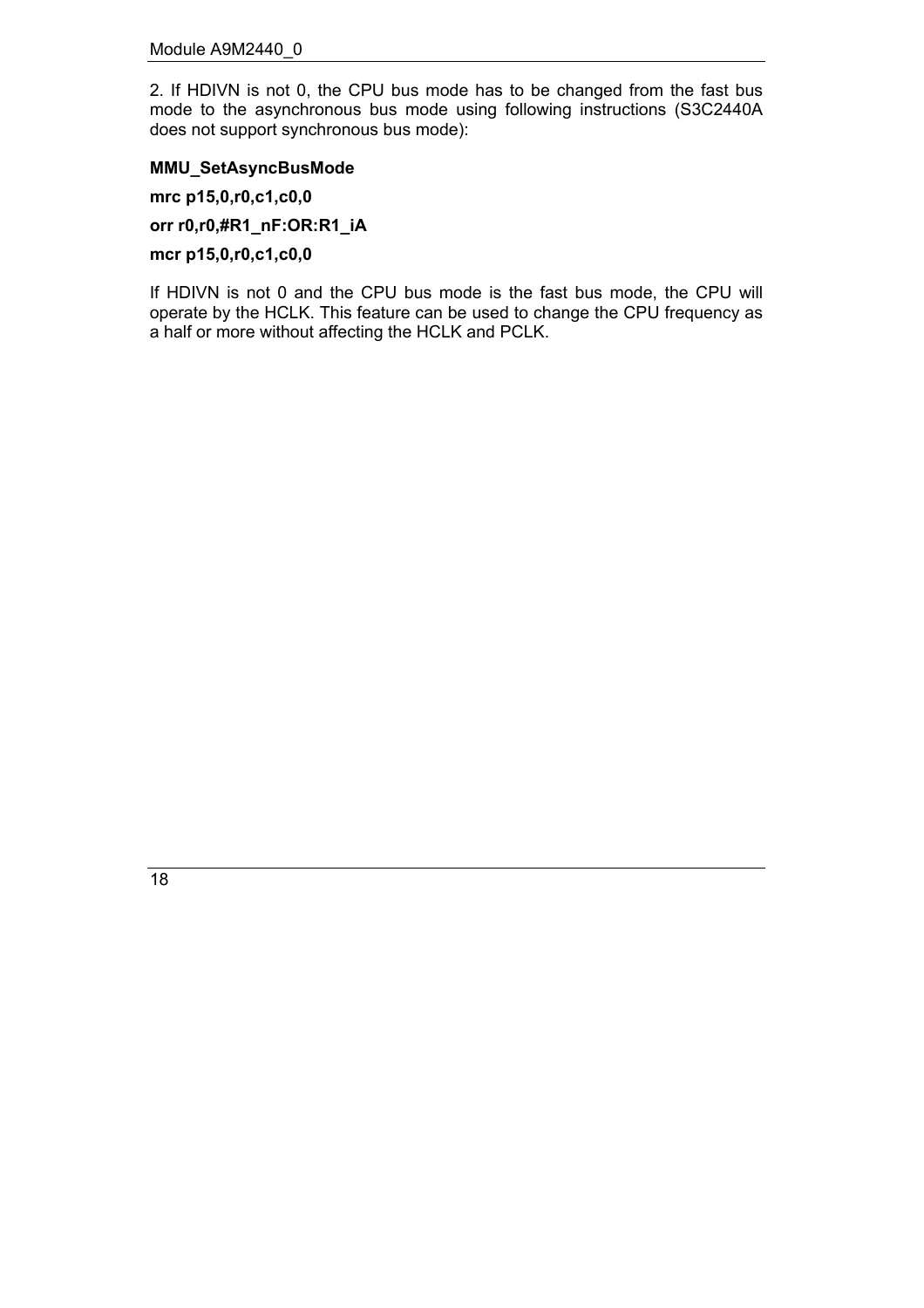2. If HDIVN is not 0, the CPU bus mode has to be changed from the fast bus mode to the asynchronous bus mode using following instructions (S3C2440A does not support synchronous bus mode):

#### **MMU\_SetAsyncBusMode**

**mrc p15,0,r0,c1,c0,0**

**orr r0,r0,#R1\_nF:OR:R1\_iA**

**mcr p15,0,r0,c1,c0,0**

If HDIVN is not 0 and the CPU bus mode is the fast bus mode, the CPU will operate by the HCLK. This feature can be used to change the CPU frequency as a half or more without affecting the HCLK and PCLK.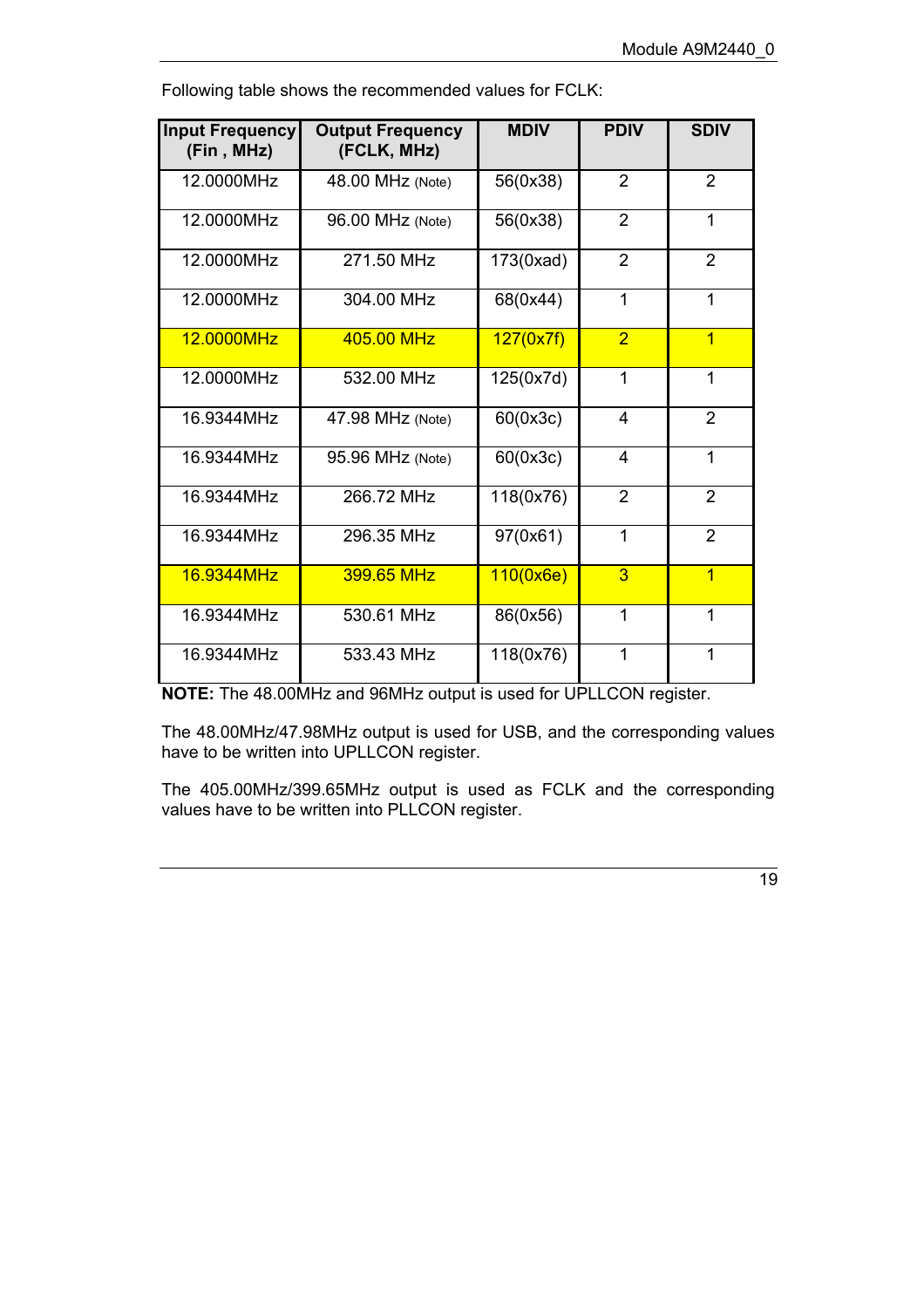| <b>Input Frequency</b><br>(Fin, MHz) | <b>Output Frequency</b><br>(FCLK, MHz) | <b>MDIV</b> | <b>PDIV</b>    | <b>SDIV</b>    |
|--------------------------------------|----------------------------------------|-------------|----------------|----------------|
| 12.0000MHz                           | 48.00 MHz (Note)                       | 56(0x38)    | $\overline{2}$ | $\overline{2}$ |
| 12.0000MHz                           | 96.00 MHz (Note)                       | 56(0x38)    | $\overline{2}$ | 1              |
| 12.0000MHz                           | 271.50 MHz                             | 173(0xad)   | $\overline{2}$ | 2              |
| 12.0000MHz                           | 304.00 MHz                             | 68(0x44)    | 1              | $\mathbf{1}$   |
| 12.0000MHz                           | 405.00 MHz                             | 127(0x7f)   | $\overline{2}$ | $\overline{1}$ |
| 12.0000MHz                           | 532.00 MHz                             | 125(0x7d)   | 1              | 1              |
| 16.9344MHz                           | 47.98 MHz (Note)                       | 60(0x3c)    | 4              | $\overline{2}$ |
| 16.9344MHz                           | 95.96 MHz (Note)                       | 60(0x3c)    | 4              | $\mathbf{1}$   |
| 16.9344MHz                           | 266.72 MHz                             | 118(0x76)   | $\overline{2}$ | $\overline{2}$ |
| 16.9344MHz                           | 296.35 MHz                             | 97(0x61)    | 1              | $\overline{2}$ |
| 16.9344MHz                           | 399.65 MHz                             | 110(0x6e)   | 3              | $\overline{1}$ |
| 16.9344MHz                           | 530.61 MHz                             | 86(0x56)    | 1              | 1              |
| 16.9344MHz                           | 533.43 MHz                             | 118(0x76)   | 1              | 1              |

Following table shows the recommended values for FCLK:

**NOTE:** The 48.00MHz and 96MHz output is used for UPLLCON register.

The 48.00MHz/47.98MHz output is used for USB, and the corresponding values have to be written into UPLLCON register.

The 405.00MHz/399.65MHz output is used as FCLK and the corresponding values have to be written into PLLCON register.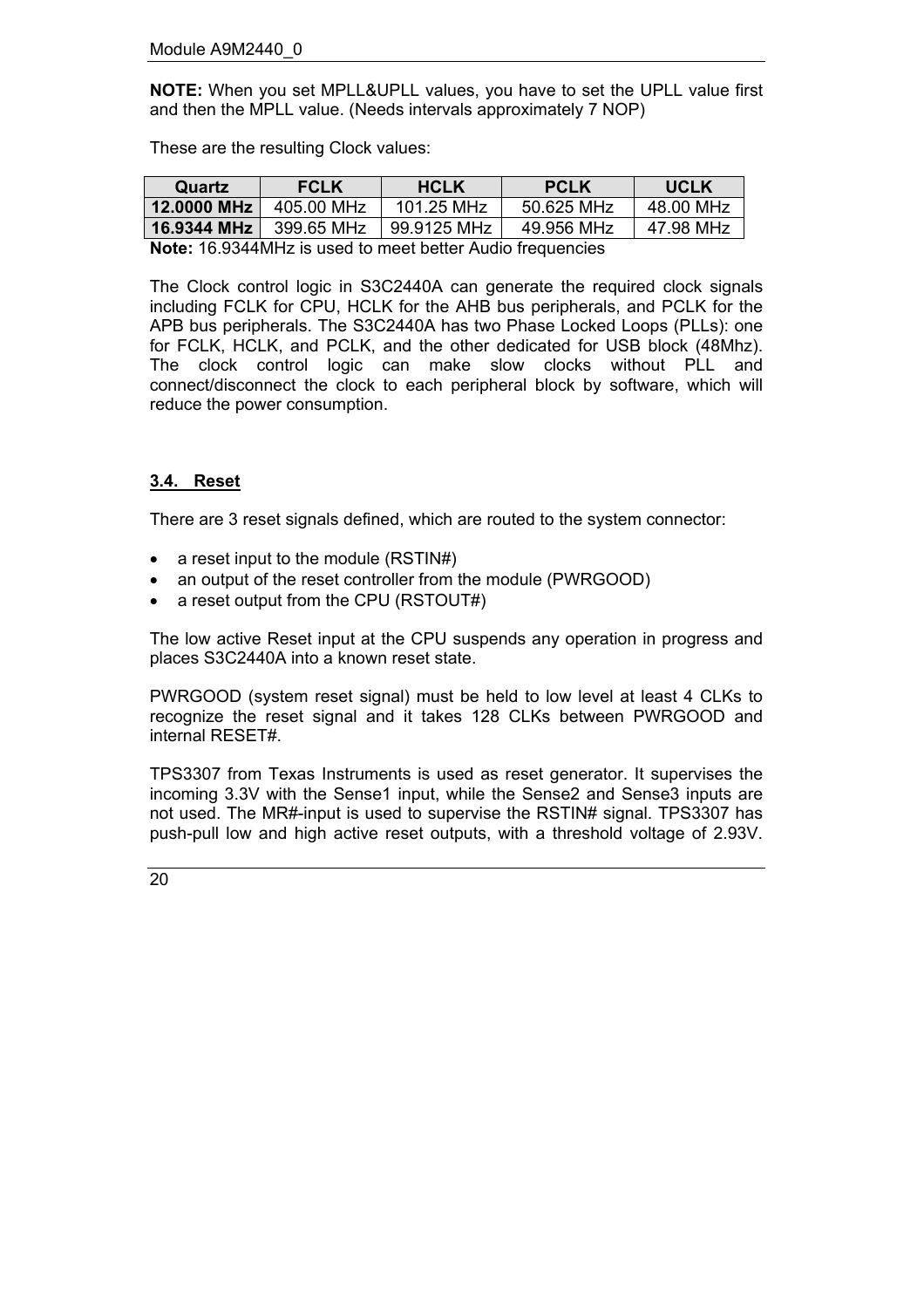**NOTE:** When you set MPLL&UPLL values, you have to set the UPLL value first and then the MPLL value. (Needs intervals approximately 7 NOP)

These are the resulting Clock values:

| Quartz                                                           | <b>FCLK</b> | <b>HCLK</b> | <b>PCLK</b> | <b>UCLK</b> |  |  |  |
|------------------------------------------------------------------|-------------|-------------|-------------|-------------|--|--|--|
| 12,0000 MHz                                                      | 405.00 MHz  | 101.25 MHz  | 50.625 MHz  | 48.00 MHz   |  |  |  |
| 16.9344 MHz                                                      | 399.65 MHz  | 99.9125 MHz | 49.956 MHz  | 47.98 MHz   |  |  |  |
| <b>Note:</b> 16.9344MHz is used to meet better Audio frequencies |             |             |             |             |  |  |  |

The Clock control logic in S3C2440A can generate the required clock signals including FCLK for CPU, HCLK for the AHB bus peripherals, and PCLK for the APB bus peripherals. The S3C2440A has two Phase Locked Loops (PLLs): one for FCLK, HCLK, and PCLK, and the other dedicated for USB block (48Mhz). The clock control logic can make slow clocks without PLL and connect/disconnect the clock to each peripheral block by software, which will

#### <span id="page-19-0"></span>**3.4. Reset**

There are 3 reset signals defined, which are routed to the system connector:

• a reset input to the module (RSTIN#)

reduce the power consumption.

- an output of the reset controller from the module (PWRGOOD)
- a reset output from the CPU (RSTOUT#)

The low active Reset input at the CPU suspends any operation in progress and places S3C2440A into a known reset state.

PWRGOOD (system reset signal) must be held to low level at least 4 CLKs to recognize the reset signal and it takes 128 CLKs between PWRGOOD and internal RESET#.

TPS3307 from Texas Instruments is used as reset generator. It supervises the incoming 3.3V with the Sense1 input, while the Sense2 and Sense3 inputs are not used. The MR#-input is used to supervise the RSTIN# signal. TPS3307 has push-pull low and high active reset outputs, with a threshold voltage of 2.93V.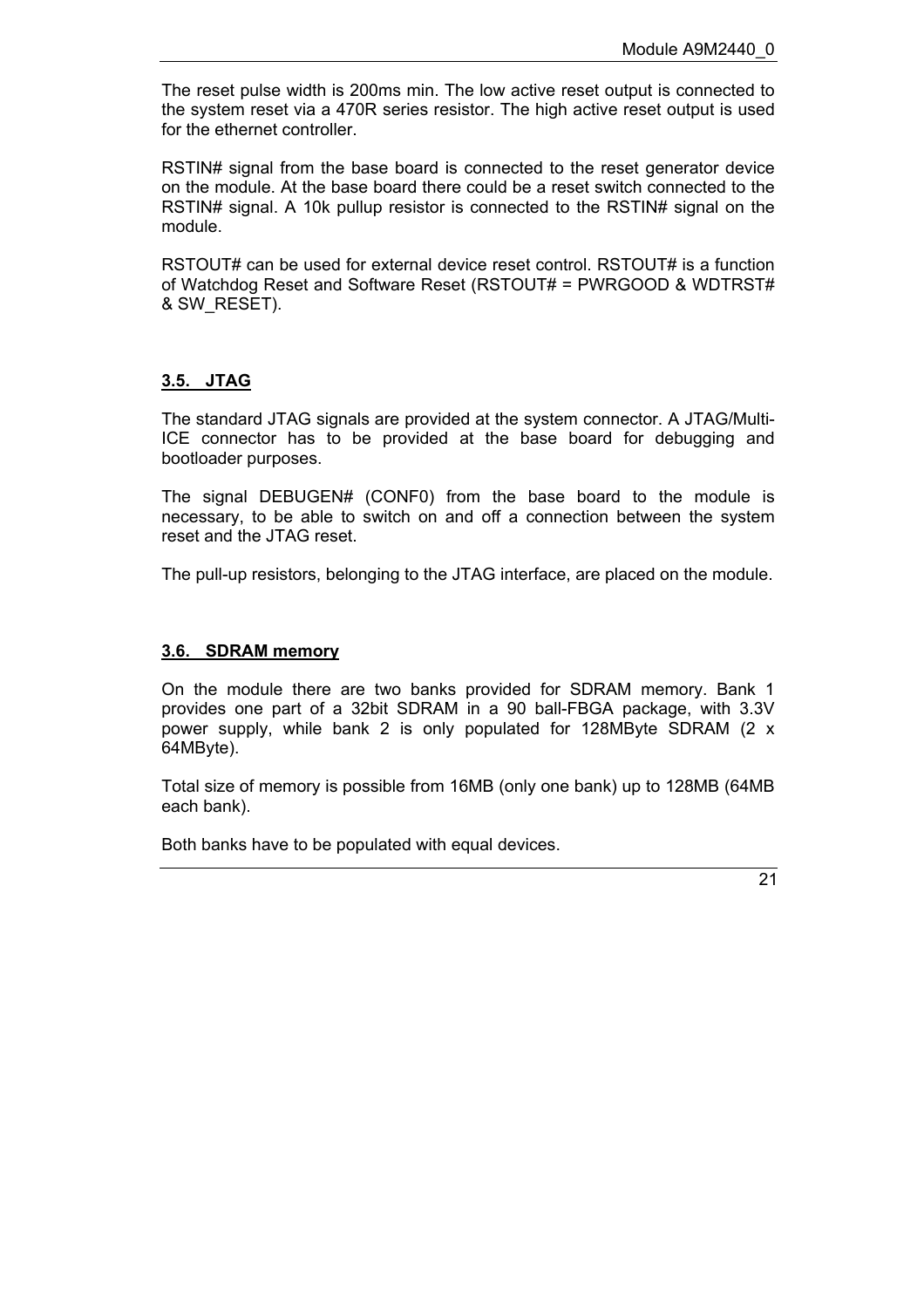The reset pulse width is 200ms min. The low active reset output is connected to the system reset via a 470R series resistor. The high active reset output is used for the ethernet controller.

RSTIN# signal from the base board is connected to the reset generator device on the module. At the base board there could be a reset switch connected to the RSTIN# signal. A 10k pullup resistor is connected to the RSTIN# signal on the module.

RSTOUT# can be used for external device reset control. RSTOUT# is a function of Watchdog Reset and Software Reset (RSTOUT# = PWRGOOD & WDTRST# & SW\_RESET).

## <span id="page-20-0"></span>**3.5. JTAG**

The standard JTAG signals are provided at the system connector. A JTAG/Multi-ICE connector has to be provided at the base board for debugging and bootloader purposes.

The signal DEBUGEN# (CONF0) from the base board to the module is necessary, to be able to switch on and off a connection between the system reset and the JTAG reset.

The pull-up resistors, belonging to the JTAG interface, are placed on the module.

#### <span id="page-20-1"></span>**3.6. SDRAM memory**

On the module there are two banks provided for SDRAM memory. Bank 1 provides one part of a 32bit SDRAM in a 90 ball-FBGA package, with 3.3V power supply, while bank 2 is only populated for 128MByte SDRAM (2 x 64MByte).

Total size of memory is possible from 16MB (only one bank) up to 128MB (64MB each bank).

Both banks have to be populated with equal devices.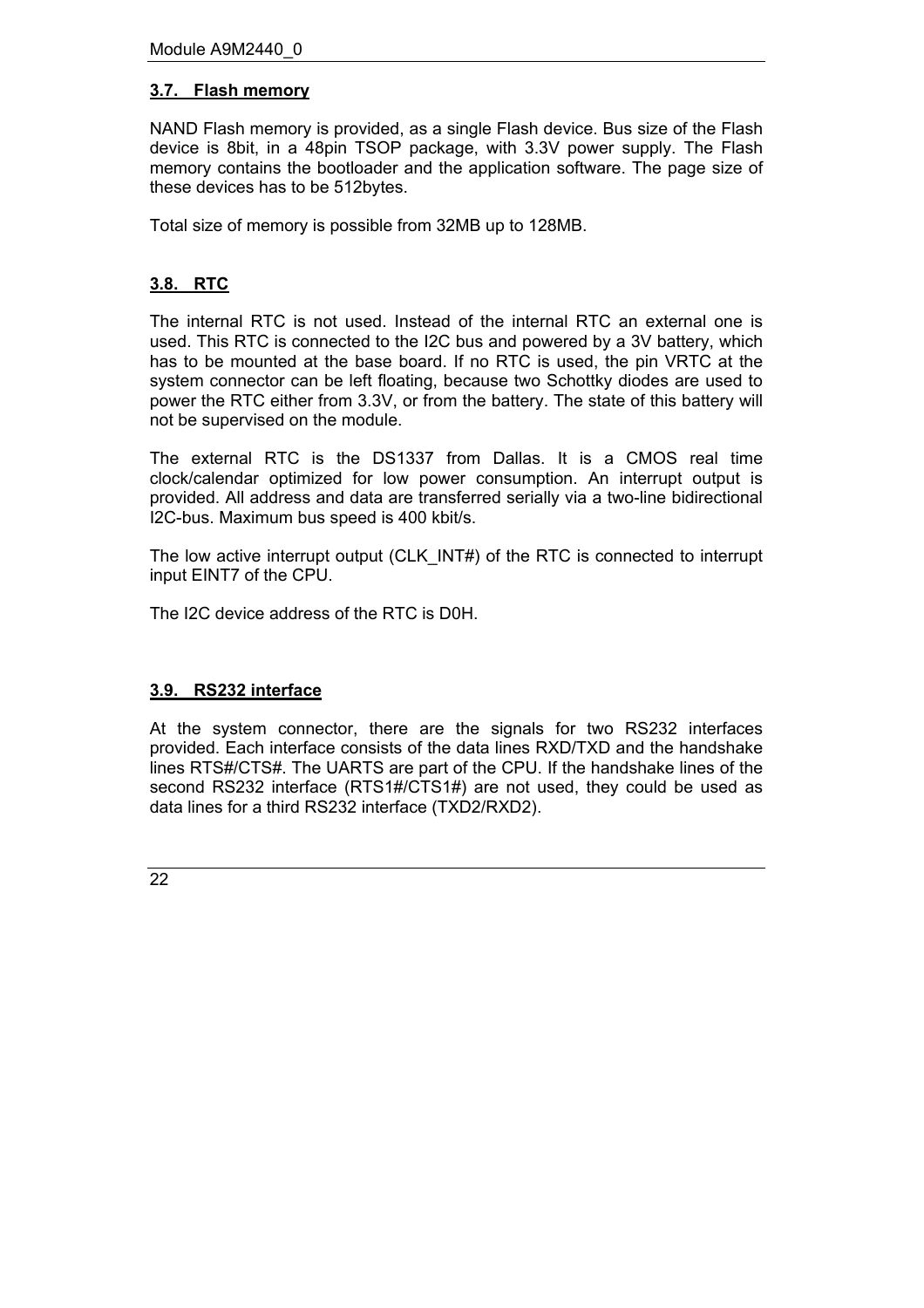## <span id="page-21-0"></span>**3.7. Flash memory**

NAND Flash memory is provided, as a single Flash device. Bus size of the Flash device is 8bit, in a 48pin TSOP package, with 3.3V power supply. The Flash memory contains the bootloader and the application software. The page size of these devices has to be 512bytes.

Total size of memory is possible from 32MB up to 128MB.

## <span id="page-21-1"></span>**3.8. RTC**

The internal RTC is not used. Instead of the internal RTC an external one is used. This RTC is connected to the I2C bus and powered by a 3V battery, which has to be mounted at the base board. If no RTC is used, the pin VRTC at the system connector can be left floating, because two Schottky diodes are used to power the RTC either from 3.3V, or from the battery. The state of this battery will not be supervised on the module.

The external RTC is the DS1337 from Dallas. It is a CMOS real time clock/calendar optimized for low power consumption. An interrupt output is provided. All address and data are transferred serially via a two-line bidirectional I2C-bus. Maximum bus speed is 400 kbit/s.

The low active interrupt output (CLK\_INT#) of the RTC is connected to interrupt input EINT7 of the CPU.

The I2C device address of the RTC is D0H.

## <span id="page-21-2"></span>**3.9. RS232 interface**

At the system connector, there are the signals for two RS232 interfaces provided. Each interface consists of the data lines RXD/TXD and the handshake lines RTS#/CTS#. The UARTS are part of the CPU. If the handshake lines of the second RS232 interface (RTS1#/CTS1#) are not used, they could be used as data lines for a third RS232 interface (TXD2/RXD2).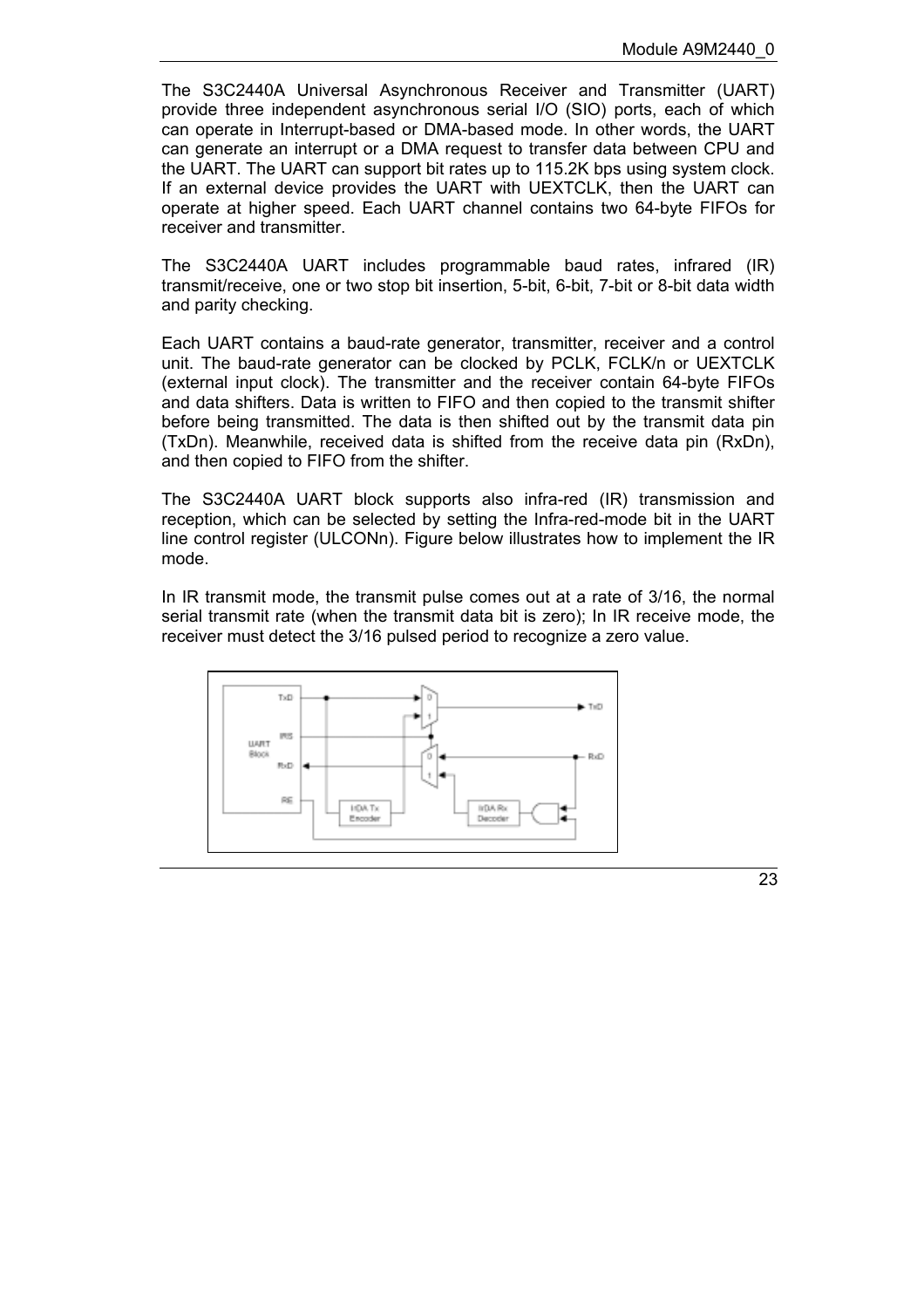The S3C2440A Universal Asynchronous Receiver and Transmitter (UART) provide three independent asynchronous serial I/O (SIO) ports, each of which can operate in Interrupt-based or DMA-based mode. In other words, the UART can generate an interrupt or a DMA request to transfer data between CPU and the UART. The UART can support bit rates up to 115.2K bps using system clock. If an external device provides the UART with UEXTCLK, then the UART can operate at higher speed. Each UART channel contains two 64-byte FIFOs for receiver and transmitter.

The S3C2440A UART includes programmable baud rates, infrared (IR) transmit/receive, one or two stop bit insertion, 5-bit, 6-bit, 7-bit or 8-bit data width and parity checking.

Each UART contains a baud-rate generator, transmitter, receiver and a control unit. The baud-rate generator can be clocked by PCLK, FCLK/n or UEXTCLK (external input clock). The transmitter and the receiver contain 64-byte FIFOs and data shifters. Data is written to FIFO and then copied to the transmit shifter before being transmitted. The data is then shifted out by the transmit data pin (TxDn). Meanwhile, received data is shifted from the receive data pin (RxDn), and then copied to FIFO from the shifter.

The S3C2440A UART block supports also infra-red (IR) transmission and reception, which can be selected by setting the Infra-red-mode bit in the UART line control register (ULCONn). Figure below illustrates how to implement the IR mode.

In IR transmit mode, the transmit pulse comes out at a rate of 3/16, the normal serial transmit rate (when the transmit data bit is zero); In IR receive mode, the receiver must detect the 3/16 pulsed period to recognize a zero value.



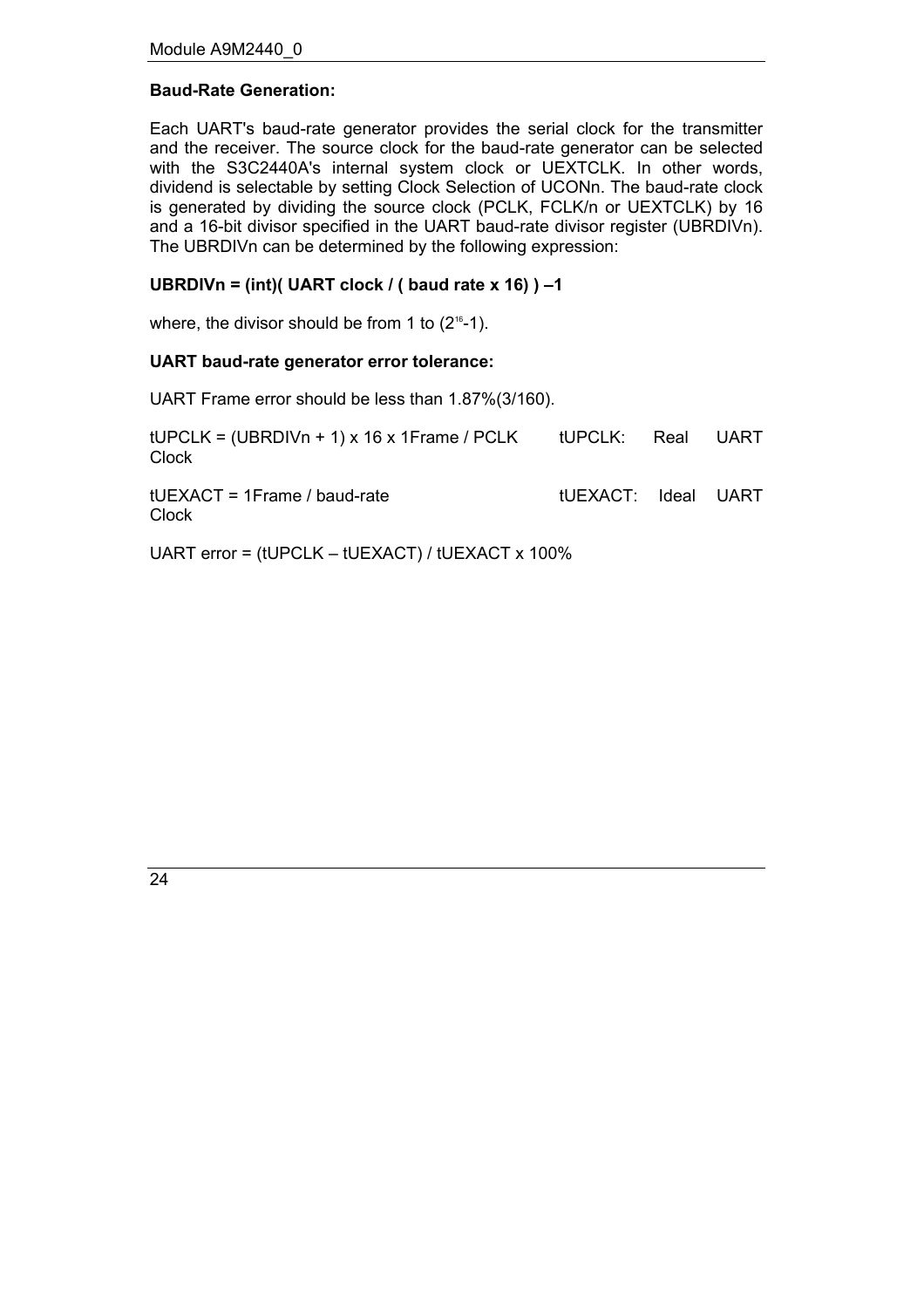## **Baud-Rate Generation:**

Each UART's baud-rate generator provides the serial clock for the transmitter and the receiver. The source clock for the baud-rate generator can be selected with the S3C2440A's internal system clock or UEXTCLK. In other words, dividend is selectable by setting Clock Selection of UCONn. The baud-rate clock is generated by dividing the source clock (PCLK, FCLK/n or UEXTCLK) by 16 and a 16-bit divisor specified in the UART baud-rate divisor register (UBRDIVn). The UBRDIVn can be determined by the following expression:

## UBRDIVn = (int)( UART clock / ( baud rate  $x$  16)  $-1$

where, the divisor should be from 1 to  $(2^{16}-1)$ .

#### **UART baud-rate generator error tolerance:**

UART Frame error should be less than 1.87%(3/160).

| $tUPCLK = (UBRDIVn + 1) \times 16 \times 1$ Frame / PCLK<br><b>Clock</b> | tUPCLK: Real UART   |  |
|--------------------------------------------------------------------------|---------------------|--|
| $tUEXACT = 1Frame / baud-rate$<br><b>Clock</b>                           | tUEXACT: Ideal UART |  |

UART error =  $tUPCLK - tUEXACT$ ) /  $tUEXACT \times 100\%$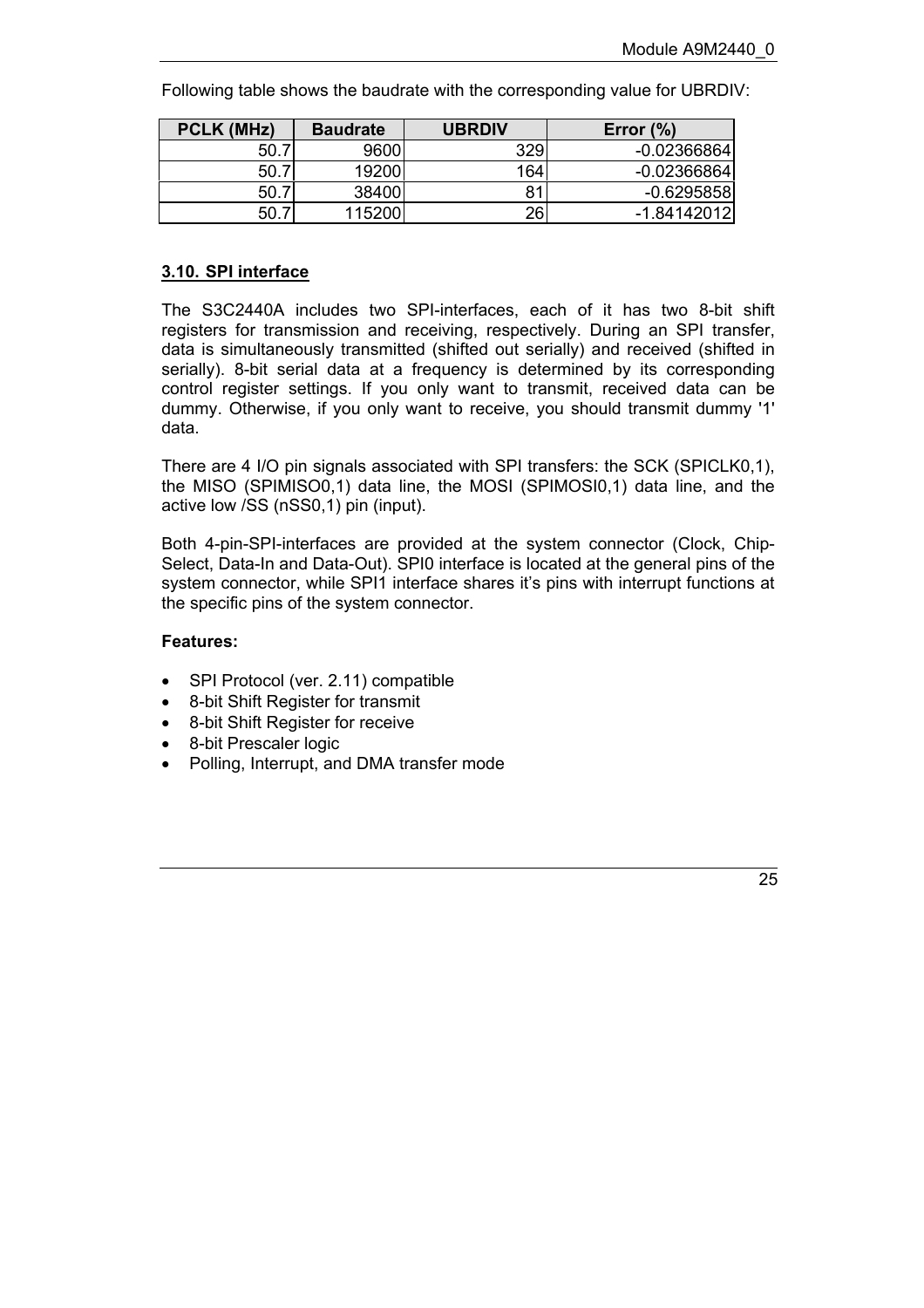Following table shows the baudrate with the corresponding value for UBRDIV:

| PCLK (MHz) | <b>Baudrate</b> | <b>UBRDIV</b> | (9)<br>Error  |
|------------|-----------------|---------------|---------------|
| 50. .      | 9600            | 329           | $-0.02366864$ |
| 50.7       | 19200           | 164           | $-0.02366864$ |
| .50.       | 38400           | 81            | $-0.6295858$  |
| 50         | 115200          | 26            | $-1.84142012$ |

#### <span id="page-24-0"></span>**3.10. SPI interface**

The S3C2440A includes two SPI-interfaces, each of it has two 8-bit shift registers for transmission and receiving, respectively. During an SPI transfer, data is simultaneously transmitted (shifted out serially) and received (shifted in serially). 8-bit serial data at a frequency is determined by its corresponding control register settings. If you only want to transmit, received data can be dummy. Otherwise, if you only want to receive, you should transmit dummy '1' data.

There are 4 I/O pin signals associated with SPI transfers: the SCK (SPICLK0,1), the MISO (SPIMISO0,1) data line, the MOSI (SPIMOSI0,1) data line, and the active low /SS (nSS0,1) pin (input).

Both 4-pin-SPI-interfaces are provided at the system connector (Clock, Chip-Select, Data-In and Data-Out). SPI0 interface is located at the general pins of the system connector, while SPI1 interface shares it's pins with interrupt functions at the specific pins of the system connector.

#### **Features:**

- SPI Protocol (ver. 2.11) compatible
- 8-bit Shift Register for transmit
- 8-bit Shift Register for receive
- 8-bit Prescaler logic
- Polling, Interrupt, and DMA transfer mode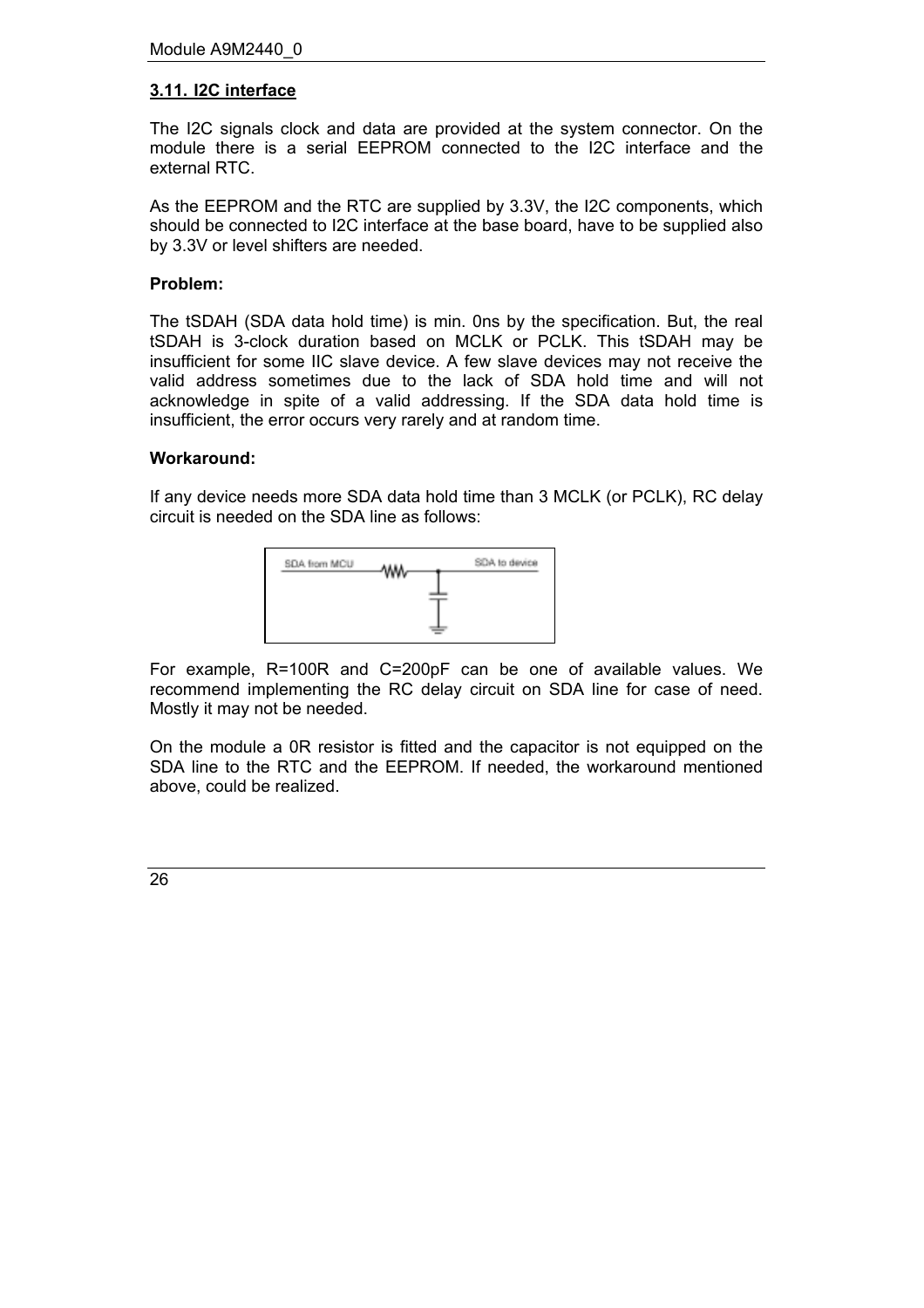## <span id="page-25-0"></span>**3.11. I2C interface**

The I2C signals clock and data are provided at the system connector. On the module there is a serial EEPROM connected to the I2C interface and the external RTC.

As the EEPROM and the RTC are supplied by 3.3V, the I2C components, which should be connected to I2C interface at the base board, have to be supplied also by 3.3V or level shifters are needed.

#### **Problem:**

The tSDAH (SDA data hold time) is min. 0ns by the specification. But, the real tSDAH is 3-clock duration based on MCLK or PCLK. This tSDAH may be insufficient for some IIC slave device. A few slave devices may not receive the valid address sometimes due to the lack of SDA hold time and will not acknowledge in spite of a valid addressing. If the SDA data hold time is insufficient, the error occurs very rarely and at random time.

#### **Workaround:**

If any device needs more SDA data hold time than 3 MCLK (or PCLK), RC delay circuit is needed on the SDA line as follows:



For example, R=100R and C=200pF can be one of available values. We recommend implementing the RC delay circuit on SDA line for case of need. Mostly it may not be needed.

On the module a 0R resistor is fitted and the capacitor is not equipped on the SDA line to the RTC and the EEPROM. If needed, the workaround mentioned above, could be realized.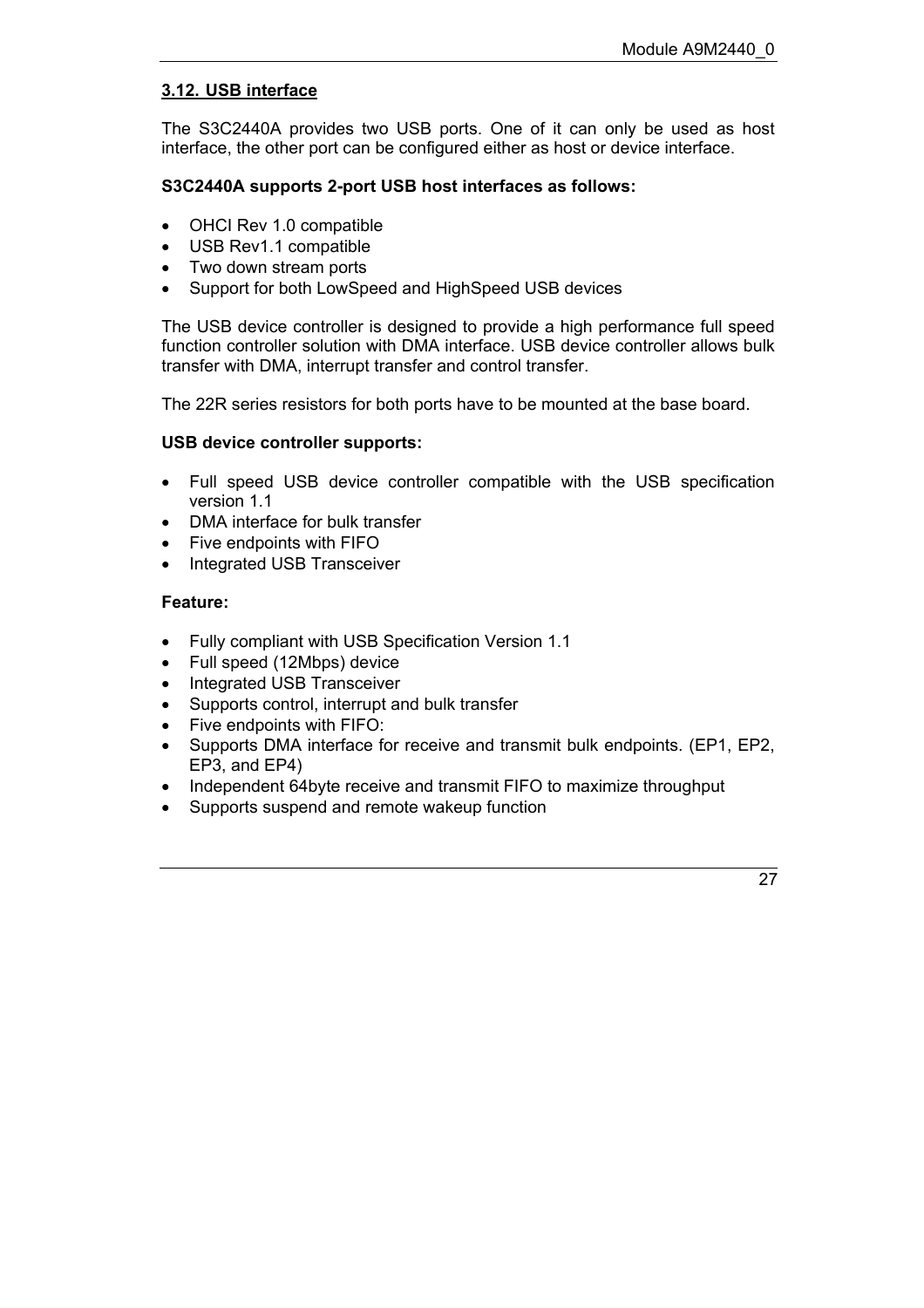## <span id="page-26-0"></span>**3.12. USB interface**

The S3C2440A provides two USB ports. One of it can only be used as host interface, the other port can be configured either as host or device interface.

## **S3C2440A supports 2-port USB host interfaces as follows:**

- OHCI Rev 1.0 compatible
- USB Rev1.1 compatible
- Two down stream ports
- Support for both LowSpeed and HighSpeed USB devices

The USB device controller is designed to provide a high performance full speed function controller solution with DMA interface. USB device controller allows bulk transfer with DMA, interrupt transfer and control transfer.

The 22R series resistors for both ports have to be mounted at the base board.

#### **USB device controller supports:**

- Full speed USB device controller compatible with the USB specification version 1.1
- DMA interface for bulk transfer
- Five endpoints with FIFO
- Integrated USB Transceiver

#### **Feature:**

- Fully compliant with USB Specification Version 1.1
- Full speed (12Mbps) device
- Integrated USB Transceiver
- Supports control, interrupt and bulk transfer
- Five endpoints with FIFO:
- Supports DMA interface for receive and transmit bulk endpoints. (EP1, EP2, EP3, and EP4)
- Independent 64byte receive and transmit FIFO to maximize throughput
- Supports suspend and remote wakeup function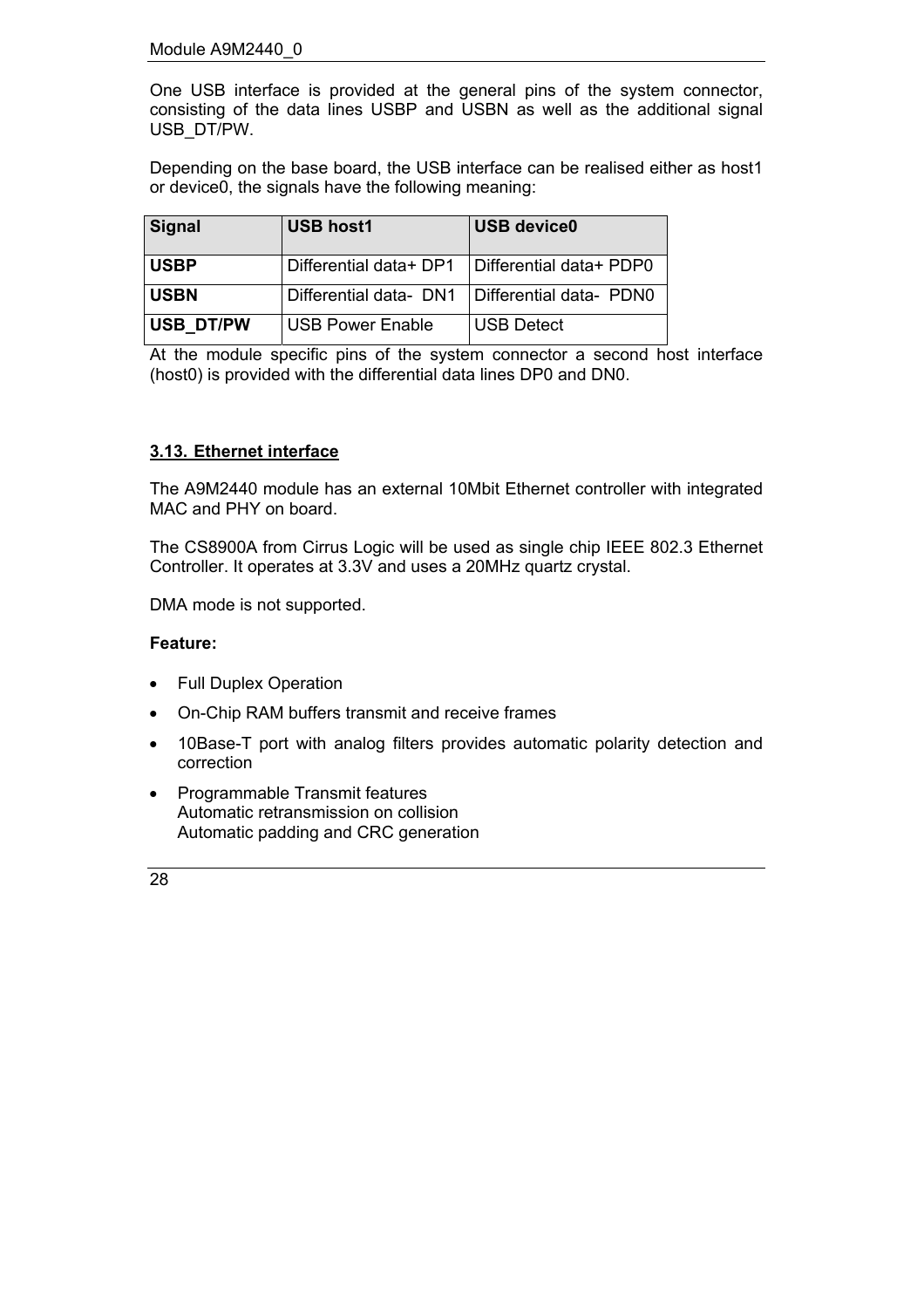One USB interface is provided at the general pins of the system connector, consisting of the data lines USBP and USBN as well as the additional signal USB\_DT/PW.

Depending on the base board, the USB interface can be realised either as host1 or device0, the signals have the following meaning:

| Signal      | <b>USB host1</b>       | <b>USB device0</b>      |
|-------------|------------------------|-------------------------|
| <b>USBP</b> | Differential data+ DP1 | Differential data+ PDP0 |
| <b>USBN</b> | Differential data- DN1 | Differential data- PDN0 |
| USB DT/PW   | USB Power Enable       | <b>USB Detect</b>       |

At the module specific pins of the system connector a second host interface (host0) is provided with the differential data lines DP0 and DN0.

## <span id="page-27-0"></span>**3.13. Ethernet interface**

The A9M2440 module has an external 10Mbit Ethernet controller with integrated MAC and PHY on board.

The CS8900A from Cirrus Logic will be used as single chip IEEE 802.3 Ethernet Controller. It operates at 3.3V and uses a 20MHz quartz crystal.

DMA mode is not supported.

#### **Feature:**

- Full Duplex Operation
- On-Chip RAM buffers transmit and receive frames
- 10Base-T port with analog filters provides automatic polarity detection and correction
- Programmable Transmit features Automatic retransmission on collision Automatic padding and CRC generation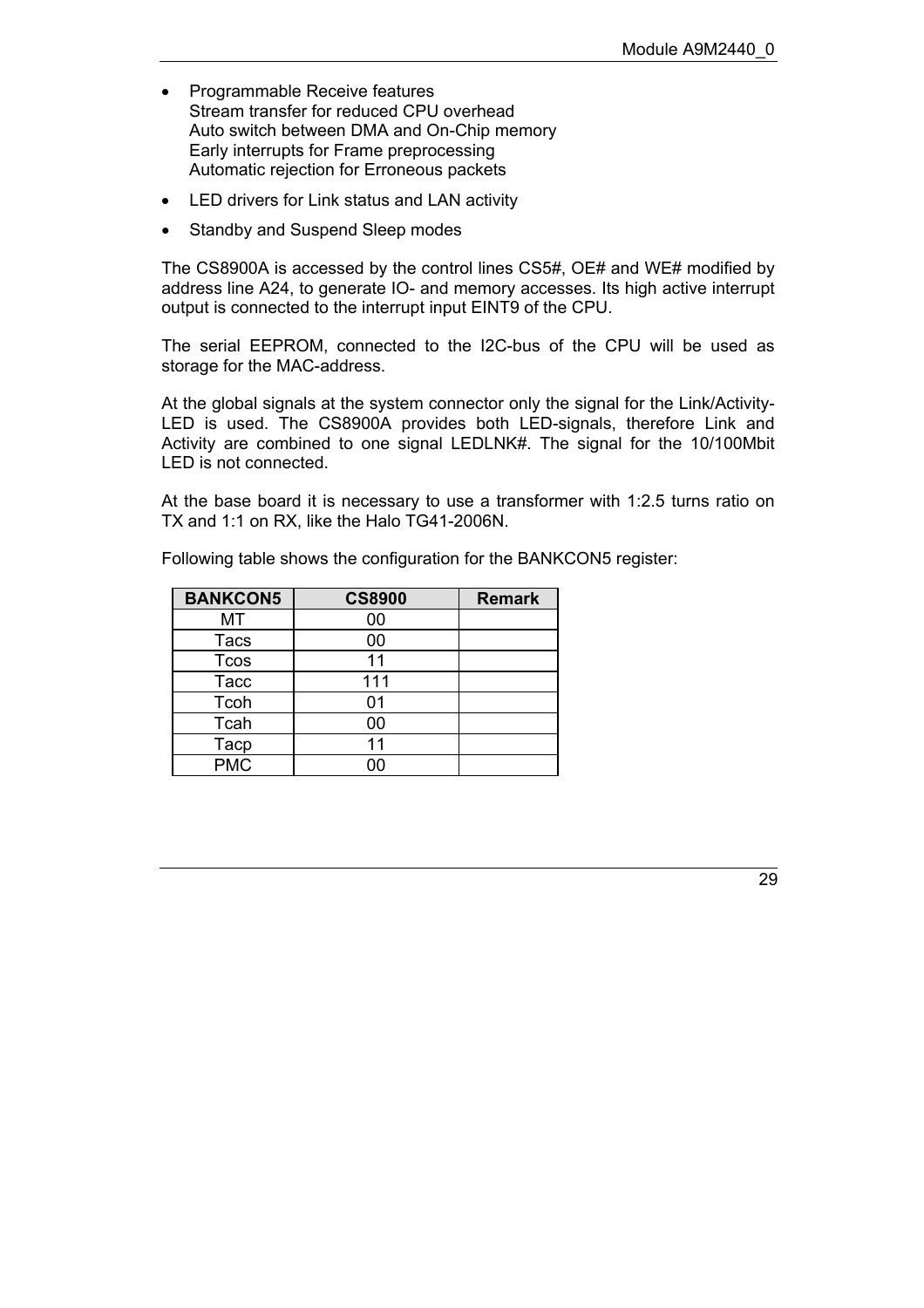- Programmable Receive features Stream transfer for reduced CPU overhead Auto switch between DMA and On-Chip memory Early interrupts for Frame preprocessing Automatic rejection for Erroneous packets
- LED drivers for Link status and LAN activity
- Standby and Suspend Sleep modes

The CS8900A is accessed by the control lines CS5#, OE# and WE# modified by address line A24, to generate IO- and memory accesses. Its high active interrupt output is connected to the interrupt input EINT9 of the CPU.

The serial EEPROM, connected to the I2C-bus of the CPU will be used as storage for the MAC-address.

At the global signals at the system connector only the signal for the Link/Activity-LED is used. The CS8900A provides both LED-signals, therefore Link and Activity are combined to one signal LEDLNK#. The signal for the 10/100Mbit LED is not connected.

At the base board it is necessary to use a transformer with 1:2.5 turns ratio on TX and 1:1 on RX, like the Halo TG41-2006N.

| <b>BANKCON5</b> | <b>CS8900</b> | <b>Remark</b> |
|-----------------|---------------|---------------|
| МT              | 00            |               |
| <b>Tacs</b>     | 00            |               |
| <b>Tcos</b>     | 11            |               |
| <b>Tacc</b>     | 111           |               |
| Tcoh            | 01            |               |
| Tcah            | 00            |               |
| Tacp            | 11            |               |
| <b>PMC</b>      | იი            |               |

Following table shows the configuration for the BANKCON5 register: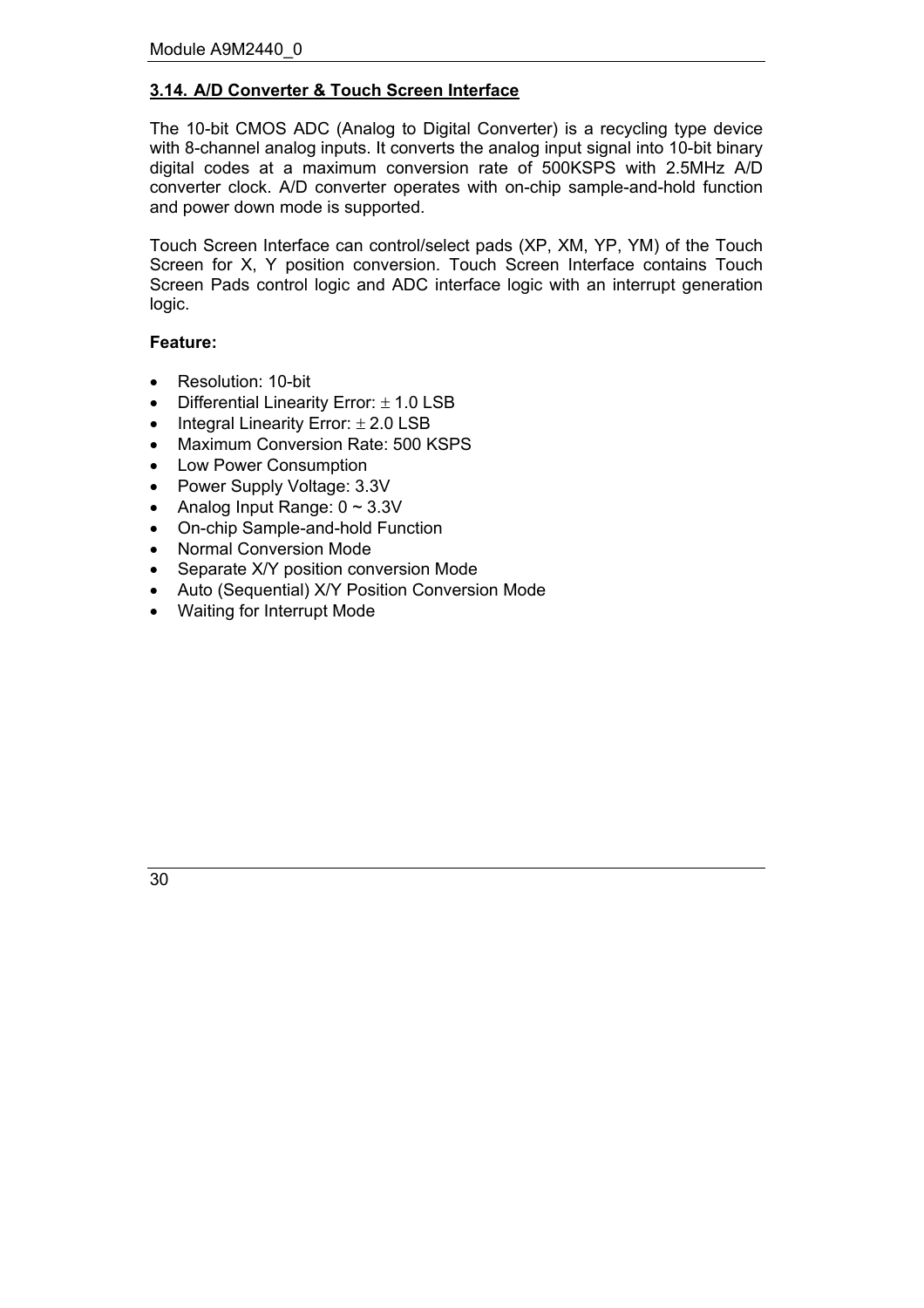## <span id="page-29-0"></span>**3.14. A/D Converter & Touch Screen Interface**

The 10-bit CMOS ADC (Analog to Digital Converter) is a recycling type device with 8-channel analog inputs. It converts the analog input signal into 10-bit binary digital codes at a maximum conversion rate of 500KSPS with 2.5MHz A/D converter clock. A/D converter operates with on-chip sample-and-hold function and power down mode is supported.

Touch Screen Interface can control/select pads (XP, XM, YP, YM) of the Touch Screen for X, Y position conversion. Touch Screen Interface contains Touch Screen Pads control logic and ADC interface logic with an interrupt generation logic.

#### **Feature:**

- Resolution: 10-bit
- Differential Linearity Error:  $\pm$  1.0 LSB
- Integral Linearity Error:  $\pm 2.0$  LSB
- Maximum Conversion Rate: 500 KSPS
- Low Power Consumption
- Power Supply Voltage: 3.3V
- Analog Input Range:  $0 \sim 3.3V$
- On-chip Sample-and-hold Function
- Normal Conversion Mode
- Separate X/Y position conversion Mode
- Auto (Sequential) X/Y Position Conversion Mode
- Waiting for Interrupt Mode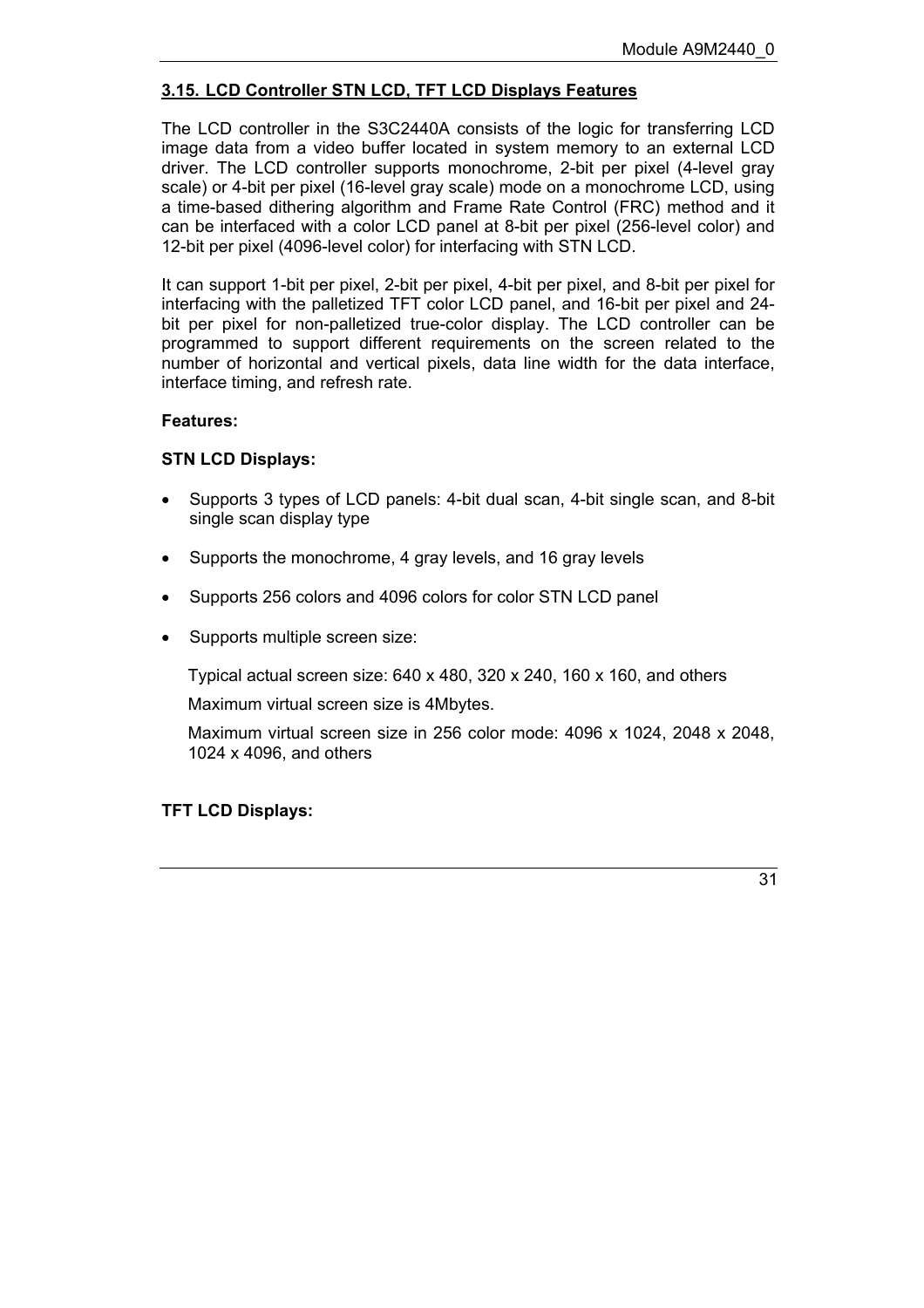## <span id="page-30-0"></span>**3.15. LCD Controller STN LCD, TFT LCD Displays Features**

The LCD controller in the S3C2440A consists of the logic for transferring LCD image data from a video buffer located in system memory to an external LCD driver. The LCD controller supports monochrome, 2-bit per pixel (4-level gray scale) or 4-bit per pixel (16-level gray scale) mode on a monochrome LCD, using a time-based dithering algorithm and Frame Rate Control (FRC) method and it can be interfaced with a color LCD panel at 8-bit per pixel (256-level color) and 12-bit per pixel (4096-level color) for interfacing with STN LCD.

It can support 1-bit per pixel, 2-bit per pixel, 4-bit per pixel, and 8-bit per pixel for interfacing with the palletized TFT color LCD panel, and 16-bit per pixel and 24 bit per pixel for non-palletized true-color display. The LCD controller can be programmed to support different requirements on the screen related to the number of horizontal and vertical pixels, data line width for the data interface, interface timing, and refresh rate.

## **Features:**

## **STN LCD Displays:**

- Supports 3 types of LCD panels: 4-bit dual scan, 4-bit single scan, and 8-bit single scan display type
- Supports the monochrome, 4 gray levels, and 16 gray levels
- Supports 256 colors and 4096 colors for color STN LCD panel
- Supports multiple screen size:

Typical actual screen size: 640 x 480, 320 x 240, 160 x 160, and others

Maximum virtual screen size is 4Mbytes.

Maximum virtual screen size in 256 color mode: 4096 x 1024, 2048 x 2048, 1024 x 4096, and others

## **TFT LCD Displays:**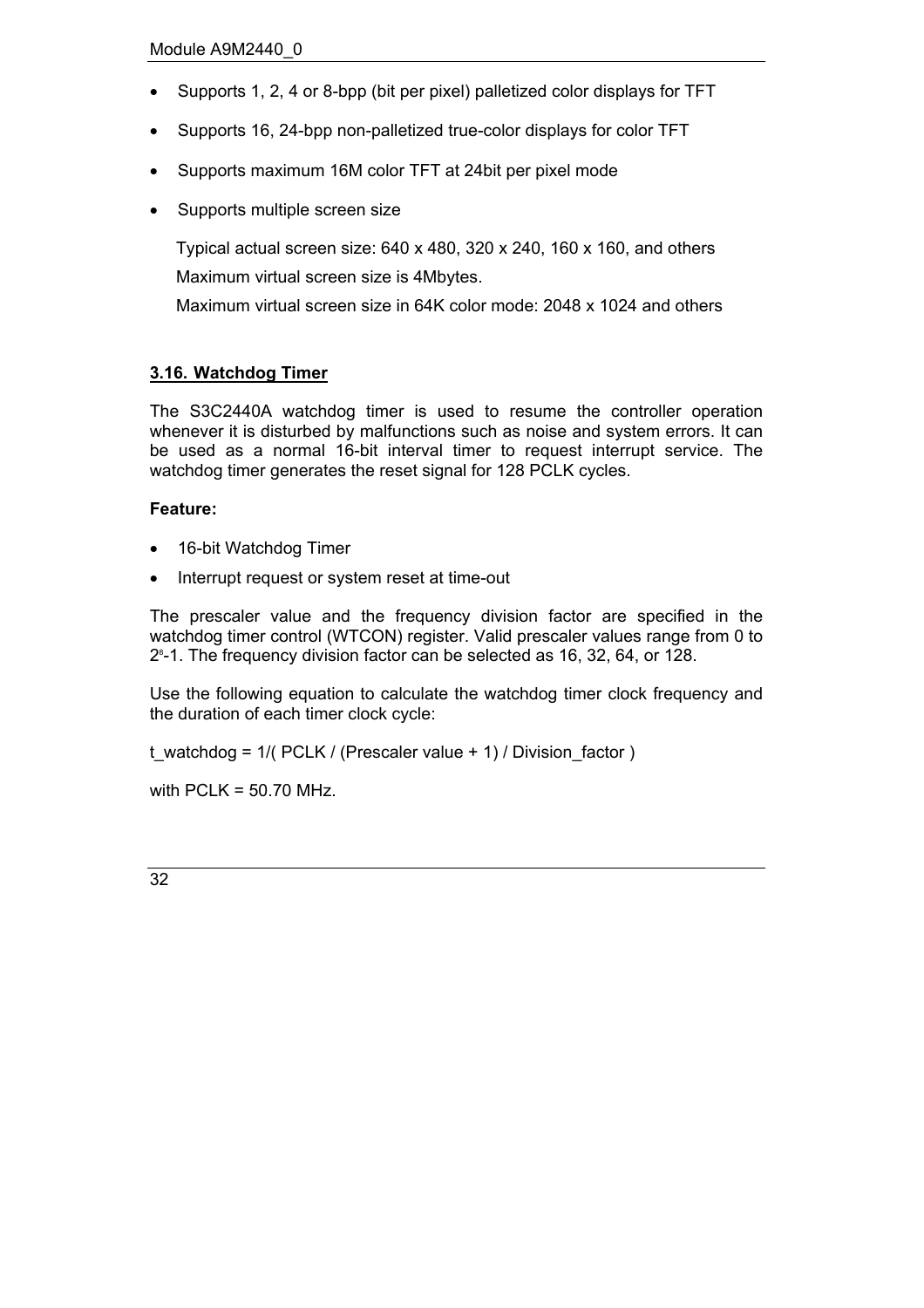- Supports 1, 2, 4 or 8-bpp (bit per pixel) palletized color displays for TFT
- Supports 16, 24-bpp non-palletized true-color displays for color TFT
- Supports maximum 16M color TFT at 24bit per pixel mode
- Supports multiple screen size

Typical actual screen size: 640 x 480, 320 x 240, 160 x 160, and others Maximum virtual screen size is 4Mbytes.

Maximum virtual screen size in 64K color mode: 2048 x 1024 and others

## <span id="page-31-0"></span>**3.16. Watchdog Timer**

The S3C2440A watchdog timer is used to resume the controller operation whenever it is disturbed by malfunctions such as noise and system errors. It can be used as a normal 16-bit interval timer to request interrupt service. The watchdog timer generates the reset signal for 128 PCLK cycles.

#### **Feature:**

- 16-bit Watchdog Timer
- Interrupt request or system reset at time-out

The prescaler value and the frequency division factor are specified in the watchdog timer control (WTCON) register. Valid prescaler values range from 0 to 28 -1. The frequency division factor can be selected as 16, 32, 64, or 128.

Use the following equation to calculate the watchdog timer clock frequency and the duration of each timer clock cycle:

t\_watchdog =  $1/$ ( PCLK / (Prescaler value + 1) / Division\_factor )

with  $PCLK = 50.70$  MHz.

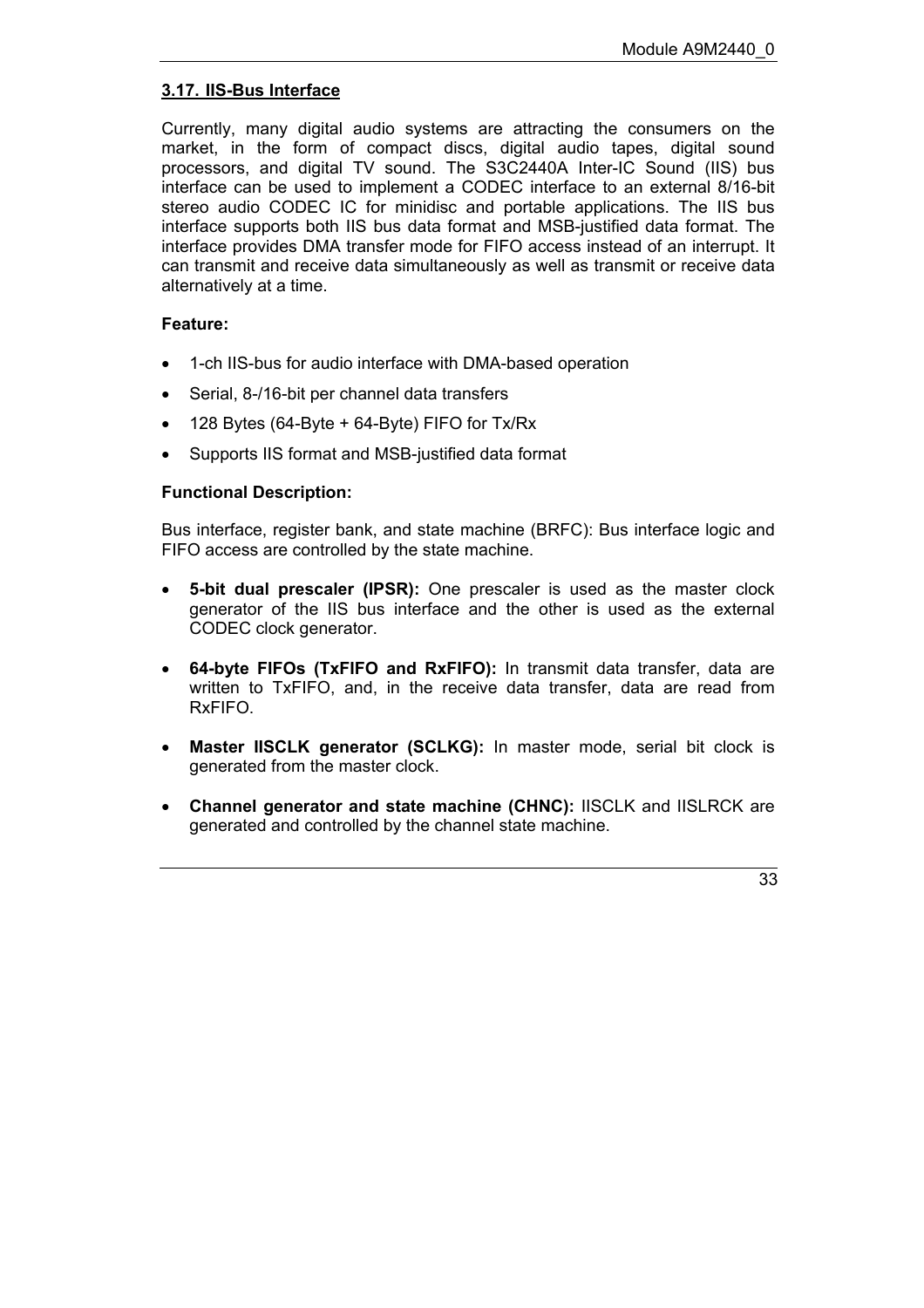## <span id="page-32-0"></span>**3.17. IIS-Bus Interface**

Currently, many digital audio systems are attracting the consumers on the market, in the form of compact discs, digital audio tapes, digital sound processors, and digital TV sound. The S3C2440A Inter-IC Sound (IIS) bus interface can be used to implement a CODEC interface to an external 8/16-bit stereo audio CODEC IC for minidisc and portable applications. The IIS bus interface supports both IIS bus data format and MSB-justified data format. The interface provides DMA transfer mode for FIFO access instead of an interrupt. It can transmit and receive data simultaneously as well as transmit or receive data alternatively at a time.

## **Feature:**

- 1-ch IIS-bus for audio interface with DMA-based operation
- Serial, 8-/16-bit per channel data transfers
- 128 Bytes (64-Byte + 64-Byte) FIFO for Tx/Rx
- Supports IIS format and MSB-justified data format

#### **Functional Description:**

Bus interface, register bank, and state machine (BRFC): Bus interface logic and FIFO access are controlled by the state machine.

- **5-bit dual prescaler (IPSR):** One prescaler is used as the master clock generator of the IIS bus interface and the other is used as the external CODEC clock generator.
- **64-byte FIFOs (TxFIFO and RxFIFO):** In transmit data transfer, data are written to TxFIFO, and, in the receive data transfer, data are read from RxFIFO.
- **Master IISCLK generator (SCLKG):** In master mode, serial bit clock is generated from the master clock.
- **Channel generator and state machine (CHNC):** IISCLK and IISLRCK are generated and controlled by the channel state machine.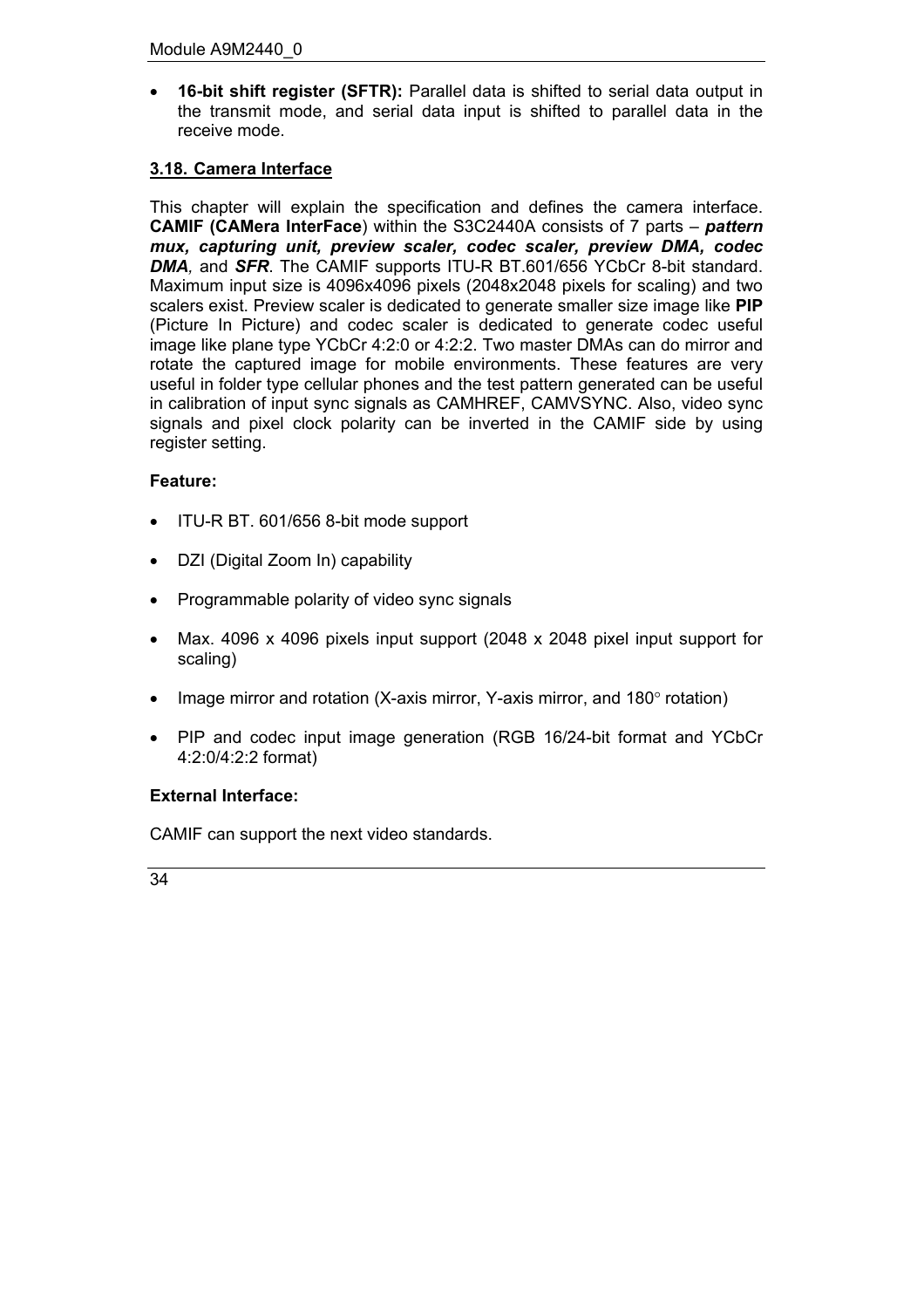• **16-bit shift register (SFTR):** Parallel data is shifted to serial data output in the transmit mode, and serial data input is shifted to parallel data in the receive mode.

## <span id="page-33-0"></span>**3.18. Camera Interface**

This chapter will explain the specification and defines the camera interface. **CAMIF (CAMera InterFace)** within the S3C2440A consists of 7 parts – *pattern mux, capturing unit, preview scaler, codec scaler, preview DMA, codec DMA,* and *SFR*. The CAMIF supports ITU-R BT.601/656 YCbCr 8-bit standard. Maximum input size is 4096x4096 pixels (2048x2048 pixels for scaling) and two scalers exist. Preview scaler is dedicated to generate smaller size image like **PIP** (Picture In Picture) and codec scaler is dedicated to generate codec useful image like plane type YCbCr 4:2:0 or 4:2:2. Two master DMAs can do mirror and rotate the captured image for mobile environments. These features are very useful in folder type cellular phones and the test pattern generated can be useful in calibration of input sync signals as CAMHREF, CAMVSYNC. Also, video sync signals and pixel clock polarity can be inverted in the CAMIF side by using register setting.

## **Feature:**

- ITU-R BT. 601/656 8-bit mode support
- DZI (Digital Zoom In) capability
- Programmable polarity of video sync signals
- Max. 4096 x 4096 pixels input support (2048 x 2048 pixel input support for scaling)
- Image mirror and rotation (X-axis mirror, Y-axis mirror, and 180 $\degree$  rotation)
- PIP and codec input image generation (RGB 16/24-bit format and YCbCr 4:2:0/4:2:2 format)

## **External Interface:**

CAMIF can support the next video standards.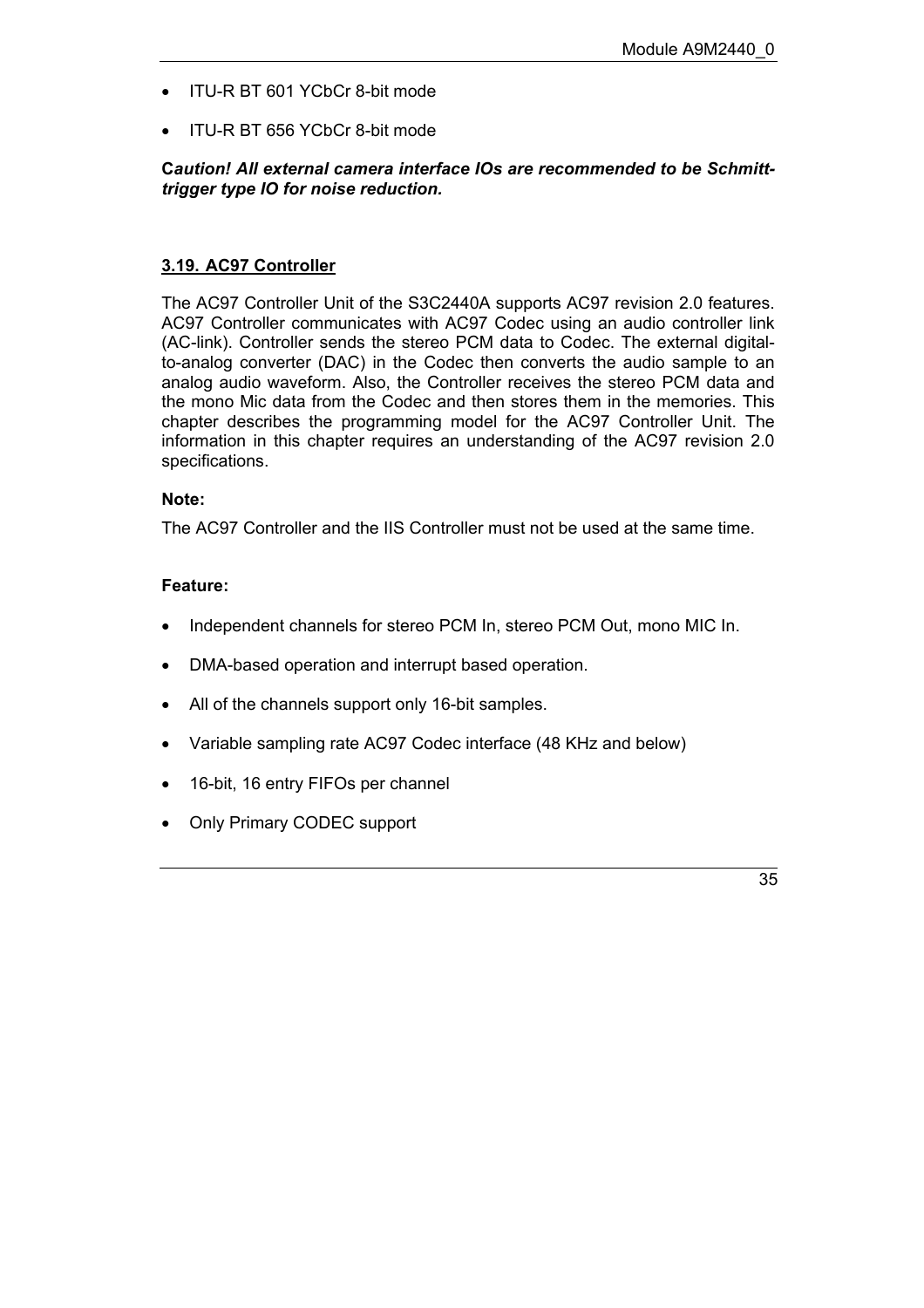- ITU-R BT 601 YCbCr 8-bit mode
- ITU-R BT 656 YCbCr 8-bit mode

#### **C***aution! All external camera interface IOs are recommended to be Schmitttrigger type IO for noise reduction.*

#### <span id="page-34-0"></span>**3.19. AC97 Controller**

The AC97 Controller Unit of the S3C2440A supports AC97 revision 2.0 features. AC97 Controller communicates with AC97 Codec using an audio controller link (AC-link). Controller sends the stereo PCM data to Codec. The external digitalto-analog converter (DAC) in the Codec then converts the audio sample to an analog audio waveform. Also, the Controller receives the stereo PCM data and the mono Mic data from the Codec and then stores them in the memories. This chapter describes the programming model for the AC97 Controller Unit. The information in this chapter requires an understanding of the AC97 revision 2.0 specifications.

#### **Note:**

The AC97 Controller and the IIS Controller must not be used at the same time.

#### **Feature:**

- Independent channels for stereo PCM In, stereo PCM Out, mono MIC In.
- DMA-based operation and interrupt based operation.
- All of the channels support only 16-bit samples.
- Variable sampling rate AC97 Codec interface (48 KHz and below)
- 16-bit, 16 entry FIFOs per channel
- Only Primary CODEC support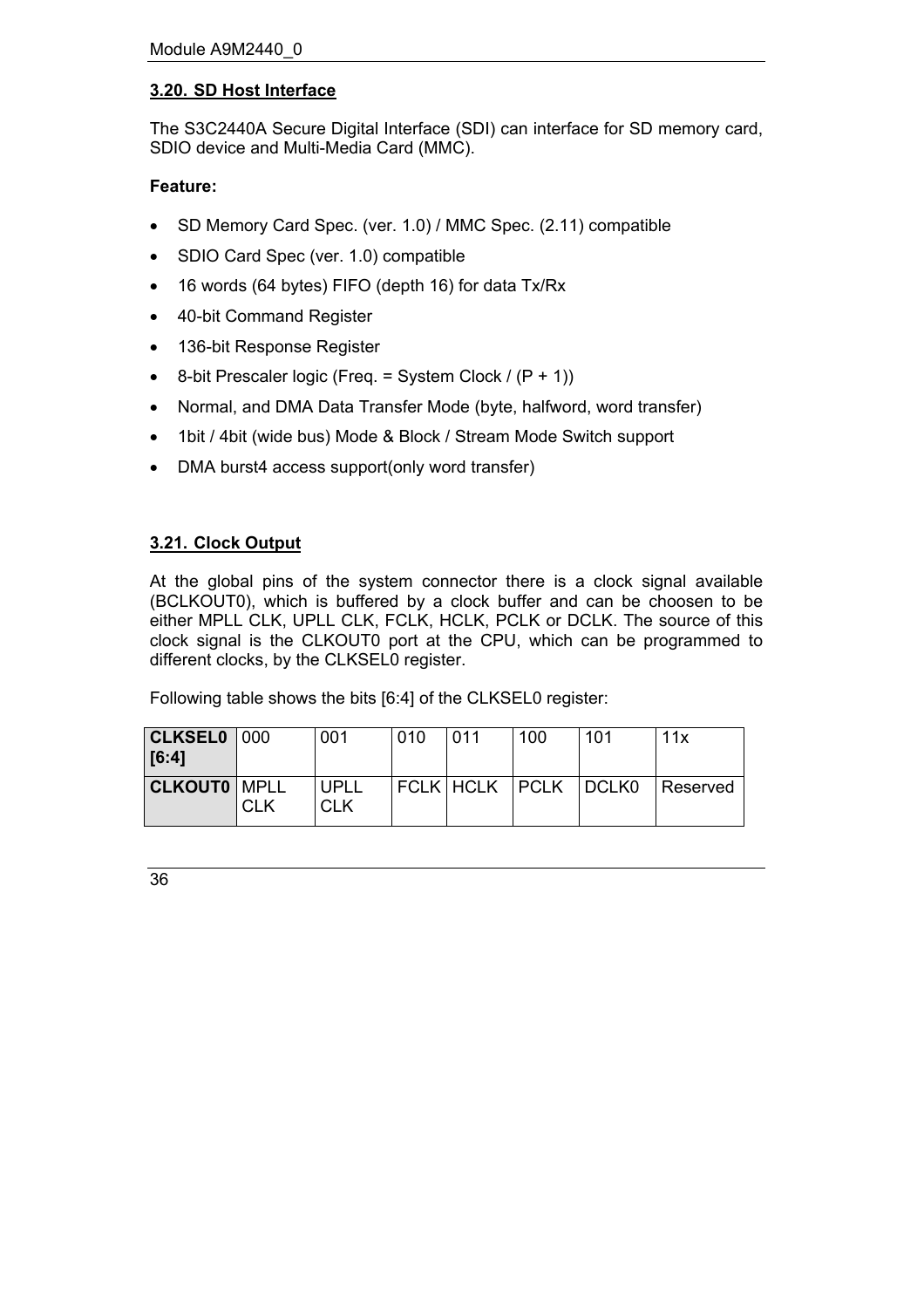## <span id="page-35-0"></span>**3.20. SD Host Interface**

The S3C2440A Secure Digital Interface (SDI) can interface for SD memory card, SDIO device and Multi-Media Card (MMC).

## **Feature:**

- SD Memory Card Spec. (ver. 1.0) / MMC Spec. (2.11) compatible
- SDIO Card Spec (ver. 1.0) compatible
- 16 words (64 bytes) FIFO (depth 16) for data Tx/Rx
- 40-bit Command Register
- 136-bit Response Register
- 8-bit Prescaler logic (Freq. = System Clock /  $(P + 1)$ )
- Normal, and DMA Data Transfer Mode (byte, halfword, word transfer)
- 1bit / 4bit (wide bus) Mode & Block / Stream Mode Switch support
- DMA burst4 access support(only word transfer)

## <span id="page-35-1"></span>**3.21. Clock Output**

At the global pins of the system connector there is a clock signal available (BCLKOUT0), which is buffered by a clock buffer and can be choosen to be either MPLL CLK, UPLL CLK, FCLK, HCLK, PCLK or DCLK. The source of this clock signal is the CLKOUT0 port at the CPU, which can be programmed to different clocks, by the CLKSEL0 register.

Following table shows the bits [6:4] of the CLKSEL0 register:

| $ {\sf CLKSEL0} 000$<br>$ $ [6:4] |            | 001                | 010 | 011 | 100                    | -101 | 11x      |
|-----------------------------------|------------|--------------------|-----|-----|------------------------|------|----------|
| <b>CLKOUT0   MPLL</b>             | <b>CLK</b> | UPLL<br><b>CLK</b> |     |     | FCLK HCLK  PCLK  DCLK0 |      | Reserved |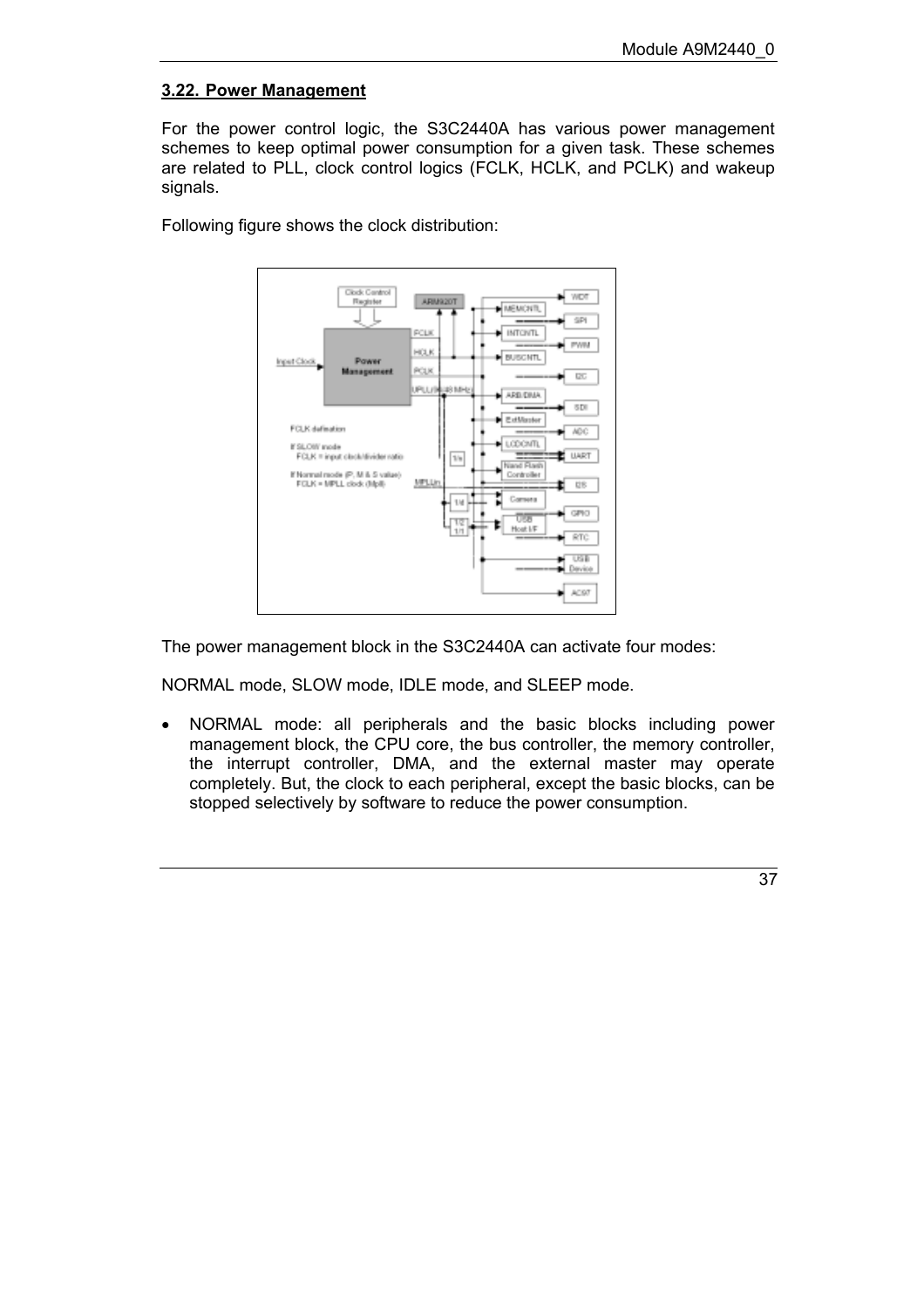## <span id="page-36-0"></span>**3.22. Power Management**

For the power control logic, the S3C2440A has various power management schemes to keep optimal power consumption for a given task. These schemes are related to PLL, clock control logics (FCLK, HCLK, and PCLK) and wakeup signals.

Following figure shows the clock distribution:



The power management block in the S3C2440A can activate four modes:

NORMAL mode, SLOW mode, IDLE mode, and SLEEP mode.

• NORMAL mode: all peripherals and the basic blocks including power management block, the CPU core, the bus controller, the memory controller, the interrupt controller, DMA, and the external master may operate completely. But, the clock to each peripheral, except the basic blocks, can be stopped selectively by software to reduce the power consumption.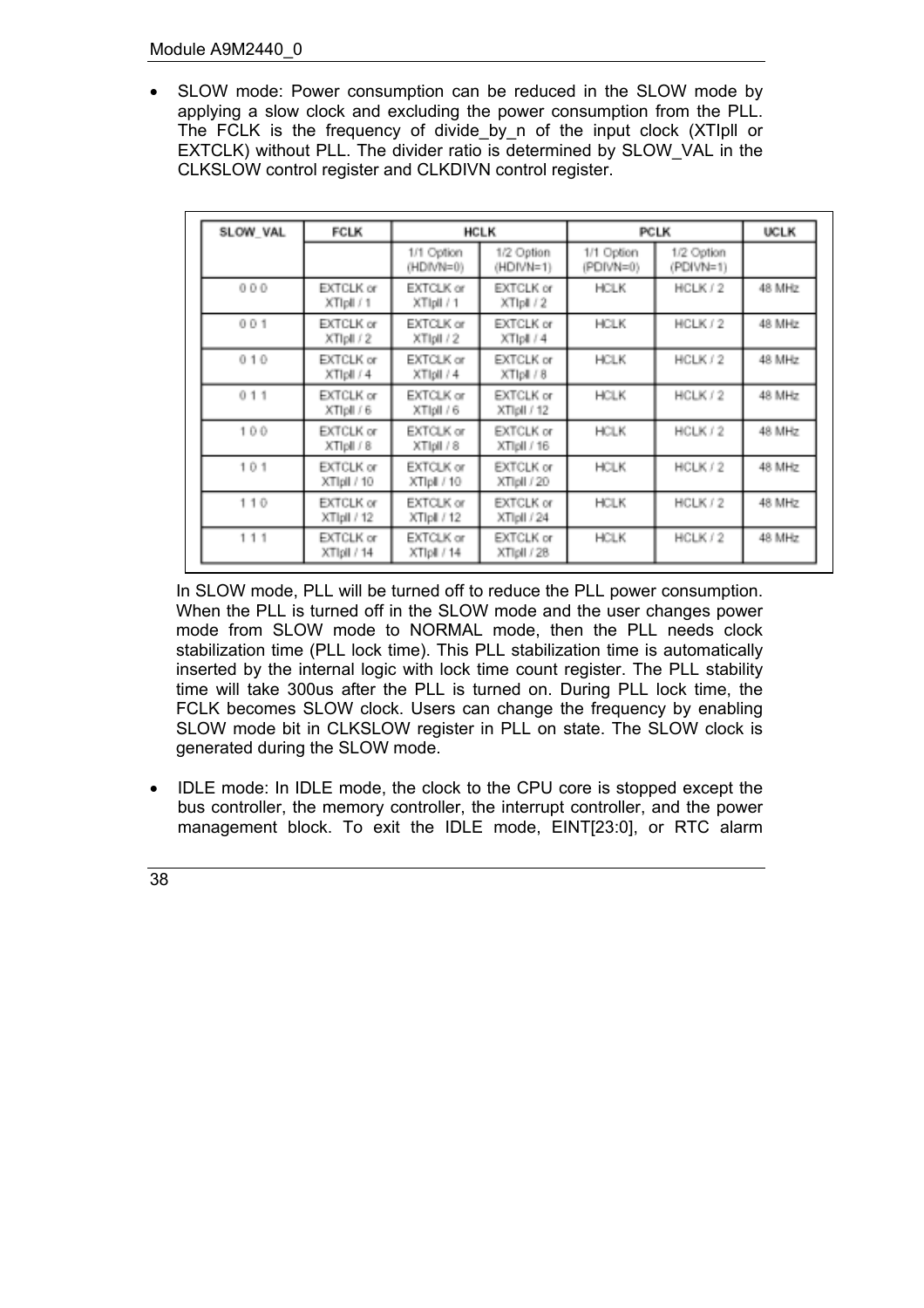• SLOW mode: Power consumption can be reduced in the SLOW mode by applying a slow clock and excluding the power consumption from the PLL. The FCLK is the frequency of divide by n of the input clock (XTIpll or EXTCLK) without PLL. The divider ratio is determined by SLOW\_VAL in the CLKSLOW control register and CLKDIVN control register.

| SLOW VAL | <b>FCLK</b>                    |                          | <b>HCLK</b>                     | <b>PCLK</b>             | <b>UCLK</b>             |        |
|----------|--------------------------------|--------------------------|---------------------------------|-------------------------|-------------------------|--------|
|          |                                | 1/1 Option<br>(HDIVN=0)  | 1/2 Option<br>(HDIVN=1)         | 1/1 Option<br>(PDIVN=0) | 1/2 Option<br>(PDIVN=1) |        |
| 000      | <b>EXTCLK</b> or<br>XTIpli / 1 | EXTCLK or<br>XTIpli / 1  | <b>EXTCLK</b> or<br>XTIpli / 2  | <b>HCLK</b>             | HCLK / 2                | 48 MHz |
| 001      | <b>EXTCLK</b> or<br>XTIpli / 2 | EXTCLK or<br>XTIpII / 2  | EXTCLK or<br>XTIpli / 4         | <b>HCLK</b>             | HCLK / 2                | 48 MHz |
| 010      | <b>EXTCLK</b> or<br>XTIpli / 4 | EXTCLK or<br>XTIpII / 4  | EXTCLK or<br>XTIpli / 8         | <b>HCLK</b>             | HCLK / 2                | 48 MHz |
| 011      | EXTCLK or<br>XTIpli / 6        | EXTCLK or<br>XTIpII / 6  | EXTCLK or<br>XTIpII / 12        | <b>HCLK</b>             | HCLK / 2                | 48 MHz |
| 100      | EXTCLK or<br>XTIpli / 8        | EXTCLK or<br>XTIpli / 8  | EXTCLK or<br>XTIpII / 16        | <b>HCLK</b>             | HCLK / 2                | 48 MHz |
| 101      | EXTCLK or<br>XTIpli / 10       | EXTCLK or<br>XTIpli / 10 | <b>EXTCLK or</b><br>XTipli / 20 | <b>HCLK</b>             | HCLK / 2                | 48 MHz |
| 110      | EXTCLK or<br>XTIpII / 12       | EXTCLK or<br>XTIpli / 12 | <b>EXTCLK or</b><br>XTipli / 24 | <b>HCLK</b>             | HCLK / 2                | 48 MHz |
| 111      | EXTCLK or<br>XTIpli / 14       | EXTCLK or<br>XTIpli / 14 | EXTCLK or<br>XTIpII / 28        | <b>HCLK</b>             | HCLK / 2                | 48 MHz |

In SLOW mode, PLL will be turned off to reduce the PLL power consumption. When the PLL is turned off in the SLOW mode and the user changes power mode from SLOW mode to NORMAL mode, then the PLL needs clock stabilization time (PLL lock time). This PLL stabilization time is automatically inserted by the internal logic with lock time count register. The PLL stability time will take 300us after the PLL is turned on. During PLL lock time, the FCLK becomes SLOW clock. Users can change the frequency by enabling SLOW mode bit in CLKSLOW register in PLL on state. The SLOW clock is generated during the SLOW mode.

• IDLE mode: In IDLE mode, the clock to the CPU core is stopped except the bus controller, the memory controller, the interrupt controller, and the power management block. To exit the IDLE mode, EINT[23:0], or RTC alarm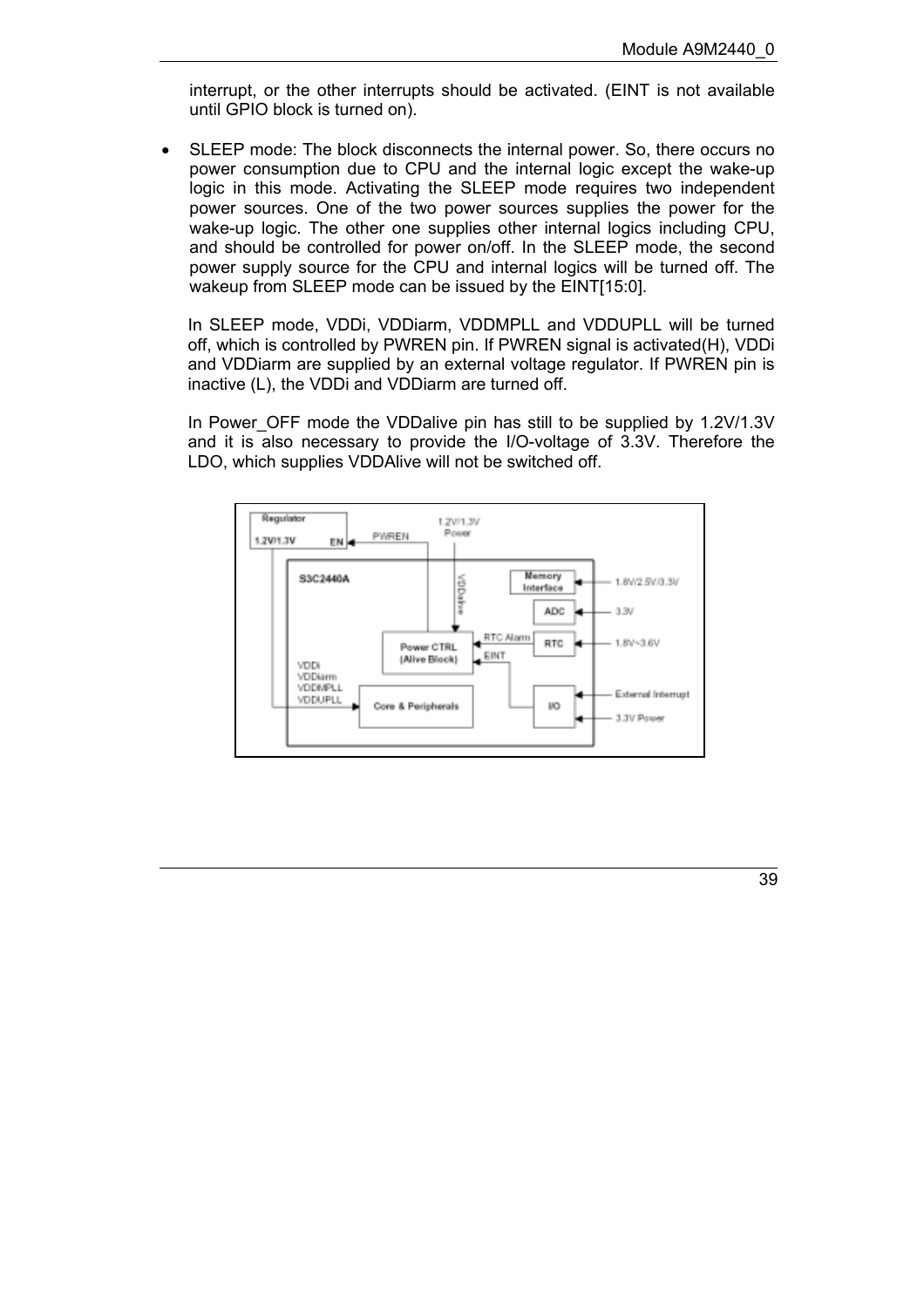interrupt, or the other interrupts should be activated. (EINT is not available until GPIO block is turned on).

• SLEEP mode: The block disconnects the internal power. So, there occurs no power consumption due to CPU and the internal logic except the wake-up logic in this mode. Activating the SLEEP mode requires two independent power sources. One of the two power sources supplies the power for the wake-up logic. The other one supplies other internal logics including CPU, and should be controlled for power on/off. In the SLEEP mode, the second power supply source for the CPU and internal logics will be turned off. The wakeup from SLEEP mode can be issued by the EINT[15:0].

In SLEEP mode, VDDi, VDDiarm, VDDMPLL and VDDUPLL will be turned off, which is controlled by PWREN pin. If PWREN signal is activated(H), VDDi and VDDiarm are supplied by an external voltage regulator. If PWREN pin is inactive (L), the VDDi and VDDiarm are turned off.

In Power OFF mode the VDDalive pin has still to be supplied by 1.2V/1.3V and it is also necessary to provide the I/O-voltage of 3.3V. Therefore the LDO, which supplies VDDAlive will not be switched off.

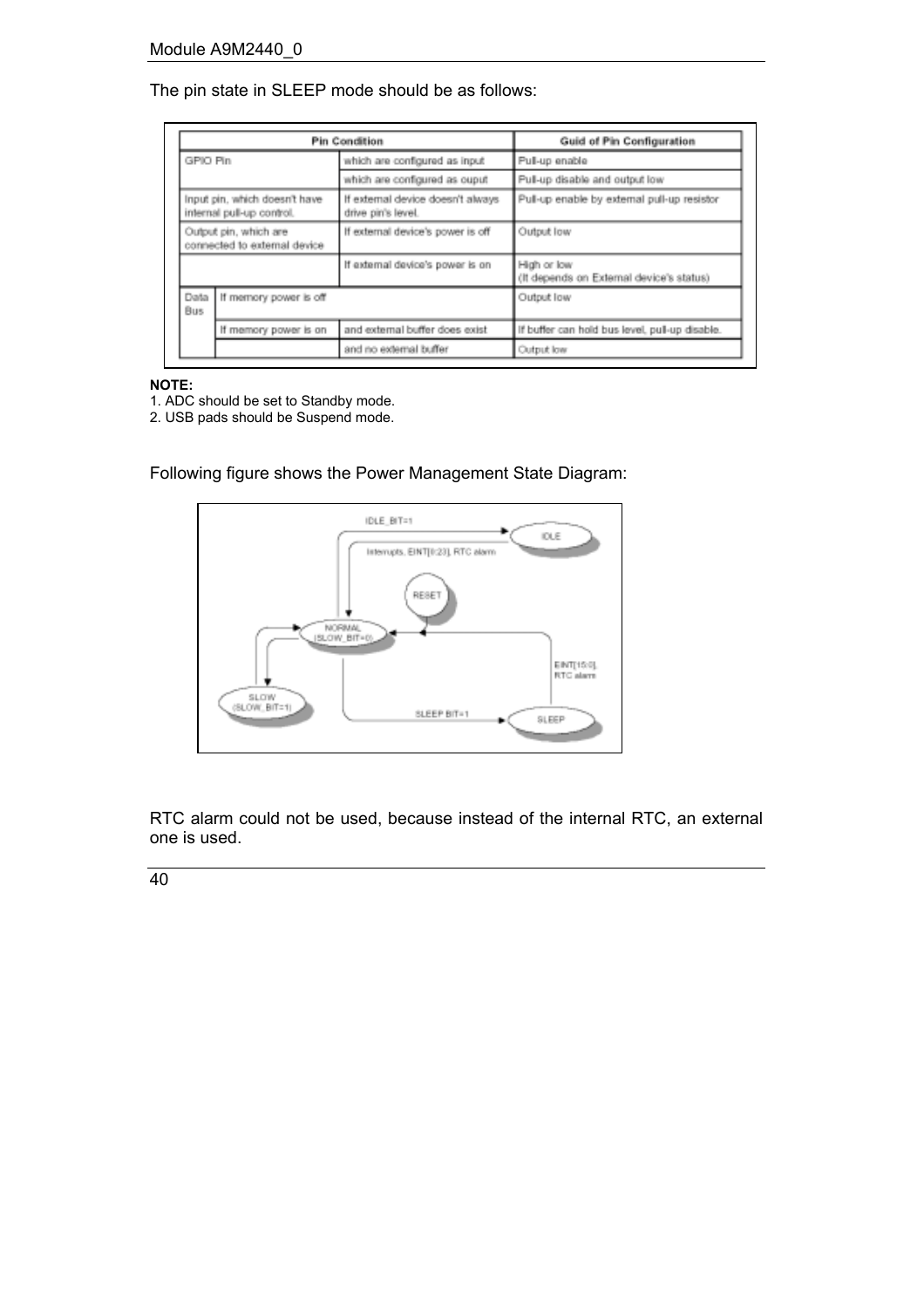## The pin state in SLEEP mode should be as follows:

| <b>Pin Condition</b>                                                                                                |                        |                                                         | Guid of Pin Configuration                               |
|---------------------------------------------------------------------------------------------------------------------|------------------------|---------------------------------------------------------|---------------------------------------------------------|
| GPIO Pin                                                                                                            |                        | which are configured as input                           | Pull-up enable                                          |
|                                                                                                                     |                        | which are configured as ouput                           | Pull-up disable and output low                          |
| Input pin, which doesn't have<br>internal pull-up control.<br>Output pin, which are<br>connected to external device |                        | If external device doesn't always<br>drive pin's level. | Pull-up enable by external pull-up resistor             |
|                                                                                                                     |                        | If external device's power is off                       | Output low                                              |
|                                                                                                                     |                        | If external device's power is on                        | High or low<br>(It depends on External device's status) |
| Data<br>Bus                                                                                                         | If memory power is off |                                                         | Output low                                              |
| If memory power is on                                                                                               |                        | and external buffer does exist                          | If buffer can hold bus level, pull-up disable.          |
|                                                                                                                     |                        | and no external buffer                                  | Output low                                              |

## **NOTE:**

- 1. ADC should be set to Standby mode.
- 2. USB pads should be Suspend mode.

Following figure shows the Power Management State Diagram:



RTC alarm could not be used, because instead of the internal RTC, an external one is used.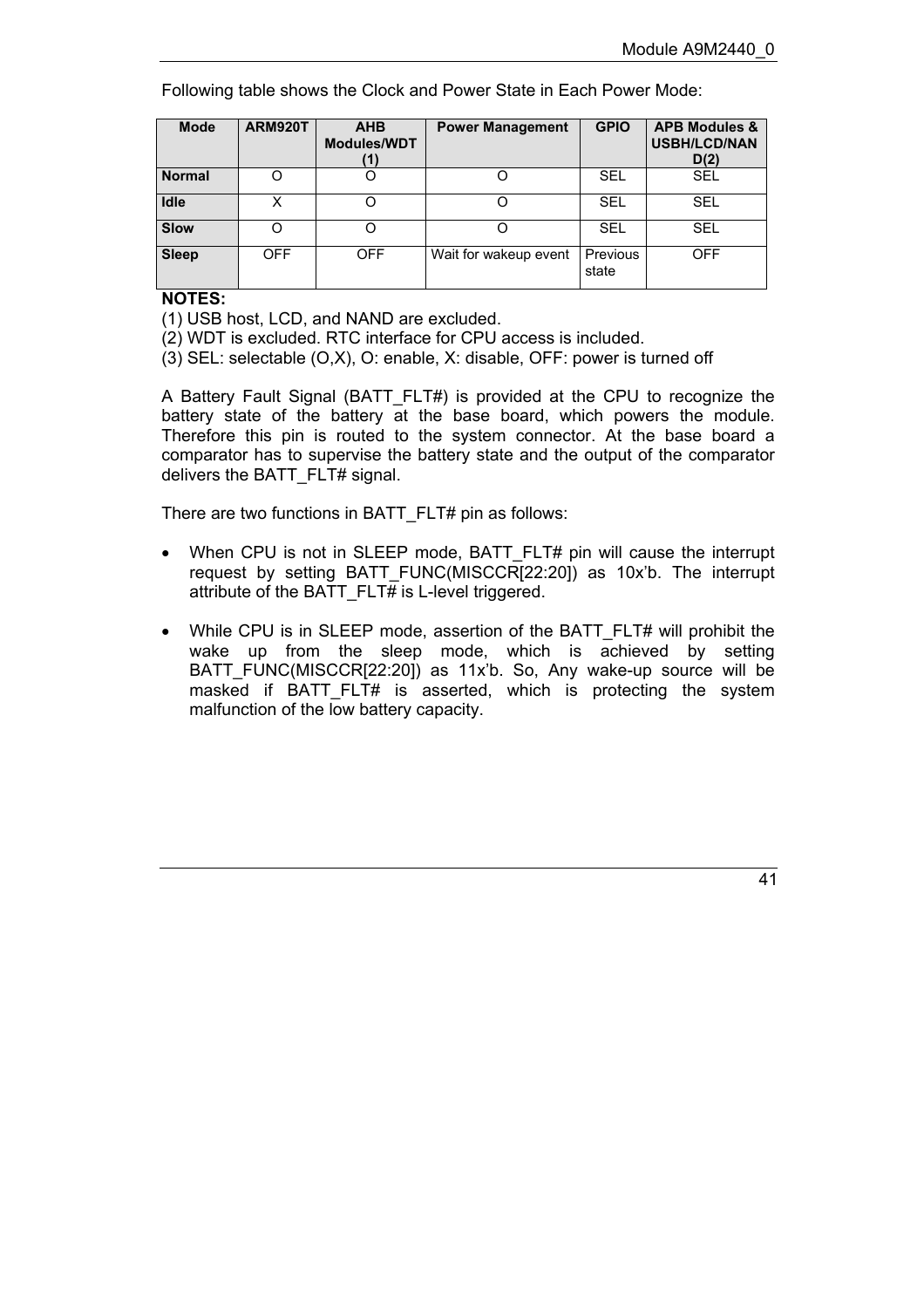Following table shows the Clock and Power State in Each Power Mode:

| <b>Mode</b>   | <b>ARM920T</b> | <b>AHB</b><br><b>Modules/WDT</b><br>'1) | <b>Power Management</b> | <b>GPIO</b>       | <b>APB Modules &amp;</b><br><b>USBH/LCD/NAN</b><br>D(2) |
|---------------|----------------|-----------------------------------------|-------------------------|-------------------|---------------------------------------------------------|
| <b>Normal</b> |                |                                         |                         | SEL               | <b>SEL</b>                                              |
| <b>Idle</b>   | х              |                                         |                         | SEL               | <b>SEL</b>                                              |
| <b>Slow</b>   |                |                                         |                         | <b>SEL</b>        | <b>SEL</b>                                              |
| <b>Sleep</b>  | <b>OFF</b>     | <b>OFF</b>                              | Wait for wakeup event   | Previous<br>state | <b>OFF</b>                                              |

**NOTES:**

(1) USB host, LCD, and NAND are excluded.

(2) WDT is excluded. RTC interface for CPU access is included.

(3) SEL: selectable (O,X), O: enable, X: disable, OFF: power is turned off

A Battery Fault Signal (BATT\_FLT#) is provided at the CPU to recognize the battery state of the battery at the base board, which powers the module. Therefore this pin is routed to the system connector. At the base board a comparator has to supervise the battery state and the output of the comparator delivers the BATT\_FLT# signal.

There are two functions in BATT\_FLT# pin as follows:

- When CPU is not in SLEEP mode, BATT FLT# pin will cause the interrupt request by setting BATT\_FUNC(MISCCR[22:20]) as 10x<sup>'</sup>b. The interrupt attribute of the BATT\_FLT $\overline{H}$  is L-level triggered.
- While CPU is in SLEEP mode, assertion of the BATT\_FLT# will prohibit the wake up from the sleep mode, which is achieved by setting BATT\_FUNC(MISCCR[22:20]) as 11x<sup>'b</sup>. So, Any wake-up source will be masked if BATT\_FLT# is asserted, which is protecting the system malfunction of the low battery capacity.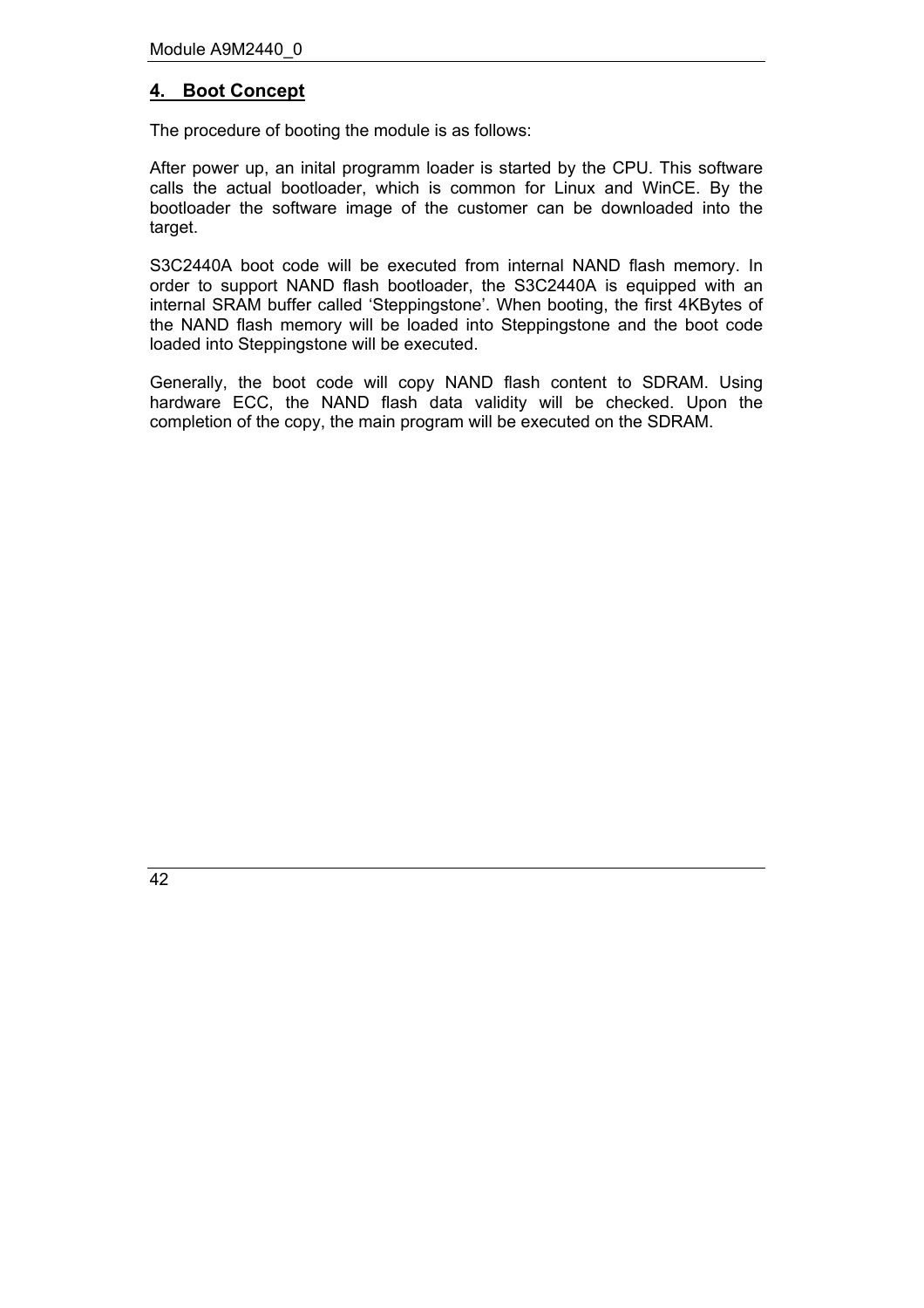## <span id="page-41-0"></span>**4. Boot Concept**

The procedure of booting the module is as follows:

After power up, an inital programm loader is started by the CPU. This software calls the actual bootloader, which is common for Linux and WinCE. By the bootloader the software image of the customer can be downloaded into the target.

S3C2440A boot code will be executed from internal NAND flash memory. In order to support NAND flash bootloader, the S3C2440A is equipped with an internal SRAM buffer called 'Steppingstone'. When booting, the first 4KBytes of the NAND flash memory will be loaded into Steppingstone and the boot code loaded into Steppingstone will be executed.

Generally, the boot code will copy NAND flash content to SDRAM. Using hardware ECC, the NAND flash data validity will be checked. Upon the completion of the copy, the main program will be executed on the SDRAM.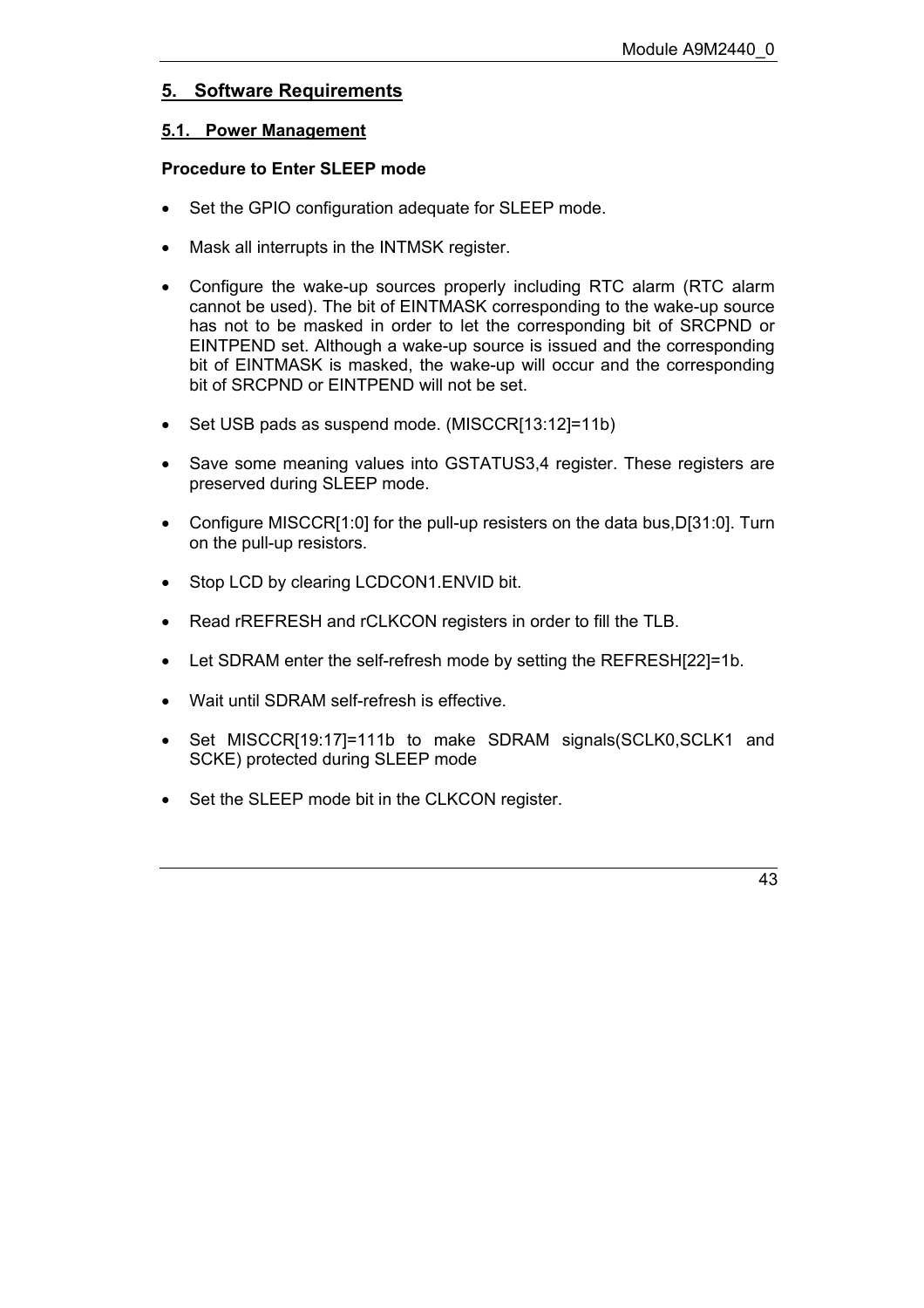## <span id="page-42-0"></span>**5. Software Requirements**

#### <span id="page-42-1"></span>**5.1. Power Management**

## **Procedure to Enter SLEEP mode**

- Set the GPIO configuration adequate for SLEEP mode.
- Mask all interrupts in the INTMSK register.
- Configure the wake-up sources properly including RTC alarm (RTC alarm cannot be used). The bit of EINTMASK corresponding to the wake-up source has not to be masked in order to let the corresponding bit of SRCPND or EINTPEND set. Although a wake-up source is issued and the corresponding bit of EINTMASK is masked, the wake-up will occur and the corresponding bit of SRCPND or EINTPEND will not be set.
- Set USB pads as suspend mode. (MISCCR[13:12]=11b)
- Save some meaning values into GSTATUS3,4 register. These registers are preserved during SLEEP mode.
- Configure MISCCR[1:0] for the pull-up resisters on the data bus, D[31:0]. Turn on the pull-up resistors.
- Stop LCD by clearing LCDCON1.ENVID bit.
- Read rREFRESH and rCLKCON registers in order to fill the TLB.
- Let SDRAM enter the self-refresh mode by setting the REFRESH[22]=1b.
- Wait until SDRAM self-refresh is effective.
- Set MISCCRI19:171=111b to make SDRAM signals(SCLK0,SCLK1 and SCKE) protected during SLEEP mode
- Set the SLEEP mode bit in the CLKCON register.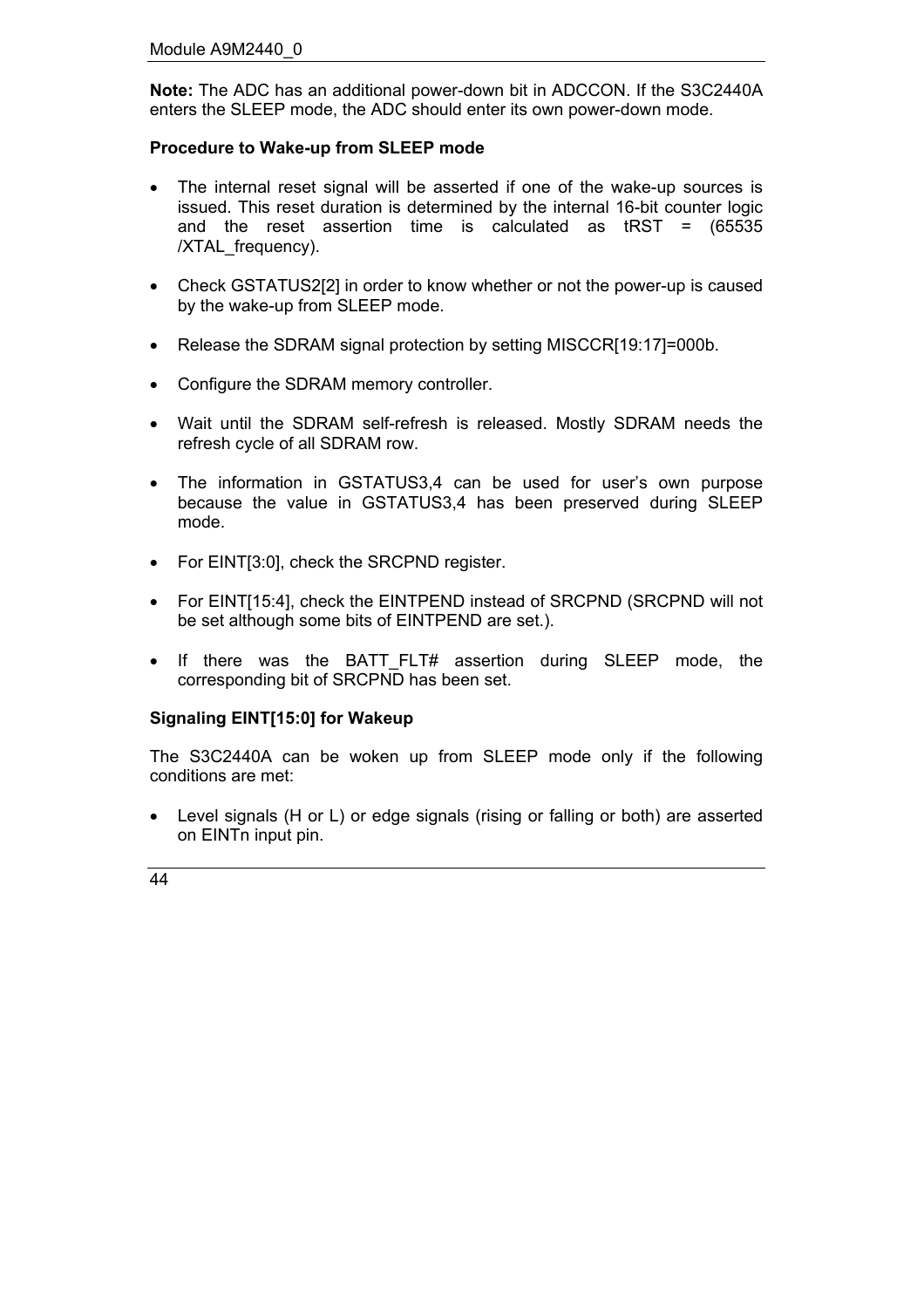**Note:** The ADC has an additional power-down bit in ADCCON. If the S3C2440A enters the SLEEP mode, the ADC should enter its own power-down mode.

#### **Procedure to Wake-up from SLEEP mode**

- The internal reset signal will be asserted if one of the wake-up sources is issued. This reset duration is determined by the internal 16-bit counter logic and the reset assertion time is calculated as tRST = (65535 /XTAL\_frequency).
- Check GSTATUS2[2] in order to know whether or not the power-up is caused by the wake-up from SLEEP mode.
- Release the SDRAM signal protection by setting MISCCR[19:17]=000b.
- Configure the SDRAM memory controller.
- Wait until the SDRAM self-refresh is released. Mostly SDRAM needs the refresh cycle of all SDRAM row.
- The information in GSTATUS3,4 can be used for user's own purpose because the value in GSTATUS3,4 has been preserved during SLEEP mode.
- For EINT[3:0], check the SRCPND register.
- For EINT[15:4], check the EINTPEND instead of SRCPND (SRCPND will not be set although some bits of EINTPEND are set.).
- If there was the BATT\_FLT# assertion during SLEEP mode, the corresponding bit of SRCPND has been set.

#### **Signaling EINT[15:0] for Wakeup**

The S3C2440A can be woken up from SLEEP mode only if the following conditions are met:

• Level signals (H or L) or edge signals (rising or falling or both) are asserted on EINTn input pin.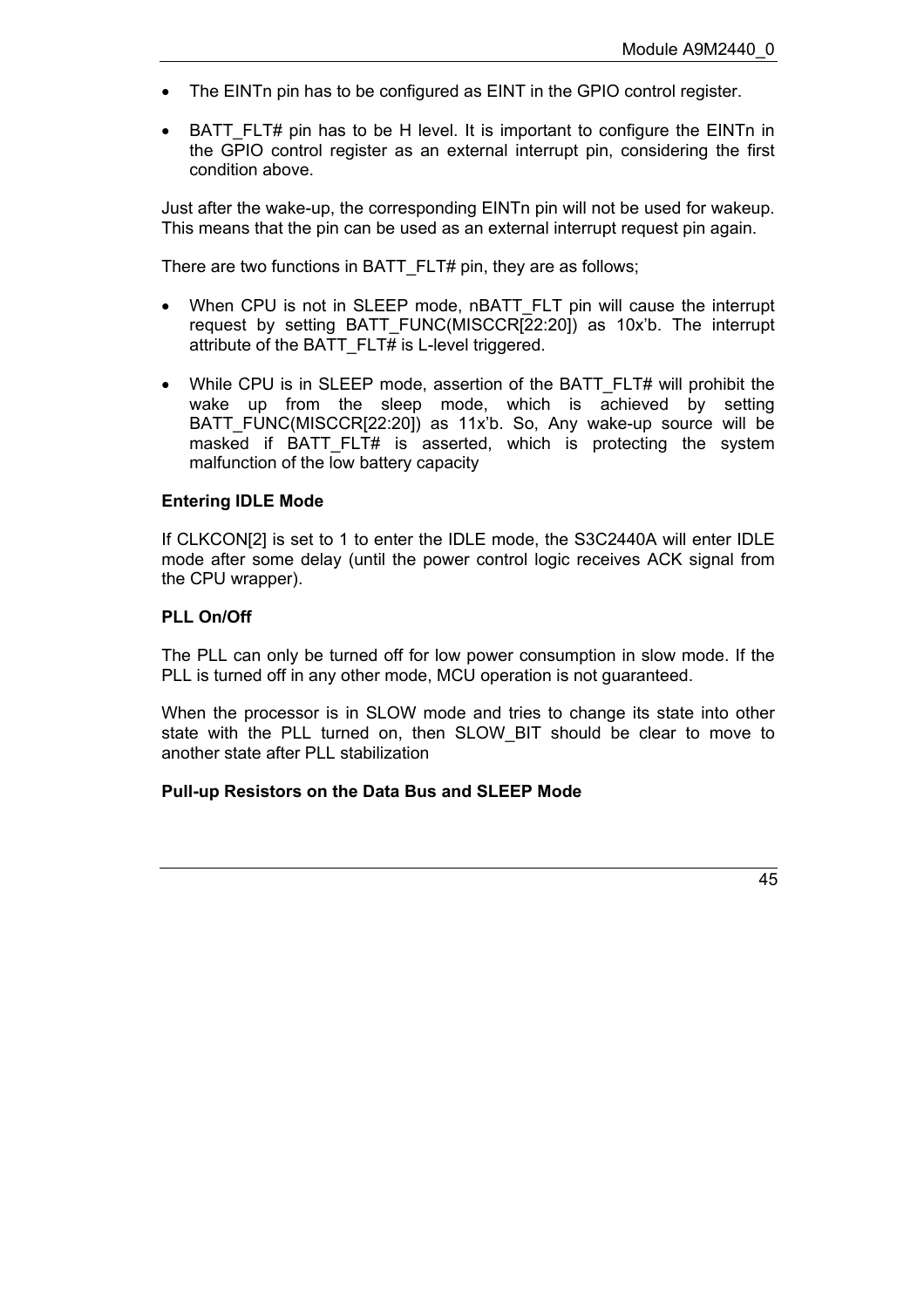- The EINTn pin has to be configured as EINT in the GPIO control register.
- BATT FLT# pin has to be H level. It is important to configure the EINTn in the GPIO control register as an external interrupt pin, considering the first condition above.

Just after the wake-up, the corresponding EINTn pin will not be used for wakeup. This means that the pin can be used as an external interrupt request pin again.

There are two functions in BATT\_FLT# pin, they are as follows;

- When CPU is not in SLEEP mode, nBATT\_FLT pin will cause the interrupt request by setting BATT FUNC(MISCCR[22:20]) as 10x'b. The interrupt attribute of the BATT FLT# is L-level triggered.
- While CPU is in SLEEP mode, assertion of the BATT\_FLT# will prohibit the wake up from the sleep mode, which is achieved by setting BATT\_FUNC(MISCCR[22:20]) as 11xíb. So, Any wake-up source will be masked if BATT\_FLT# is asserted, which is protecting the system malfunction of the low battery capacity

#### **Entering IDLE Mode**

If CLKCON[2] is set to 1 to enter the IDLE mode, the S3C2440A will enter IDLE mode after some delay (until the power control logic receives ACK signal from the CPU wrapper).

#### **PLL On/Off**

The PLL can only be turned off for low power consumption in slow mode. If the PLL is turned off in any other mode, MCU operation is not guaranteed.

When the processor is in SLOW mode and tries to change its state into other state with the PLL turned on, then SLOW\_BIT should be clear to move to another state after PLL stabilization

#### **Pull-up Resistors on the Data Bus and SLEEP Mode**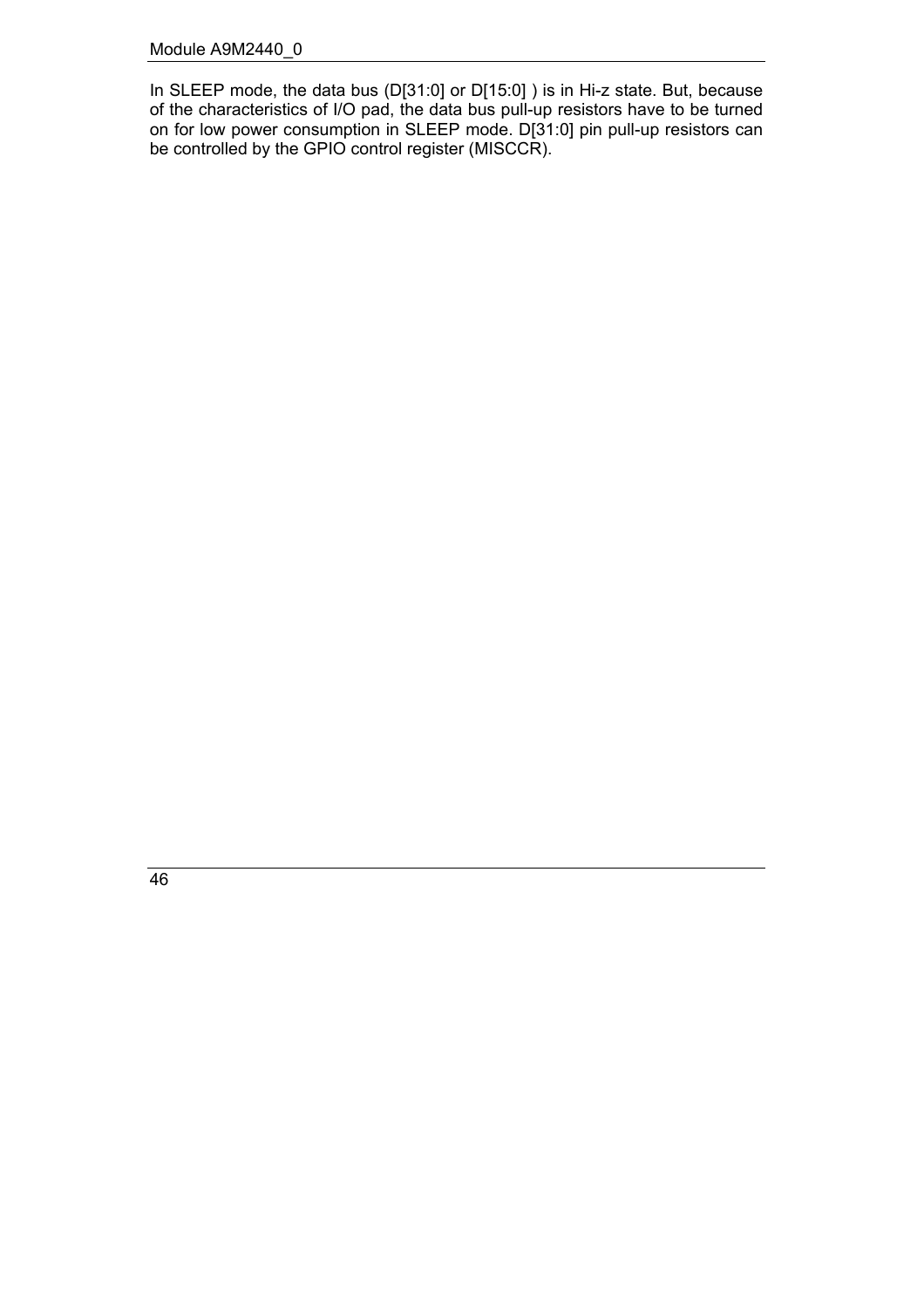In SLEEP mode, the data bus (D[31:0] or D[15:0] ) is in Hi-z state. But, because of the characteristics of I/O pad, the data bus pull-up resistors have to be turned on for low power consumption in SLEEP mode. D[31:0] pin pull-up resistors can be controlled by the GPIO control register (MISCCR).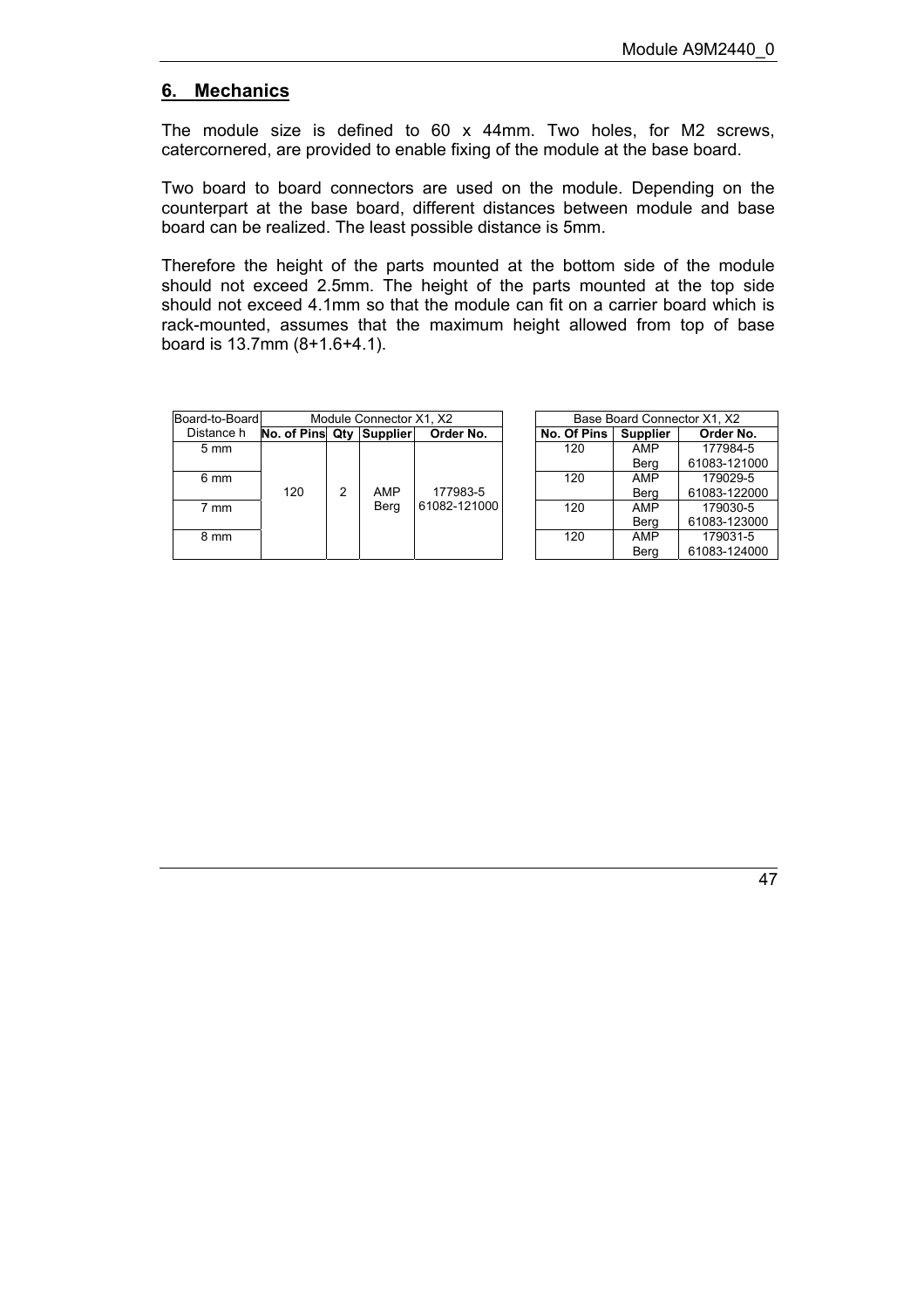#### <span id="page-46-0"></span>**6. Mechanics**

The module size is defined to 60 x 44mm. Two holes, for M2 screws, catercornered, are provided to enable fixing of the module at the base board.

Two board to board connectors are used on the module. Depending on the counterpart at the base board, different distances between module and base board can be realized. The least possible distance is 5mm.

Therefore the height of the parts mounted at the bottom side of the module should not exceed 2.5mm. The height of the parts mounted at the top side should not exceed 4.1mm so that the module can fit on a carrier board which is rack-mounted, assumes that the maximum height allowed from top of base board is 13.7mm (8+1.6+4.1).

| Board-to-Board | Module Connector X1, X2  |   |      |              |  | Base Board Connector X1, X2 |                 |              |  |
|----------------|--------------------------|---|------|--------------|--|-----------------------------|-----------------|--------------|--|
| Distance h     | No. of Pins Qty Supplier |   |      | Order No.    |  | No. Of Pins                 | <b>Supplier</b> | Order No.    |  |
| $5 \text{ mm}$ |                          |   |      |              |  | 120                         | AMP             | 177984-5     |  |
|                |                          |   |      |              |  |                             | Berg            | 61083-121000 |  |
| 6 mm           |                          |   |      |              |  | 120                         | AMP             | 179029-5     |  |
|                | 120                      | 2 | AMP  | 177983-5     |  |                             | Berg            | 61083-122000 |  |
| 7 mm           |                          |   | Berg | 61082-121000 |  | 120                         | AMP             | 179030-5     |  |
|                |                          |   |      |              |  |                             | Bera            | 61083-123000 |  |
| 8 mm           |                          |   |      |              |  | 120                         | AMP             | 179031-5     |  |
|                |                          |   |      |              |  |                             | Berg            | 61083-124000 |  |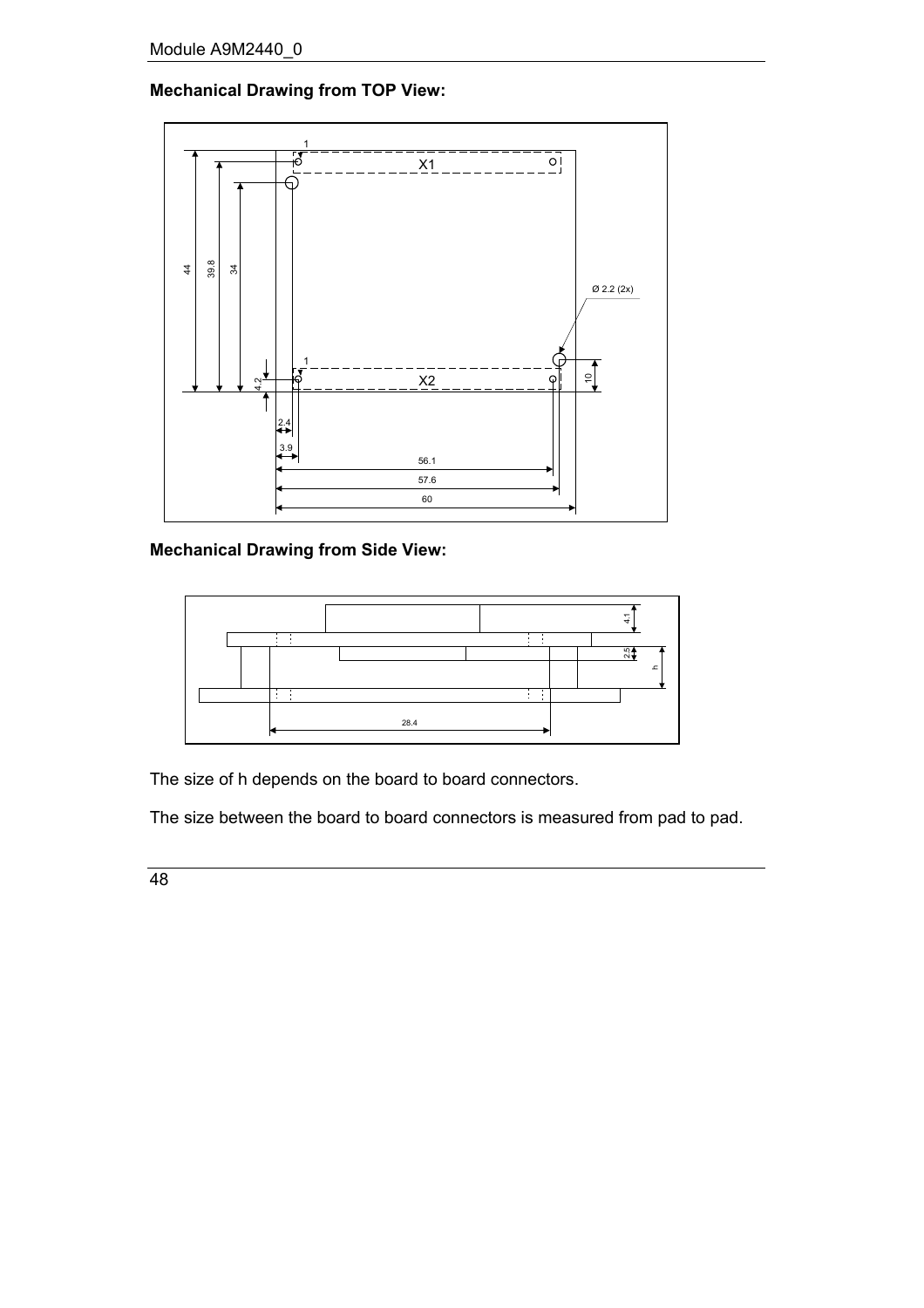## **Mechanical Drawing from TOP View:**



**Mechanical Drawing from Side View:**



The size of h depends on the board to board connectors.

The size between the board to board connectors is measured from pad to pad.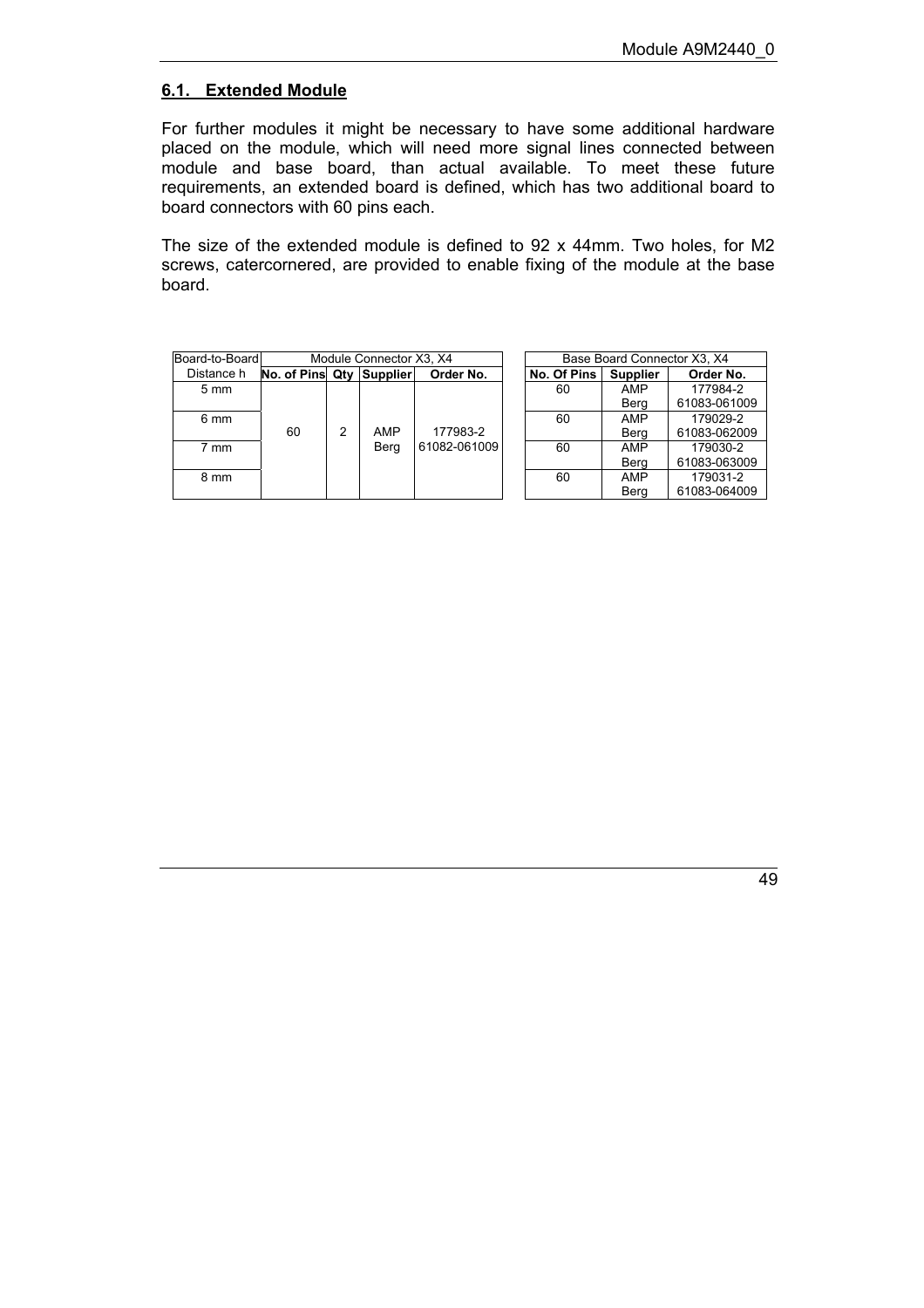#### <span id="page-48-0"></span>**6.1. Extended Module**

For further modules it might be necessary to have some additional hardware placed on the module, which will need more signal lines connected between module and base board, than actual available. To meet these future requirements, an extended board is defined, which has two additional board to board connectors with 60 pins each.

The size of the extended module is defined to 92 x 44mm. Two holes, for M2 screws, catercornered, are provided to enable fixing of the module at the base board.

| Base Board Connector X3, X4 |
|-----------------------------|
|                             |
| Order No.                   |
| 177984-2                    |
| 61083-0610                  |
| 179029-2                    |
| 61083-0620                  |
| 179030-2                    |
| 61083-0630                  |
| 179031-2                    |
| 61083-0640                  |
|                             |

| Base Board Connector X3, X4 |                 |              |  |
|-----------------------------|-----------------|--------------|--|
| No. Of Pins                 | <b>Supplier</b> | Order No.    |  |
| 60                          | <b>AMP</b>      | 177984-2     |  |
|                             | Berg            | 61083-061009 |  |
| 60                          | <b>AMP</b>      | 179029-2     |  |
|                             | Berg            | 61083-062009 |  |
| 60                          | <b>AMP</b>      | 179030-2     |  |
|                             | Berg            | 61083-063009 |  |
| 60                          | <b>AMP</b>      | 179031-2     |  |
|                             | Bera            | 61083-064009 |  |